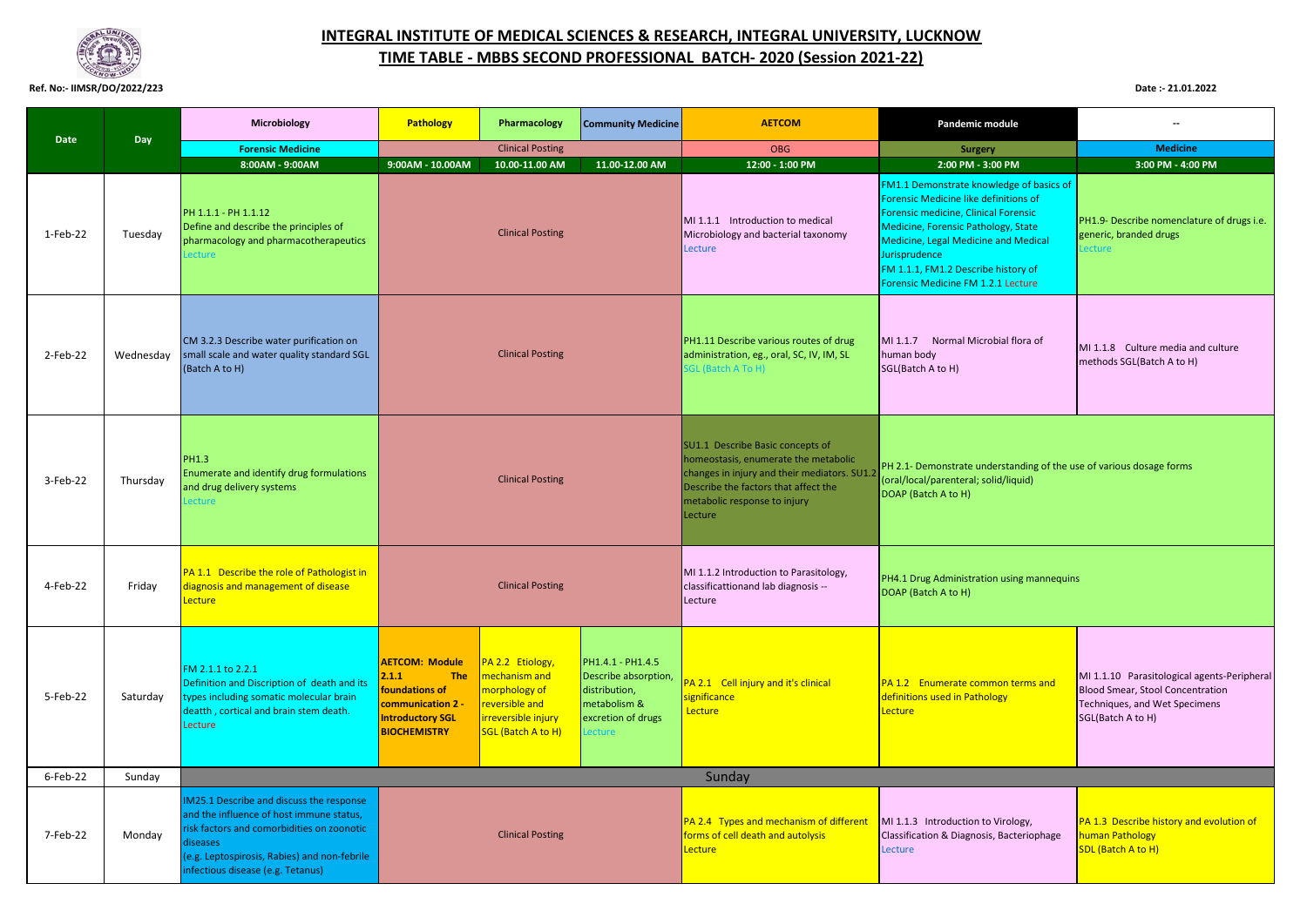

## **INTEGRAL INSTITUTE OF MEDICAL SCIENCES & RESEARCH, INTEGRAL UNIVERSITY, LUCKNOW TIME TABLE - MBBS SECOND PROFESSIONAL BATCH- 2020 (Session 2021-22)**

## **Ref. No:- IIMSR/DO/2022/223 Date :- 21.01.2022**

|             |           | Microbiology                                                                                                                                                                                                                               | Pathology                                                                                                                             | Pharmacology                                                                                                                                                                                                                           | <b>Community Medicine</b>                                                          | <b>AETCOM</b>                                                                                                                                                                                                                                                                                                 | Pandemic module                                                                                                                     | --                                                                                                                                           |
|-------------|-----------|--------------------------------------------------------------------------------------------------------------------------------------------------------------------------------------------------------------------------------------------|---------------------------------------------------------------------------------------------------------------------------------------|----------------------------------------------------------------------------------------------------------------------------------------------------------------------------------------------------------------------------------------|------------------------------------------------------------------------------------|---------------------------------------------------------------------------------------------------------------------------------------------------------------------------------------------------------------------------------------------------------------------------------------------------------------|-------------------------------------------------------------------------------------------------------------------------------------|----------------------------------------------------------------------------------------------------------------------------------------------|
| Date        | Day       | <b>Forensic Medicine</b>                                                                                                                                                                                                                   |                                                                                                                                       | <b>Clinical Posting</b>                                                                                                                                                                                                                |                                                                                    | <b>OBG</b>                                                                                                                                                                                                                                                                                                    | <b>Surgery</b>                                                                                                                      | <b>Medicine</b>                                                                                                                              |
|             |           | 8:00AM - 9:00AM                                                                                                                                                                                                                            | 9:00AM - 10.00AM                                                                                                                      | 10.00-11.00 AM                                                                                                                                                                                                                         | 11.00-12.00 AM                                                                     | 12:00 - 1:00 PM                                                                                                                                                                                                                                                                                               | 2:00 PM - 3:00 PM                                                                                                                   | 3:00 PM - 4:00 PM                                                                                                                            |
| $1-Feb-22$  | Tuesday   | PH 1.1.1 - PH 1.1.12<br>Define and describe the principles of<br>pharmacology and pharmacotherapeutics<br>ecture                                                                                                                           | <b>Clinical Posting</b>                                                                                                               |                                                                                                                                                                                                                                        | MI 1.1.1 Introduction to medical<br>Microbiology and bacterial taxonomy<br>Lecture | FM1.1 Demonstrate knowledge of basics of<br>Forensic Medicine like definitions of<br>Forensic medicine, Clinical Forensic<br>Medicine, Forensic Pathology, State<br><b>Medicine, Legal Medicine and Medical</b><br>Jurisprudence<br>FM 1.1.1, FM1.2 Describe history of<br>Forensic Medicine FM 1.2.1 Lecture | PH1.9- Describe nomenclature of drugs i.e.<br>generic, branded drugs<br>ecture                                                      |                                                                                                                                              |
| 2-Feb-22    | Wednesday | CM 3.2.3 Describe water purification on<br>small scale and water quality standard SGL<br>(Batch A to H)                                                                                                                                    | <b>Clinical Posting</b>                                                                                                               |                                                                                                                                                                                                                                        |                                                                                    | PH1.11 Describe various routes of drug<br>administration, eg., oral, SC, IV, IM, SL<br>GL (Batch A To H)                                                                                                                                                                                                      | MI 1.1.7 Normal Microbial flora of<br>human body<br>SGL(Batch A to H)                                                               | MI 1.1.8 Culture media and culture<br>methods SGL(Batch A to H)                                                                              |
| 3-Feb-22    | Thursday  | <b>PH1.3</b><br>Enumerate and identify drug formulations<br>and drug delivery systems<br>ecture                                                                                                                                            | <b>Clinical Posting</b>                                                                                                               |                                                                                                                                                                                                                                        |                                                                                    | SU1.1 Describe Basic concepts of<br>homeostasis, enumerate the metabolic<br>changes in injury and their mediators. SU1.2<br>Describe the factors that affect the<br>metabolic response to injury<br>Lecture                                                                                                   | PH 2.1- Demonstrate understanding of the use of various dosage forms<br>oral/local/parenteral; solid/liquid)<br>DOAP (Batch A to H) |                                                                                                                                              |
| 4-Feb-22    | Fridav    | PA 1.1 Describe the role of Pathologist in<br>diagnosis and management of disease<br>Lecture                                                                                                                                               |                                                                                                                                       | <b>Clinical Posting</b>                                                                                                                                                                                                                |                                                                                    | MI 1.1.2 Introduction to Parasitology,<br>classificattionand lab diagnosis --<br>Lecture                                                                                                                                                                                                                      | PH4.1 Drug Administration using mannequins<br>DOAP (Batch A to H)                                                                   |                                                                                                                                              |
| 5-Feb-22    | Saturday  | FM 2.1.1 to 2.2.1<br>Definition and Discription of death and its<br>types including somatic molecular brain<br>deatth, cortical and brain stem death.<br>Lecture                                                                           | <b>AETCOM: Module</b><br>2.1.1<br><b>The</b><br>foundations of<br>communication 2 -<br><b>Introductory SGL</b><br><b>BIOCHEMISTRY</b> | PA 2.2 Etiology,<br>PH1.4.1 - PH1.4.5<br>mechanism and<br>Describe absorption,<br>morphology of<br>distribution,<br>reversible and<br>metabolism &<br>irreversible injury<br>excretion of drugs<br><b>SGL</b> (Batch A to H)<br>ecture |                                                                                    | PA 2.1 Cell injury and it's clinical<br>significance<br>Lecture                                                                                                                                                                                                                                               | PA 1.2 Enumerate common terms and<br>definitions used in Pathology<br>Lecture                                                       | MI 1.1.10 Parasitological agents-Peripheral<br><b>Blood Smear, Stool Concentration</b><br>Techniques, and Wet Specimens<br>SGL(Batch A to H) |
| $6$ -Feb-22 | Sunday    |                                                                                                                                                                                                                                            |                                                                                                                                       |                                                                                                                                                                                                                                        |                                                                                    | Sunday                                                                                                                                                                                                                                                                                                        |                                                                                                                                     |                                                                                                                                              |
| 7-Feb-22    | Monday    | IM25.1 Describe and discuss the response<br>and the influence of host immune status,<br>risk factors and comorbidities on zoonotic<br><b>liseases</b><br>(e.g. Leptospirosis, Rabies) and non-febrile<br>infectious disease (e.g. Tetanus) | <b>Clinical Posting</b>                                                                                                               |                                                                                                                                                                                                                                        |                                                                                    | PA 2.4 Types and mechanism of different<br>forms of cell death and autolysis<br>Lecture                                                                                                                                                                                                                       | MI 1.1.3 Introduction to Virology,<br>Classification & Diagnosis, Bacteriophage<br>Lecture                                          | PA 1.3 Describe history and evolution of<br>human Pathology<br><b>SDL</b> (Batch A to H)                                                     |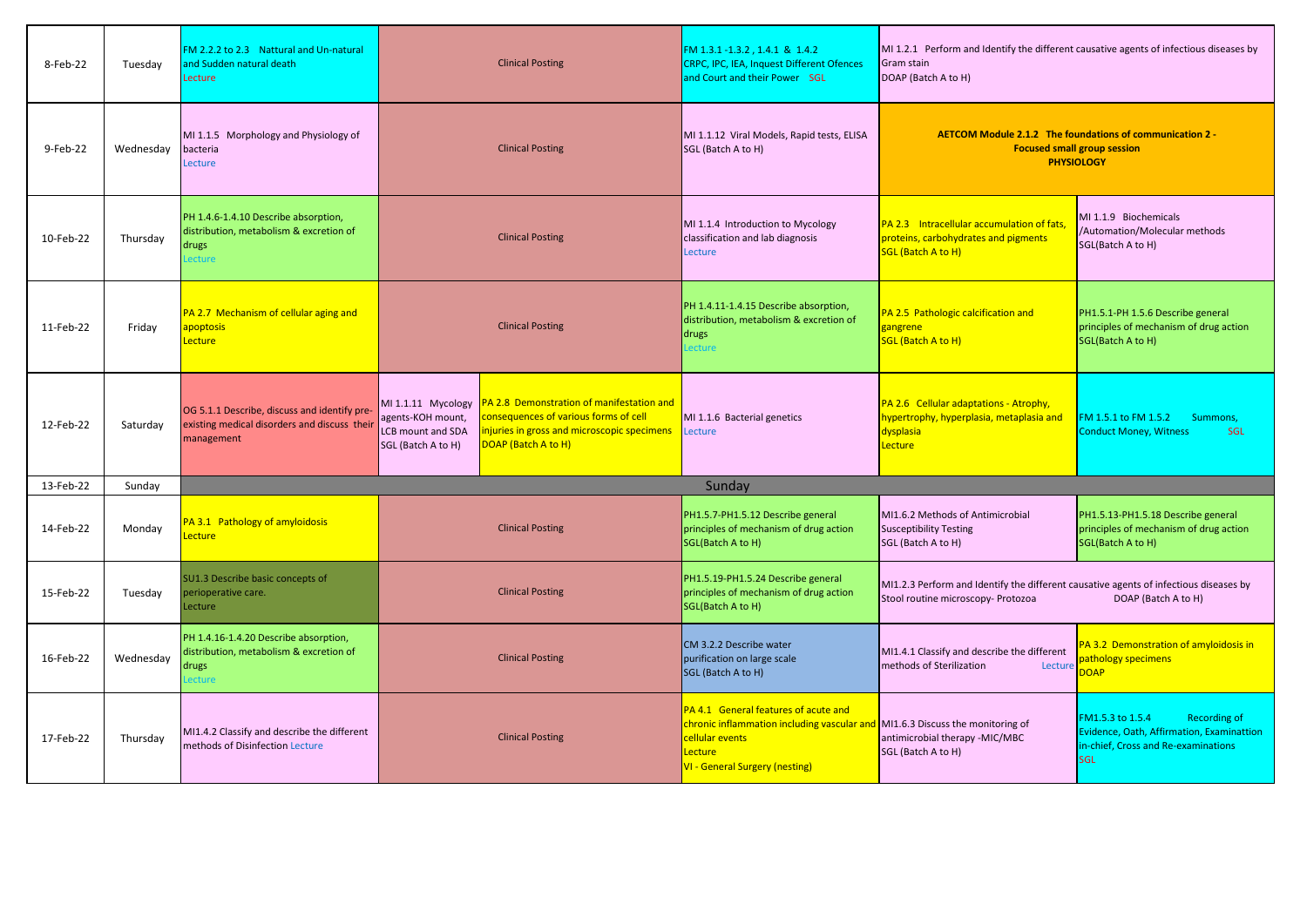| 8-Feb-22  | Tuesday   | FM 2.2.2 to 2.3 Nattural and Un-natural<br>and Sudden natural death<br>Lecture                             | <b>Clinical Posting</b>                                                                                                                                                                                                                       | FM 1.3.1-1.3.2, 1.4.1 & 1.4.2<br><b>CRPC, IPC, IEA, Inquest Different Ofences</b><br>and Court and their Power SGL                                                                           | MI 1.2.1 Perform and Identify the different causative agents of infectious diseases by<br>Gram stain<br>DOAP (Batch A to H) |                                                                                                                                           |
|-----------|-----------|------------------------------------------------------------------------------------------------------------|-----------------------------------------------------------------------------------------------------------------------------------------------------------------------------------------------------------------------------------------------|----------------------------------------------------------------------------------------------------------------------------------------------------------------------------------------------|-----------------------------------------------------------------------------------------------------------------------------|-------------------------------------------------------------------------------------------------------------------------------------------|
| 9-Feb-22  | Wednesdav | MI 1.1.5 Morphology and Physiology of<br>bacteria<br>Lecture                                               | <b>Clinical Posting</b>                                                                                                                                                                                                                       | MI 1.1.12 Viral Models, Rapid tests, ELISA<br>SGL (Batch A to H)                                                                                                                             | AETCOM Module 2.1.2 The foundations of communication 2 -<br><b>Focused small group session</b><br><b>PHYSIOLOGY</b>         |                                                                                                                                           |
| 10-Feb-22 | Thursday  | PH 1.4.6-1.4.10 Describe absorption,<br>distribution, metabolism & excretion of<br>drugs<br>ecture         | <b>Clinical Posting</b>                                                                                                                                                                                                                       | MI 1.1.4 Introduction to Mycology<br>classification and lab diagnosis<br>Lecture                                                                                                             | PA 2.3 Intracellular accumulation of fats,<br>proteins, carbohydrates and pigments<br>SGL (Batch A to H)                    | MI 1.1.9 Biochemicals<br>/Automation/Molecular methods<br>SGL(Batch A to H)                                                               |
| 11-Feb-22 | Friday    | PA 2.7 Mechanism of cellular aging and<br>apoptosis<br>Lecture                                             | <b>Clinical Posting</b>                                                                                                                                                                                                                       | PH 1.4.11-1.4.15 Describe absorption,<br>distribution, metabolism & excretion of<br>drugs<br>ecture                                                                                          | PA 2.5 Pathologic calcification and<br>gangrene<br><b>SGL (Batch A to H)</b>                                                | PH1.5.1-PH 1.5.6 Describe general<br>principles of mechanism of drug action<br>SGL(Batch A to H)                                          |
| 12-Feb-22 | Saturday  | OG 5.1.1 Describe, discuss and identify pre-<br>existing medical disorders and discuss their<br>management | MI 1.1.11 Mycology   PA 2.8 Demonstration of manifestation and<br>consequences of various forms of cell<br>agents-KOH mount,<br>injuries in gross and microscopic specimens<br>LCB mount and SDA<br>DOAP (Batch A to H)<br>SGL (Batch A to H) | MI 1.1.6 Bacterial genetics<br>Lecture                                                                                                                                                       | PA 2.6 Cellular adaptations - Atrophy,<br>hypertrophy, hyperplasia, metaplasia and<br>dysplasia<br>Lecture                  | FM 1.5.1 to FM 1.5.2<br>Summons,<br><b>Conduct Money, Witness</b><br><b>SGL</b>                                                           |
| 13-Feb-22 | Sunday    |                                                                                                            |                                                                                                                                                                                                                                               | Sunday                                                                                                                                                                                       |                                                                                                                             |                                                                                                                                           |
| 14-Feb-22 | Monday    | PA 3.1 Pathology of amyloidosis<br><b>Lecture</b>                                                          | <b>Clinical Posting</b>                                                                                                                                                                                                                       | PH1.5.7-PH1.5.12 Describe general<br>principles of mechanism of drug action<br>SGL(Batch A to H)                                                                                             | MI1.6.2 Methods of Antimicrobial<br>Susceptibility Testing<br>SGL (Batch A to H)                                            | PH1.5.13-PH1.5.18 Describe general<br>principles of mechanism of drug action<br>SGL(Batch A to H)                                         |
| 15-Feb-22 | Tuesday   | SU1.3 Describe basic concepts of<br>perioperative care.<br>Lecture                                         | <b>Clinical Posting</b>                                                                                                                                                                                                                       | PH1.5.19-PH1.5.24 Describe general<br>principles of mechanism of drug action<br>SGL(Batch A to H)                                                                                            | MI1.2.3 Perform and Identify the different causative agents of infectious diseases by<br>Stool routine microscopy- Protozoa | DOAP (Batch A to H)                                                                                                                       |
| 16-Feb-22 | Wednesday | PH 1.4.16-1.4.20 Describe absorption,<br>distribution, metabolism & excretion of<br>drugs<br>ecture        | <b>Clinical Posting</b>                                                                                                                                                                                                                       | CM 3.2.2 Describe water<br>purification on large scale<br>SGL (Batch A to H)                                                                                                                 | MI1.4.1 Classify and describe the different<br>methods of Sterilization<br>Lecture                                          | PA 3.2 Demonstration of amyloidosis in<br><b>Dathology specimens</b><br><b>OAP</b>                                                        |
| 17-Feb-22 | Thursday  | MI1.4.2 Classify and describe the different<br>methods of Disinfection Lecture                             | <b>Clinical Posting</b>                                                                                                                                                                                                                       | PA 4.1 General features of acute and<br>chronic inflammation including vascular and MI1.6.3 Discuss the monitoring of<br>cellular events<br>Lecture<br><b>VI - General Surgery (nesting)</b> | antimicrobial therapy -MIC/MBC<br>SGL (Batch A to H)                                                                        | FM1.5.3 to 1.5.4<br><b>Recording of</b><br>Evidence, Oath, Affirmation, Examinattion<br>in-chief, Cross and Re-examinations<br><b>SGL</b> |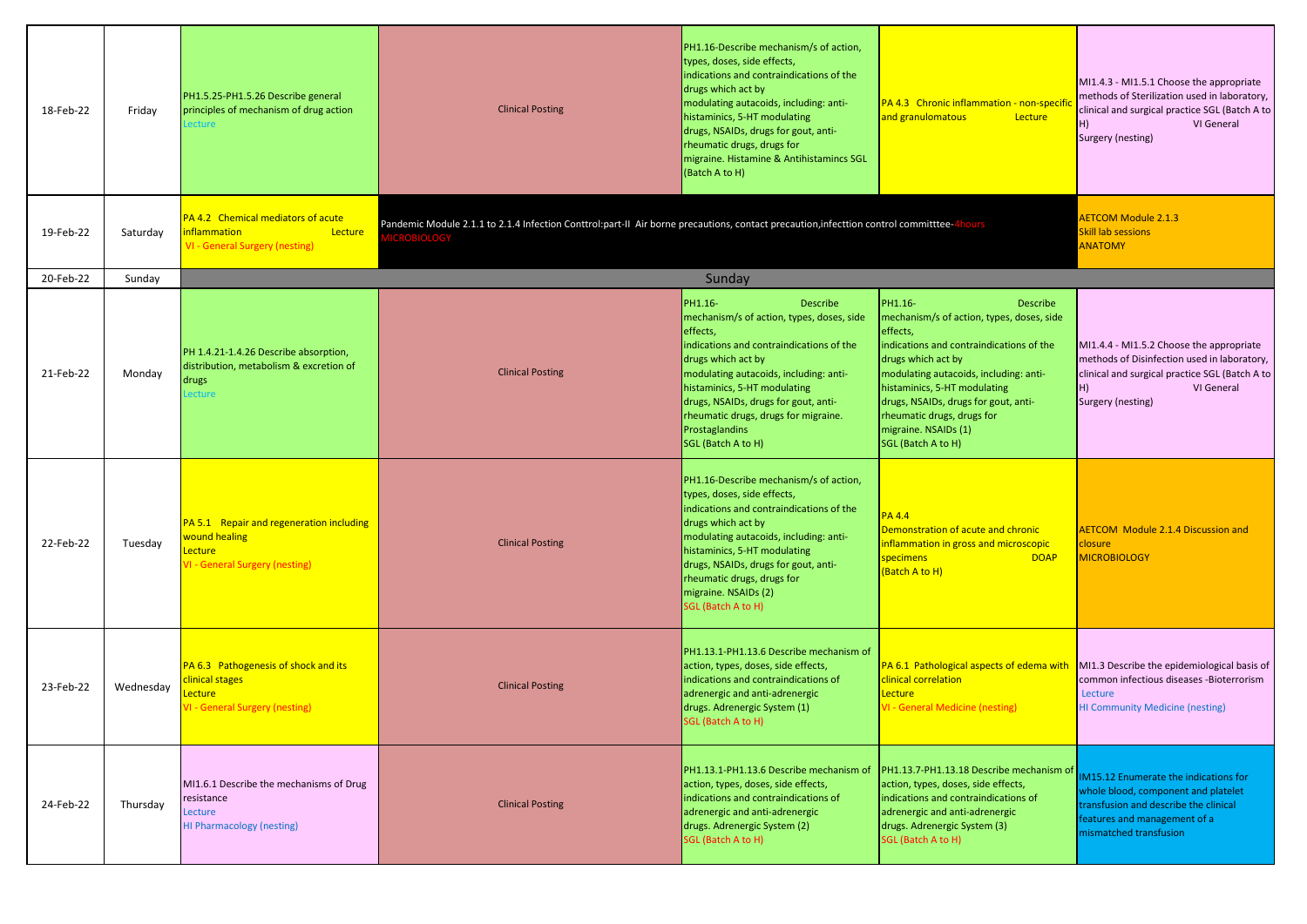| 18-Feb-22 | Friday    | PH1.5.25-PH1.5.26 Describe general<br>principles of mechanism of drug action<br>ecture                        | <b>Clinical Posting</b>                                                                                                              | PH1.16-Describe mechanism/s of action,<br>types, doses, side effects,<br>indications and contraindications of the<br>drugs which act by<br>modulating autacoids, including: anti-<br>histaminics, 5-HT modulating<br>drugs, NSAIDs, drugs for gout, anti-<br>rheumatic drugs, drugs for<br>migraine. Histamine & Antihistamincs SGL<br>(Batch A to H) | PA 4.3 Chronic inflammation - non-specifi<br>and granulomatous<br>Lecture                                                                                                                                                                                                                                                                           | MI1.4.3 - MI1.5.1 Choose the appropriate<br>methods of Sterilization used in laboratory,<br>clinical and surgical practice SGL (Batch A to<br>VI General<br>H)<br>Surgery (nesting) |
|-----------|-----------|---------------------------------------------------------------------------------------------------------------|--------------------------------------------------------------------------------------------------------------------------------------|-------------------------------------------------------------------------------------------------------------------------------------------------------------------------------------------------------------------------------------------------------------------------------------------------------------------------------------------------------|-----------------------------------------------------------------------------------------------------------------------------------------------------------------------------------------------------------------------------------------------------------------------------------------------------------------------------------------------------|-------------------------------------------------------------------------------------------------------------------------------------------------------------------------------------|
| 19-Feb-22 | Saturday  | PA 4.2 Chemical mediators of acute<br><b>Inflammation</b><br>Lecture<br><b>VI - General Surgery (nesting)</b> | Pandemic Module 2.1.1 to 2.1.4 Infection Conttrol:part-II Air borne precautions, contact precaution, infecttion control committtee-4 |                                                                                                                                                                                                                                                                                                                                                       |                                                                                                                                                                                                                                                                                                                                                     | <b>AETCOM Module 2.1.3</b><br><b>Skill lab sessions</b><br><b>ANATOMY</b>                                                                                                           |
| 20-Feb-22 | Sunday    |                                                                                                               |                                                                                                                                      | Sunday                                                                                                                                                                                                                                                                                                                                                |                                                                                                                                                                                                                                                                                                                                                     |                                                                                                                                                                                     |
| 21-Feb-22 | Monday    | PH 1.4.21-1.4.26 Describe absorption,<br>distribution, metabolism & excretion of<br>drugs<br>ecture           | <b>Clinical Posting</b>                                                                                                              | PH1.16-<br>Describe<br>mechanism/s of action, types, doses, side<br>effects,<br>indications and contraindications of the<br>drugs which act by<br>modulating autacoids, including: anti-<br>histaminics, 5-HT modulating<br>drugs, NSAIDs, drugs for gout, anti-<br>rheumatic drugs, drugs for migraine.<br>Prostaglandins<br>SGL (Batch A to H)      | PH1.16-<br><b>Describe</b><br>mechanism/s of action, types, doses, side<br>effects,<br>indications and contraindications of the<br>drugs which act by<br>modulating autacoids, including: anti-<br>histaminics, 5-HT modulating<br>drugs, NSAIDs, drugs for gout, anti-<br>rheumatic drugs, drugs for<br>migraine. NSAIDs (1)<br>SGL (Batch A to H) | MI1.4.4 - MI1.5.2 Choose the appropriate<br>methods of Disinfection used in laboratory,<br>clinical and surgical practice SGL (Batch A to<br>VI General<br>H)<br>Surgery (nesting)  |
| 22-Feb-22 | Tuesday   | PA 5.1 Repair and regeneration including<br>wound healing<br>Lecture<br>/I - General Surgery (nesting)        | <b>Clinical Posting</b>                                                                                                              | PH1.16-Describe mechanism/s of action,<br>types, doses, side effects,<br>indications and contraindications of the<br>drugs which act by<br>modulating autacoids, including: anti-<br>histaminics, 5-HT modulating<br>drugs, NSAIDs, drugs for gout, anti-<br>rheumatic drugs, drugs for<br>migraine. NSAIDs (2)<br>SGL (Batch A to H)                 | <b>PA 4.4</b><br>Demonstration of acute and chronic<br>inflammation in gross and microscopic<br><b>DOAP</b><br>specimens<br>(Batch A to H)                                                                                                                                                                                                          | <b>AETCOM</b> Module 2.1.4 Discussion and<br>closure<br><b>MICROBIOLOGY</b>                                                                                                         |
| 23-Feb-22 | Wednesday | PA 6.3 Pathogenesis of shock and its<br>clinical stages<br>ecture.<br>VI - General Surgery (nesting)          | <b>Clinical Posting</b>                                                                                                              | PH1.13.1-PH1.13.6 Describe mechanism of<br>action, types, doses, side effects,<br>indications and contraindications of<br>adrenergic and anti-adrenergic<br>drugs. Adrenergic System (1)<br>SGL (Batch A to H)                                                                                                                                        | PA 6.1 Pathological aspects of edema with<br>clinical correlation<br>Lecture<br><b>VI - General Medicine (nesting)</b>                                                                                                                                                                                                                              | MI1.3 Describe the epidemiological basis of<br>common infectious diseases -Bioterrorism<br>Lecture<br><b>HI Community Medicine (nesting)</b>                                        |
| 24-Feb-22 | Thursday  | MI1.6.1 Describe the mechanisms of Drug<br>resistance<br>Lecture<br><b>HI Pharmacology (nesting)</b>          | <b>Clinical Posting</b>                                                                                                              | PH1.13.1-PH1.13.6 Describe mechanism of<br>action, types, doses, side effects,<br>indications and contraindications of<br>adrenergic and anti-adrenergic<br>drugs. Adrenergic System (2)<br>SGL (Batch A to H)                                                                                                                                        | PH1.13.7-PH1.13.18 Describe mechanism of<br>action, types, doses, side effects,<br>indications and contraindications of<br>adrenergic and anti-adrenergic<br>drugs. Adrenergic System (3)<br>SGL (Batch A to H)                                                                                                                                     | IM15.12 Enumerate the indications for<br>whole blood, component and platelet<br>transfusion and describe the clinical<br>features and management of a<br>mismatched transfusion     |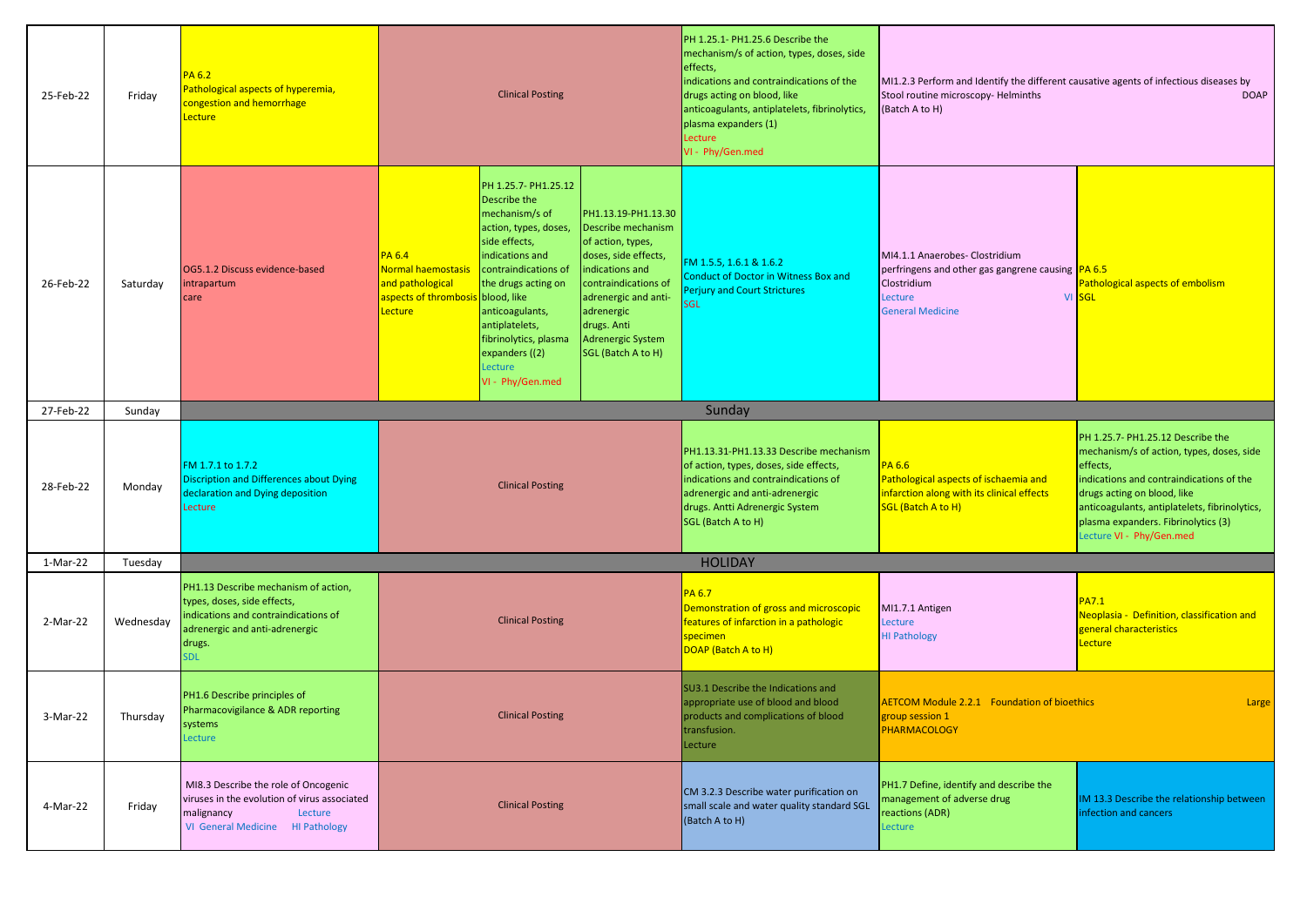| 25-Feb-22 | Friday    | PA 6.2<br>Pathological aspects of hyperemia,<br>congestion and hemorrhage<br><b>Lecture</b>                                                                           | <b>Clinical Posting</b>                                                                          |                                                                                                                                                                                                                                                                                                  | PH 1.25.1- PH1.25.6 Describe the<br>mechanism/s of action, types, doses, side<br>effects,<br>indications and contraindications of the<br>drugs acting on blood, like<br>anticoagulants, antiplatelets, fibrinolytics,<br>plasma expanders (1)<br>Lecture<br>VI - Phy/Gen.med | MI1.2.3 Perform and Identify the different causative agents of infectious diseases by<br>Stool routine microscopy-Helminths<br><b>DOAP</b><br>(Batch A to H)                                                       |                                                                                                                                           |                                                                                                                                                                                                                                                                                           |
|-----------|-----------|-----------------------------------------------------------------------------------------------------------------------------------------------------------------------|--------------------------------------------------------------------------------------------------|--------------------------------------------------------------------------------------------------------------------------------------------------------------------------------------------------------------------------------------------------------------------------------------------------|------------------------------------------------------------------------------------------------------------------------------------------------------------------------------------------------------------------------------------------------------------------------------|--------------------------------------------------------------------------------------------------------------------------------------------------------------------------------------------------------------------|-------------------------------------------------------------------------------------------------------------------------------------------|-------------------------------------------------------------------------------------------------------------------------------------------------------------------------------------------------------------------------------------------------------------------------------------------|
| 26-Feb-22 | Saturday  | OG5.1.2 Discuss evidence-based<br>ntrapartum<br>care                                                                                                                  | <b>PA 6.4</b><br><b>Normal haemostas</b><br>and pathological<br>aspects of thrombosis<br>Lecture | PH 1.25.7- PH1.25.12<br>Describe the<br>mechanism/s of<br>action, types, doses,<br>side effects,<br>indications and<br>contraindications of<br>the drugs acting on<br>blood, like<br>anticoagulants,<br>antiplatelets,<br>fibrinolytics, plasma<br>expanders ((2)<br>Lecture<br>VI - Phy/Gen.med | PH1.13.19-PH1.13.30<br>Describe mechanism<br>of action, types,<br>doses, side effects,<br>indications and<br>contraindications of<br>adrenergic and anti-<br>adrenergic<br>drugs. Anti<br>Adrenergic System<br>SGL (Batch A to H)                                            | FM 1.5.5, 1.6.1 & 1.6.2<br><b>Conduct of Doctor in Witness Box and</b><br><b>Perjury and Court Strictures</b><br>56L                                                                                               | MI4.1.1 Anaerobes- Clostridium<br>perfringens and other gas gangrene causing  PA 6.5<br>Clostridium<br>Lecture<br><b>General Medicine</b> | Pathological aspects of embolism<br>VI SGL                                                                                                                                                                                                                                                |
| 27-Feb-22 | Sunday    |                                                                                                                                                                       |                                                                                                  |                                                                                                                                                                                                                                                                                                  |                                                                                                                                                                                                                                                                              | Sunday                                                                                                                                                                                                             |                                                                                                                                           |                                                                                                                                                                                                                                                                                           |
| 28-Feb-22 | Monday    | FM 1.7.1 to 1.7.2<br><b>Discription and Differences about Dying</b><br>declaration and Dying deposition<br>Lecture                                                    |                                                                                                  | <b>Clinical Posting</b>                                                                                                                                                                                                                                                                          |                                                                                                                                                                                                                                                                              | PH1.13.31-PH1.13.33 Describe mechanism<br>of action, types, doses, side effects,<br>indications and contraindications of<br>adrenergic and anti-adrenergic<br>drugs. Antti Adrenergic System<br>SGL (Batch A to H) | <b>PA 6.6</b><br>Pathological aspects of ischaemia and<br>infarction along with its clinical effects<br>SGL (Batch A to H)                | PH 1.25.7- PH1.25.12 Describe the<br>mechanism/s of action, types, doses, side<br>effects,<br>indications and contraindications of the<br>drugs acting on blood, like<br>anticoagulants, antiplatelets, fibrinolytics,<br>plasma expanders. Fibrinolytics (3)<br>Lecture VI - Phy/Gen.med |
| 1-Mar-22  | Tuesday   |                                                                                                                                                                       |                                                                                                  |                                                                                                                                                                                                                                                                                                  |                                                                                                                                                                                                                                                                              | <b>HOLIDAY</b>                                                                                                                                                                                                     |                                                                                                                                           |                                                                                                                                                                                                                                                                                           |
| 2-Mar-22  | Wednesday | PH1.13 Describe mechanism of action,<br>types, doses, side effects,<br>indications and contraindications of<br>adrenergic and anti-adrenergic<br>drugs.<br><b>SDL</b> |                                                                                                  | <b>Clinical Posting</b>                                                                                                                                                                                                                                                                          |                                                                                                                                                                                                                                                                              | <b>PA 6.7</b><br>Demonstration of gross and microscopic<br>features of infarction in a pathologic<br>specimen<br>DOAP (Batch A to H)                                                                               | MI1.7.1 Antigen<br>Lecture<br><b>HI Pathology</b>                                                                                         | <b>PA7.1</b><br>Neoplasia - Definition, classification and<br>general characteristics<br>Lecture                                                                                                                                                                                          |
| 3-Mar-22  | Thursdav  | PH1.6 Describe principles of<br>Pharmacovigilance & ADR reporting<br>systems<br><b>Lecture</b>                                                                        | <b>Clinical Posting</b>                                                                          |                                                                                                                                                                                                                                                                                                  | SU3.1 Describe the Indications and<br>appropriate use of blood and blood<br>products and complications of blood<br>transfusion.<br>Lecture                                                                                                                                   | <b>AETCOM Module 2.2.1 Foundation of bioethics</b><br>group session 1<br><b>PHARMACOLOGY</b>                                                                                                                       | <b>Large</b>                                                                                                                              |                                                                                                                                                                                                                                                                                           |
| 4-Mar-22  | Friday    | MI8.3 Describe the role of Oncogenic<br>viruses in the evolution of virus associated<br>Lecture<br>malignancy<br>VI General Medicine HI Pathology                     |                                                                                                  | <b>Clinical Posting</b>                                                                                                                                                                                                                                                                          |                                                                                                                                                                                                                                                                              | CM 3.2.3 Describe water purification on<br>small scale and water quality standard SGL<br>(Batch A to H)                                                                                                            | PH1.7 Define, identify and describe the<br>management of adverse drug<br>reactions (ADR)<br>Lecture                                       | IM 13.3 Describe the relationship between<br>infection and cancers                                                                                                                                                                                                                        |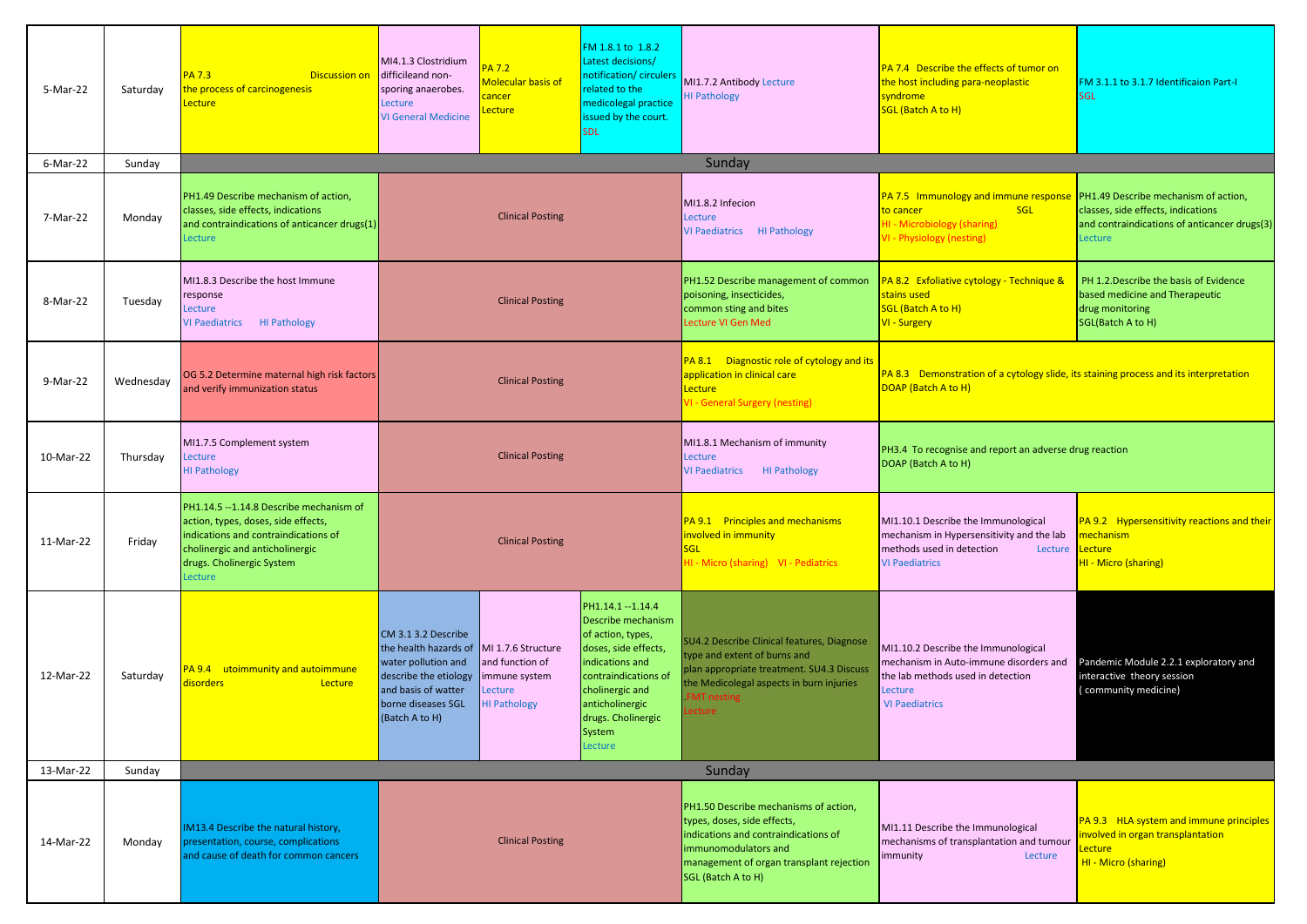| 5-Mar-22  | Saturday  | <b>PA 7.3</b><br><b>Discussion on</b><br>he process of carcinogenesis<br>ecture                                                                                                                   | MI4.1.3 Clostridium<br>difficileand non-<br>sporing anaerobes.<br>Lecture<br><b>VI General Medicine</b>                                                     | <b>PA 7.2</b><br>Molecular basis of<br>cancer<br>ecture.                               | FM 1.8.1 to 1.8.2<br>Latest decisions/<br>notification/ circulers<br>related to the<br>medicolegal practice<br>ssued by the court.<br>SDL                                                                         | MI1.7.2 Antibody Lecture<br><b>HI Pathology</b>                                                                                                                                                     | <b>PA 7.4 Describe the effects of tumor on</b><br>the host including para-neoplastic<br>syndrome<br>SGL (Batch A to H)                                 | FM 3.1.1 to 3.1.7 Identificaion Part-I<br><b>SGL</b>                                                                                  |
|-----------|-----------|---------------------------------------------------------------------------------------------------------------------------------------------------------------------------------------------------|-------------------------------------------------------------------------------------------------------------------------------------------------------------|----------------------------------------------------------------------------------------|-------------------------------------------------------------------------------------------------------------------------------------------------------------------------------------------------------------------|-----------------------------------------------------------------------------------------------------------------------------------------------------------------------------------------------------|--------------------------------------------------------------------------------------------------------------------------------------------------------|---------------------------------------------------------------------------------------------------------------------------------------|
| 6-Mar-22  | Sunday    |                                                                                                                                                                                                   |                                                                                                                                                             |                                                                                        |                                                                                                                                                                                                                   | Sunday                                                                                                                                                                                              |                                                                                                                                                        |                                                                                                                                       |
| 7-Mar-22  | Monday    | PH1.49 Describe mechanism of action,<br>classes, side effects, indications<br>and contraindications of anticancer drugs(1)<br>Lecture                                                             | <b>Clinical Posting</b>                                                                                                                                     |                                                                                        |                                                                                                                                                                                                                   | MI1.8.2 Infecion<br>Lecture<br>VI Paediatrics HI Pathology                                                                                                                                          | PA 7.5 Immunology and immune response<br>to cancer<br><b>SGL</b><br><b>HI - Microbiology (sharing)</b><br><b>VI - Physiology (nesting)</b>             | PH1.49 Describe mechanism of action,<br>classes, side effects, indications<br>and contraindications of anticancer drugs(3)<br>Lecture |
| 8-Mar-22  | Tuesday   | MI1.8.3 Describe the host Immune<br>response<br>Lecture<br><b>VI Paediatrics</b><br><b>HI Pathology</b>                                                                                           |                                                                                                                                                             | <b>Clinical Posting</b>                                                                |                                                                                                                                                                                                                   | PH1.52 Describe management of common<br>poisoning, insecticides,<br>common sting and bites<br>Lecture VI Gen Med                                                                                    | PA 8.2 Exfoliative cytology - Technique &<br>stains used<br>SGL (Batch A to H)<br><b>VI - Surgery</b>                                                  | PH 1.2. Describe the basis of Evidence<br>based medicine and Therapeutic<br>drug monitoring<br>SGL(Batch A to H)                      |
| 9-Mar-22  | Wednesday | OG 5.2 Determine maternal high risk factors<br>and verify immunization status                                                                                                                     | <b>Clinical Posting</b>                                                                                                                                     |                                                                                        |                                                                                                                                                                                                                   | PA 8.1 Diagnostic role of cytology and its<br>application in clinical care<br>Lecture<br><b>VI - General Surgery (nesting)</b>                                                                      | PA 8.3 Demonstration of a cytology slide, its staining process and its interpretation<br>DOAP (Batch A to H)                                           |                                                                                                                                       |
| 10-Mar-22 | Thursday  | MI1.7.5 Complement system<br>Lecture<br><b>HI Pathology</b>                                                                                                                                       | <b>Clinical Posting</b>                                                                                                                                     |                                                                                        |                                                                                                                                                                                                                   | MI1.8.1 Mechanism of immunity<br>Lecture<br><b>VI Paediatrics</b><br><b>HI Pathology</b>                                                                                                            | PH3.4 To recognise and report an adverse drug reaction<br>DOAP (Batch A to H)                                                                          |                                                                                                                                       |
| 11-Mar-22 | Friday    | PH1.14.5 -- 1.14.8 Describe mechanism of<br>action, types, doses, side effects,<br>indications and contraindications of<br>cholinergic and anticholinergic<br>drugs. Cholinergic System<br>ecture |                                                                                                                                                             | <b>Clinical Posting</b>                                                                |                                                                                                                                                                                                                   | PA 9.1 Principles and mechanisms<br>involved in immunity<br>SGL<br>HI - Micro (sharing) VI - Pediatrics                                                                                             | MI1.10.1 Describe the Immunological<br>mechanism in Hypersensitivity and the lab<br>methods used in detection<br>Lecture<br><b>VI Paediatrics</b>      | PA 9.2 Hypersensitivity reactions and their<br>nechanism<br>Lecture<br>HI - Micro (sharing)                                           |
| 12-Mar-22 | Saturday  | PA 9.4 utoimmunity and autoimmune<br>disorders<br>Lecture                                                                                                                                         | CM 3.1 3.2 Describe<br>the health hazards of<br>water pollution and<br>describe the etiology<br>and basis of watter<br>borne diseases SGL<br>(Batch A to H) | MI 1.7.6 Structure<br>and function of<br>mmune system<br>ecture<br><b>HI Pathology</b> | PH1.14.1 -- 1.14.4<br>Describe mechanism<br>of action, types,<br>doses, side effects,<br>indications and<br>contraindications of<br>cholinergic and<br>anticholinergic<br>drugs. Cholinergic<br>System<br>Lecture | SU4.2 Describe Clinical features, Diagnose<br>type and extent of burns and<br>plan appropriate treatment. SU4.3 Discuss<br>the Medicolegal aspects in burn injuries<br><b>FMT</b> nesting<br>ecture | MI1.10.2 Describe the Immunological<br>mechanism in Auto-immune disorders and<br>the lab methods used in detection<br>Lecture<br><b>VI Paediatrics</b> | Pandemic Module 2.2.1 exploratory and<br>interactive theory session<br>community medicine)                                            |
| 13-Mar-22 | Sunday    |                                                                                                                                                                                                   |                                                                                                                                                             |                                                                                        |                                                                                                                                                                                                                   | Sunday                                                                                                                                                                                              |                                                                                                                                                        |                                                                                                                                       |
| 14-Mar-22 | Monday    | IM13.4 Describe the natural history,<br>oresentation, course, complications<br>and cause of death for common cancers                                                                              | <b>Clinical Posting</b>                                                                                                                                     |                                                                                        | PH1.50 Describe mechanisms of action,<br>types, doses, side effects,<br>indications and contraindications of<br>immunomodulators and<br>management of organ transplant rejection<br>SGL (Batch A to H)            | MI1.11 Describe the Immunological<br>mechanisms of transplantation and tumour<br>Lecture<br>immunity                                                                                                | PA 9.3 HLA system and immune principles<br>nvolved in organ transplantation<br>ecture<br>HI - Micro (sharing)                                          |                                                                                                                                       |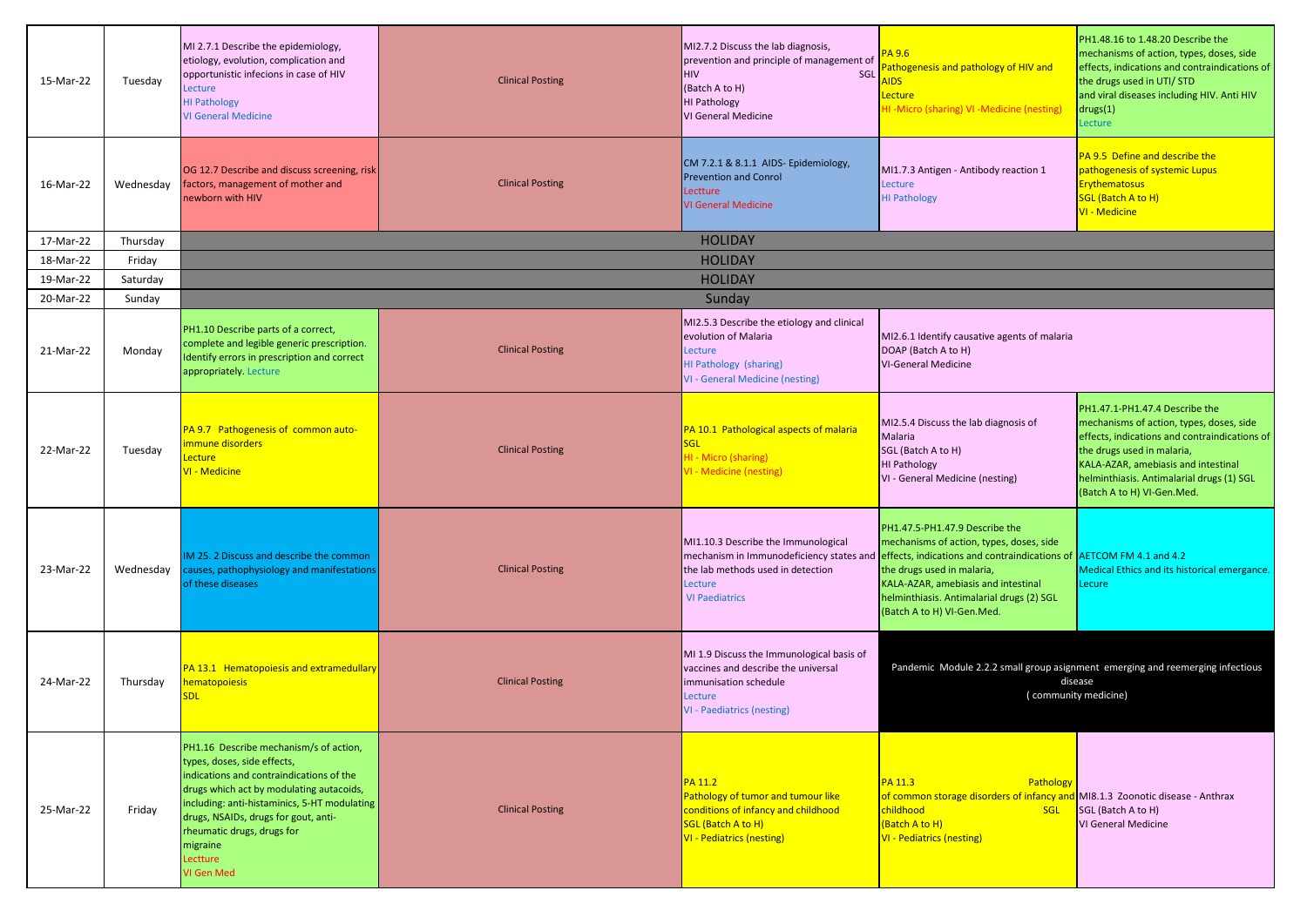| 15-Mar-22 | Tuesday   | MI 2.7.1 Describe the epidemiology,<br>etiology, evolution, complication and<br>opportunistic infecions in case of HIV<br>Lecture<br><b>HI Pathology</b><br><b>VI General Medicine</b>                                                                                                                                    | <b>Clinical Posting</b> | MI2.7.2 Discuss the lab diagnosis,<br>prevention and principle of management of<br>SGL<br><b>HIV</b><br>(Batch A to H)<br><b>HI Pathology</b><br>VI General Medicine | <b>PA 9.6</b><br>athogenesis and pathology of HIV and<br><b>NDS</b><br><b>Lecture</b><br>HI-Micro (sharing) VI-Medicine (nesting)                                                                                                                                                                                                          | PH1.48.16 to 1.48.20 Describe the<br>mechanisms of action, types, doses, side<br>effects, indications and contraindications of<br>the drugs used in UTI/ STD<br>and viral diseases including HIV. Anti HIV<br>drugs(1)<br>Lecture                                           |
|-----------|-----------|---------------------------------------------------------------------------------------------------------------------------------------------------------------------------------------------------------------------------------------------------------------------------------------------------------------------------|-------------------------|----------------------------------------------------------------------------------------------------------------------------------------------------------------------|--------------------------------------------------------------------------------------------------------------------------------------------------------------------------------------------------------------------------------------------------------------------------------------------------------------------------------------------|-----------------------------------------------------------------------------------------------------------------------------------------------------------------------------------------------------------------------------------------------------------------------------|
| 16-Mar-22 | Wednesday | OG 12.7 Describe and discuss screening, risk<br>factors, management of mother and<br>newborn with HIV                                                                                                                                                                                                                     | <b>Clinical Posting</b> | CM 7.2.1 & 8.1.1 AIDS- Epidemiology,<br><b>Prevention and Conrol</b><br>Lectture<br><b>VI General Medicine</b>                                                       | MI1.7.3 Antigen - Antibody reaction 1<br>Lecture<br><b>HI Pathology</b>                                                                                                                                                                                                                                                                    | PA 9.5 Define and describe the<br>pathogenesis of systemic Lupus<br><b>Erythematosus</b><br>SGL (Batch A to H)<br><b>VI - Medicine</b>                                                                                                                                      |
| 17-Mar-22 | Thursday  |                                                                                                                                                                                                                                                                                                                           |                         | <b>HOLIDAY</b>                                                                                                                                                       |                                                                                                                                                                                                                                                                                                                                            |                                                                                                                                                                                                                                                                             |
| 18-Mar-22 | Friday    |                                                                                                                                                                                                                                                                                                                           |                         | <b>HOLIDAY</b>                                                                                                                                                       |                                                                                                                                                                                                                                                                                                                                            |                                                                                                                                                                                                                                                                             |
| 19-Mar-22 | Saturday  |                                                                                                                                                                                                                                                                                                                           |                         | <b>HOLIDAY</b>                                                                                                                                                       |                                                                                                                                                                                                                                                                                                                                            |                                                                                                                                                                                                                                                                             |
| 20-Mar-22 | Sunday    |                                                                                                                                                                                                                                                                                                                           |                         | Sunday                                                                                                                                                               |                                                                                                                                                                                                                                                                                                                                            |                                                                                                                                                                                                                                                                             |
| 21-Mar-22 | Monday    | PH1.10 Describe parts of a correct,<br>complete and legible generic prescription.<br>Identify errors in prescription and correct<br>appropriately. Lecture                                                                                                                                                                | <b>Clinical Posting</b> | MI2.5.3 Describe the etiology and clinical<br>evolution of Malaria<br>Lecture<br>HI Pathology (sharing)<br><b>VI - General Medicine (nesting)</b>                    | MI2.6.1 Identify causative agents of malaria<br>DOAP (Batch A to H)<br><b>VI-General Medicine</b>                                                                                                                                                                                                                                          |                                                                                                                                                                                                                                                                             |
| 22-Mar-22 | Tuesday   | PA 9.7 Pathogenesis of common auto-<br>mmune disorders<br>Lecture<br>VI - Medicine                                                                                                                                                                                                                                        | <b>Clinical Posting</b> | PA 10.1 Pathological aspects of malaria<br><b>SGL</b><br>HI - Micro (sharing)<br>VI - Medicine (nesting)                                                             | MI2.5.4 Discuss the lab diagnosis of<br>Malaria<br>SGL (Batch A to H)<br><b>HI Pathology</b><br>VI - General Medicine (nesting)                                                                                                                                                                                                            | PH1.47.1-PH1.47.4 Describe the<br>mechanisms of action, types, doses, side<br>effects, indications and contraindications of<br>the drugs used in malaria,<br>KALA-AZAR, amebiasis and intestinal<br>helminthiasis. Antimalarial drugs (1) SGL<br>(Batch A to H) VI-Gen.Med. |
| 23-Mar-22 | Wednesday | IM 25. 2 Discuss and describe the common<br>causes, pathophysiology and manifestations<br>of these diseases                                                                                                                                                                                                               | <b>Clinical Posting</b> | MI1.10.3 Describe the Immunological<br>the lab methods used in detection<br>Lecture<br><b>VI Paediatrics</b>                                                         | PH1.47.5-PH1.47.9 Describe the<br>mechanisms of action, types, doses, side<br>mechanism in Immunodeficiency states and effects, indications and contraindications of AETCOM FM 4.1 and 4.2<br>the drugs used in malaria,<br>KALA-AZAR, amebiasis and intestinal<br>helminthiasis. Antimalarial drugs (2) SGL<br>(Batch A to H) VI-Gen.Med. | Medical Ethics and its historical emergance.<br>Lecure                                                                                                                                                                                                                      |
| 24-Mar-22 | Thursday  | PA 13.1 Hematopoiesis and extramedullary<br>nematopoiesis<br><b>SDL</b>                                                                                                                                                                                                                                                   | <b>Clinical Posting</b> | MI 1.9 Discuss the Immunological basis of<br>vaccines and describe the universal<br>immunisation schedule<br>Lecture<br>VI - Paediatrics (nesting)                   |                                                                                                                                                                                                                                                                                                                                            | Pandemic Module 2.2.2 small group asignment emerging and reemerging infectious<br>disease<br>(community medicine)                                                                                                                                                           |
| 25-Mar-22 | Friday    | PH1.16 Describe mechanism/s of action,<br>types, doses, side effects,<br>indications and contraindications of the<br>drugs which act by modulating autacoids,<br>including: anti-histaminics, 5-HT modulating<br>drugs, NSAIDs, drugs for gout, anti-<br>rheumatic drugs, drugs for<br>migraine<br>Lectture<br>VI Gen Med | <b>Clinical Posting</b> | PA 11.2<br>Pathology of tumor and tumour like<br>conditions of infancy and childhood<br><b>SGL (Batch A to H)</b><br><b>VI - Pediatrics (nesting)</b>                | <b>PA 11.3</b><br>Pathology<br>of common storage disorders of infancy and MI8.1.3 Zoonotic disease - Anthrax<br>childhood<br>SGL<br>(Batch A to H)<br><b>VI - Pediatrics (nesting)</b>                                                                                                                                                     | SGL (Batch A to H)<br>VI General Medicine                                                                                                                                                                                                                                   |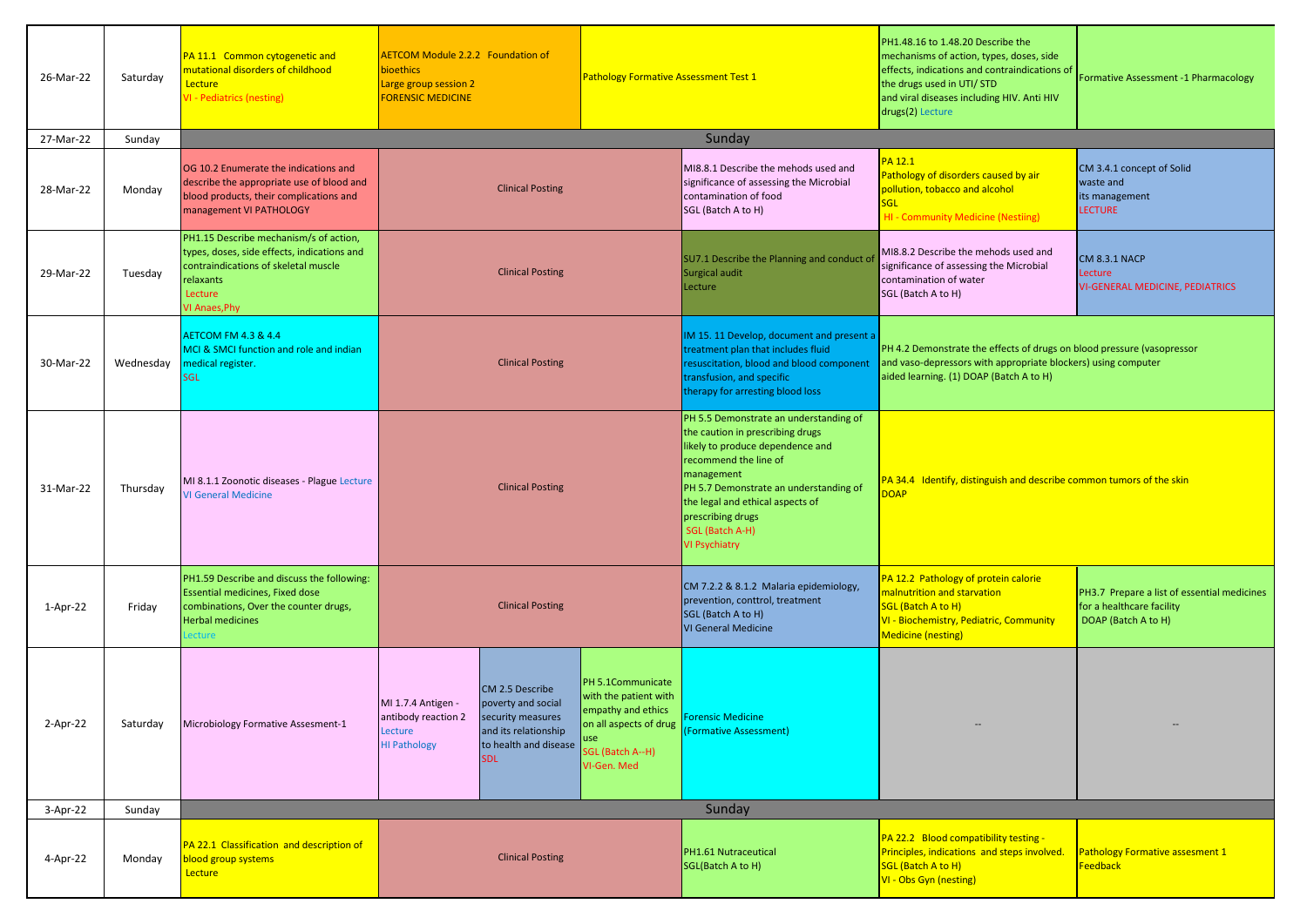| 26-Mar-22 | Saturday  | PA 11.1 Common cytogenetic and<br>nutational disorders of childhood<br>Lecture<br>/I - Pediatrics (nesting)                                                            | <b>AETCOM Module 2.2.2 Foundation of</b><br>bioethics<br><b>Pathology Formative Assessment Test 1</b><br>Large group session 2<br><b>FORENSIC MEDICINE</b>                                               |                                                                                                     |                                                                                                                                                                                                                                                                                                     | PH1.48.16 to 1.48.20 Describe the<br>mechanisms of action, types, doses, side<br>Inconsiderations and contraindications of <b>Formative Assessment -1 Pharmacology</b><br>the drugs used in UTI/STD<br>and viral diseases including HIV. Anti HIV<br>drugs(2) Lecture |                                                                                                 |
|-----------|-----------|------------------------------------------------------------------------------------------------------------------------------------------------------------------------|----------------------------------------------------------------------------------------------------------------------------------------------------------------------------------------------------------|-----------------------------------------------------------------------------------------------------|-----------------------------------------------------------------------------------------------------------------------------------------------------------------------------------------------------------------------------------------------------------------------------------------------------|-----------------------------------------------------------------------------------------------------------------------------------------------------------------------------------------------------------------------------------------------------------------------|-------------------------------------------------------------------------------------------------|
| 27-Mar-22 | Sunday    |                                                                                                                                                                        |                                                                                                                                                                                                          |                                                                                                     | Sunday                                                                                                                                                                                                                                                                                              |                                                                                                                                                                                                                                                                       |                                                                                                 |
| 28-Mar-22 | Monday    | OG 10.2 Enumerate the indications and<br>describe the appropriate use of blood and<br>blood products, their complications and<br>management VI PATHOLOGY               | <b>Clinical Posting</b>                                                                                                                                                                                  |                                                                                                     | MI8.8.1 Describe the mehods used and<br>significance of assessing the Microbial<br>contamination of food<br>SGL (Batch A to H)                                                                                                                                                                      | PA 12.1<br>Pathology of disorders caused by air<br>pollution, tobacco and alcohol<br><b>SGL</b><br><b>HI - Community Medicine (Nestiing)</b>                                                                                                                          | CM 3.4.1 concept of Solid<br>waste and<br>its management<br><b>LECTURE</b>                      |
| 29-Mar-22 | Tuesday   | PH1.15 Describe mechanism/s of action,<br>types, doses, side effects, indications and<br>contraindications of skeletal muscle<br>relaxants<br>Lecture<br>VI Anaes, Phy | <b>Clinical Posting</b>                                                                                                                                                                                  |                                                                                                     | SU7.1 Describe the Planning and conduct o<br>Surgical audit<br>Lecture                                                                                                                                                                                                                              | MI8.8.2 Describe the mehods used and<br>significance of assessing the Microbial<br>contamination of water<br>SGL (Batch A to H)                                                                                                                                       | <b>CM 8.3.1 NACP</b><br>Lecture<br><b>VI-GENERAL MEDICINE, PEDIATRICS</b>                       |
| 30-Mar-22 | Wednesday | <b>AETCOM FM 4.3 &amp; 4.4</b><br>MCI & SMCI function and role and indian<br>medical register.<br><b>SGL</b>                                                           | <b>Clinical Posting</b>                                                                                                                                                                                  |                                                                                                     | IM 15. 11 Develop, document and present a<br>treatment plan that includes fluid<br>resuscitation, blood and blood component<br>transfusion, and specific<br>therapy for arresting blood loss                                                                                                        | PH 4.2 Demonstrate the effects of drugs on blood pressure (vasopressor<br>and vaso-depressors with appropriate blockers) using computer<br>aided learning. (1) DOAP (Batch A to H)                                                                                    |                                                                                                 |
| 31-Mar-22 | Thursday  | MI 8.1.1 Zoonotic diseases - Plague Lecture<br><b>VI General Medicine</b>                                                                                              | <b>Clinical Posting</b>                                                                                                                                                                                  |                                                                                                     | PH 5.5 Demonstrate an understanding of<br>the caution in prescribing drugs<br>likely to produce dependence and<br>recommend the line of<br>management<br>PH 5.7 Demonstrate an understanding of<br>the legal and ethical aspects of<br>prescribing drugs<br>SGL (Batch A-H)<br><b>VI Psychiatry</b> | PA 34.4 Identify, distinguish and describe common tumors of the skin<br><b>DOAP</b>                                                                                                                                                                                   |                                                                                                 |
| 1-Apr-22  | Friday    | PH1.59 Describe and discuss the following:<br><b>Essential medicines, Fixed dose</b><br>combinations, Over the counter drugs,<br><b>Herbal medicines</b><br>ecture     | <b>Clinical Posting</b>                                                                                                                                                                                  |                                                                                                     | CM 7.2.2 & 8.1.2 Malaria epidemiology,<br>prevention, conttrol, treatment<br>SGL (Batch A to H)<br><b>VI General Medicine</b>                                                                                                                                                                       | PA 12.2 Pathology of protein calorie<br>malnutrition and starvation<br>SGL (Batch A to H)<br>VI - Biochemistry, Pediatric, Community<br><b>Medicine (nesting)</b>                                                                                                     | PH3.7 Prepare a list of essential medicines<br>for a healthcare facility<br>DOAP (Batch A to H) |
| 2-Apr-22  | Saturday  | Microbiology Formative Assesment-1                                                                                                                                     | CM 2.5 Describe<br>MI 1.7.4 Antigen -<br>poverty and social<br>security measures<br>antibody reaction 2<br>and its relationship<br>Lecture<br><b>HI Pathology</b><br>to health and disease<br><b>SDL</b> | PH 5.1Communicate<br>with the patient with<br>empathy and ethics<br>SGL (Batch A--H)<br>VI-Gen. Med | <b>Forensic Medicine</b><br>on all aspects of drug (Formative Assessment)                                                                                                                                                                                                                           |                                                                                                                                                                                                                                                                       |                                                                                                 |
| 3-Apr-22  | Sunday    |                                                                                                                                                                        |                                                                                                                                                                                                          |                                                                                                     | Sunday                                                                                                                                                                                                                                                                                              |                                                                                                                                                                                                                                                                       |                                                                                                 |
| 4-Apr-22  | Monday    | PA 22.1 Classification and description of<br>plood group systems<br>Lecture                                                                                            | <b>Clinical Posting</b>                                                                                                                                                                                  |                                                                                                     | PH1.61 Nutraceutical<br>SGL(Batch A to H)                                                                                                                                                                                                                                                           | PA 22.2 Blood compatibility testing -<br>Principles, indications and steps involved.<br>SGL (Batch A to H)<br>VI - Obs Gyn (nesting)                                                                                                                                  | <b>Pathology Formative assesment 1</b><br><b>Feedback</b>                                       |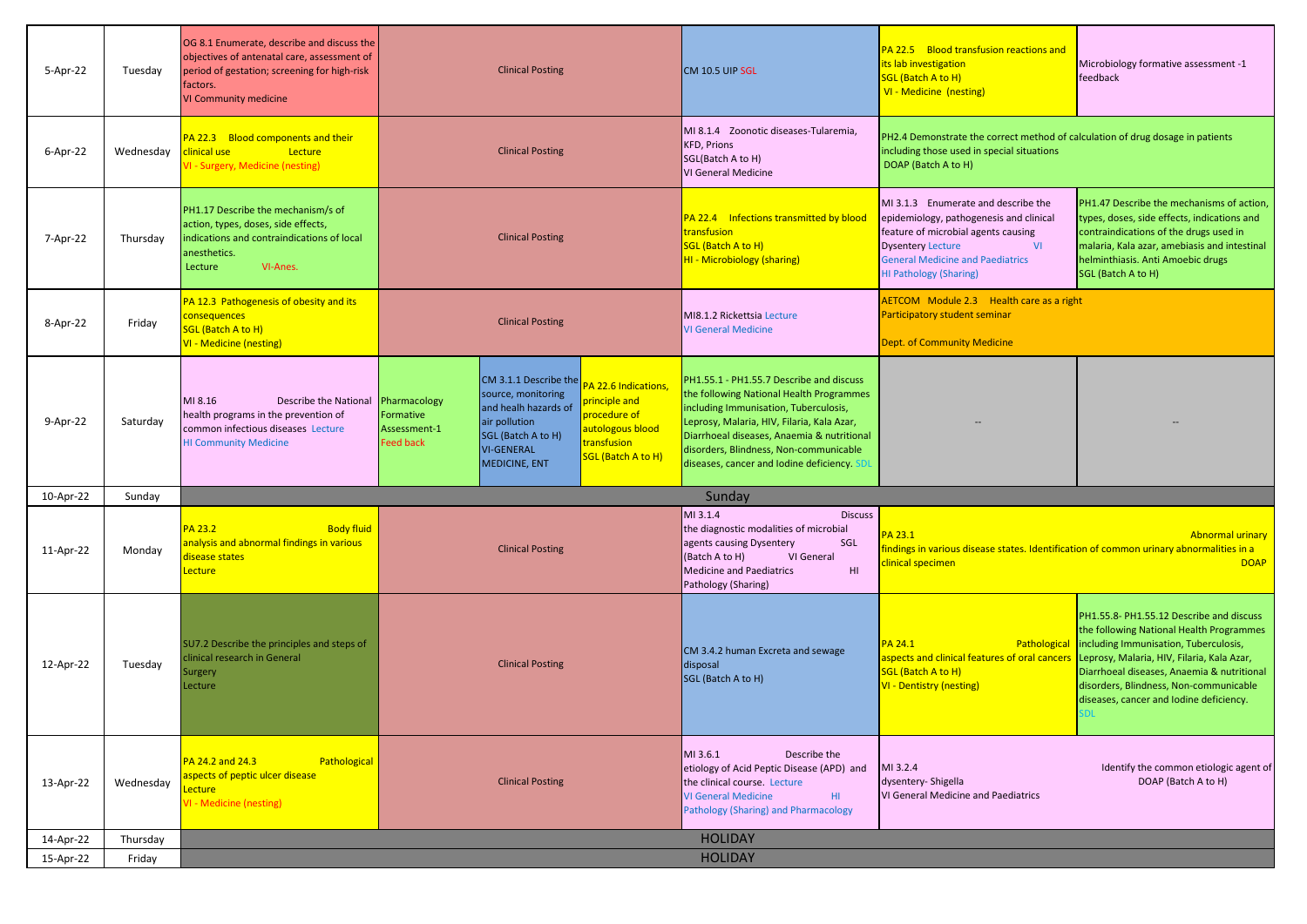| 5-Apr-22  | Tuesday   | OG 8.1 Enumerate, describe and discuss the<br>objectives of antenatal care, assessment of<br>period of gestation; screening for high-risk<br>factors.<br>VI Community medicine | <b>Clinical Posting</b>                                                                                                                                                                                                                                                                                                         | CM 10.5 UIP SGL                                                                                                                                                                                                                                                                                                   | PA 22.5 Blood transfusion reactions and<br>its lab investigation<br>SGL (Batch A to H)<br>VI - Medicine (nesting)                                                                                                                          | Microbiology formative assessment -1<br>feedback                                                                                                                                                                                                                                                               |
|-----------|-----------|--------------------------------------------------------------------------------------------------------------------------------------------------------------------------------|---------------------------------------------------------------------------------------------------------------------------------------------------------------------------------------------------------------------------------------------------------------------------------------------------------------------------------|-------------------------------------------------------------------------------------------------------------------------------------------------------------------------------------------------------------------------------------------------------------------------------------------------------------------|--------------------------------------------------------------------------------------------------------------------------------------------------------------------------------------------------------------------------------------------|----------------------------------------------------------------------------------------------------------------------------------------------------------------------------------------------------------------------------------------------------------------------------------------------------------------|
| 6-Apr-22  | Wednesday | PA 22.3 Blood components and their<br>clinical use<br>Lecture<br>/I - Surgery, Medicine (nesting)                                                                              | <b>Clinical Posting</b>                                                                                                                                                                                                                                                                                                         | MI 8.1.4 Zoonotic diseases-Tularemia,<br><b>KFD, Prions</b><br>SGL(Batch A to H)<br><b>VI General Medicine</b>                                                                                                                                                                                                    | PH2.4 Demonstrate the correct method of calculation of drug dosage in patients<br>including those used in special situations<br>DOAP (Batch A to H)                                                                                        |                                                                                                                                                                                                                                                                                                                |
| 7-Apr-22  | Thursday  | PH1.17 Describe the mechanism/s of<br>action, types, doses, side effects,<br>indications and contraindications of local<br>anesthetics.<br>VI-Anes.<br>Lecture                 | <b>Clinical Posting</b>                                                                                                                                                                                                                                                                                                         | PA 22.4 Infections transmitted by blood<br>transfusion<br>SGL (Batch A to H)<br>HI - Microbiology (sharing)                                                                                                                                                                                                       | MI 3.1.3 Enumerate and describe the<br>epidemiology, pathogenesis and clinical<br>feature of microbial agents causing<br><b>VI</b><br><b>Dysentery Lecture</b><br><b>General Medicine and Paediatrics</b><br><b>HI Pathology (Sharing)</b> | PH1.47 Describe the mechanisms of action,<br>types, doses, side effects, indications and<br>contraindications of the drugs used in<br>malaria, Kala azar, amebiasis and intestinal<br>helminthiasis. Anti Amoebic drugs<br>SGL (Batch A to H)                                                                  |
| 8-Apr-22  | Friday    | PA 12.3 Pathogenesis of obesity and its<br>consequences<br><b>SGL (Batch A to H)</b><br>VI - Medicine (nesting)                                                                | <b>Clinical Posting</b>                                                                                                                                                                                                                                                                                                         | MI8.1.2 Rickettsia Lecture<br><b>VI General Medicine</b>                                                                                                                                                                                                                                                          | AETCOM Module 2.3 Health care as a right<br>Participatory student seminar<br><b>Dept. of Community Medicine</b>                                                                                                                            |                                                                                                                                                                                                                                                                                                                |
| 9-Apr-22  | Saturday  | MI 8.16<br>Describe the National Pharmacology<br>health programs in the prevention of<br>common infectious diseases Lecture<br><b>HI Community Medicine</b>                    | CM 3.1.1 Describe the<br><b>A 22.6 Indications</b><br>source, monitoring<br>principle and<br>and healh hazards of<br>procedure of<br>Formative<br>air pollution<br>autologous blood<br>Assessment-1<br>SGL (Batch A to H)<br>transfusion<br><b>Feed back</b><br><b>VI-GENERAL</b><br>SGL (Batch A to H)<br><b>MEDICINE, ENT</b> | PH1.55.1 - PH1.55.7 Describe and discuss<br>the following National Health Programmes<br>including Immunisation, Tuberculosis,<br>Leprosy, Malaria, HIV, Filaria, Kala Azar,<br>Diarrhoeal diseases, Anaemia & nutritional<br>disorders, Blindness, Non-communicable<br>diseases, cancer and lodine deficiency. SD |                                                                                                                                                                                                                                            |                                                                                                                                                                                                                                                                                                                |
| 10-Apr-22 | Sunday    |                                                                                                                                                                                |                                                                                                                                                                                                                                                                                                                                 | Sunday                                                                                                                                                                                                                                                                                                            |                                                                                                                                                                                                                                            |                                                                                                                                                                                                                                                                                                                |
| 11-Apr-22 | Monday    | <b>PA 23.2</b><br><b>Body fluid</b><br>analysis and abnormal findings in various<br>disease states<br>Lecture                                                                  | <b>Clinical Posting</b>                                                                                                                                                                                                                                                                                                         | MI 3.1.4<br><b>Discuss</b><br>the diagnostic modalities of microbial<br>SGL<br>agents causing Dysentery<br>VI General<br>(Batch A to H)<br><b>Medicine and Paediatrics</b><br>H1<br>Pathology (Sharing)                                                                                                           | PA 23.1<br>indings in various disease states. Identification of common urinary abnormalities in a<br>clinical specimen                                                                                                                     | <b>Abnormal urinary</b><br><b>DOAP</b>                                                                                                                                                                                                                                                                         |
| 12-Apr-22 | Tuesday   | SU7.2 Describe the principles and steps of<br>linical research in General<br>Surgery<br>Lecture                                                                                | <b>Clinical Posting</b>                                                                                                                                                                                                                                                                                                         | CM 3.4.2 human Excreta and sewage<br>disposal<br>SGL (Batch A to H)                                                                                                                                                                                                                                               | <b>PA 24.1</b><br>Pathological<br>aspects and clinical features of oral cancers<br>SGL (Batch A to H)<br><b>VI - Dentistry (nesting)</b>                                                                                                   | PH1.55.8- PH1.55.12 Describe and discuss<br>the following National Health Programmes<br>including Immunisation, Tuberculosis,<br>Leprosy, Malaria, HIV, Filaria, Kala Azar,<br>Diarrhoeal diseases, Anaemia & nutritional<br>disorders, Blindness, Non-communicable<br>diseases, cancer and lodine deficiency. |
| 13-Apr-22 | Wednesday | PA 24.2 and 24.3<br>Pathological<br>aspects of peptic ulcer disease<br>ecture<br>/I - Medicine (nesting)                                                                       | <b>Clinical Posting</b>                                                                                                                                                                                                                                                                                                         | MI 3.6.1<br>Describe the<br>etiology of Acid Peptic Disease (APD) and<br>the clinical course. Lecture<br><b>VI General Medicine</b><br>HI.<br><b>Pathology (Sharing) and Pharmacology</b>                                                                                                                         | MI 3.2.4<br>dysentery- Shigella<br>VI General Medicine and Paediatrics                                                                                                                                                                     | Identify the common etiologic agent of<br>DOAP (Batch A to H)                                                                                                                                                                                                                                                  |
| 14-Apr-22 | Thursday  |                                                                                                                                                                                |                                                                                                                                                                                                                                                                                                                                 | <b>HOLIDAY</b>                                                                                                                                                                                                                                                                                                    |                                                                                                                                                                                                                                            |                                                                                                                                                                                                                                                                                                                |
| 15-Apr-22 | Friday    |                                                                                                                                                                                |                                                                                                                                                                                                                                                                                                                                 | <b>HOLIDAY</b>                                                                                                                                                                                                                                                                                                    |                                                                                                                                                                                                                                            |                                                                                                                                                                                                                                                                                                                |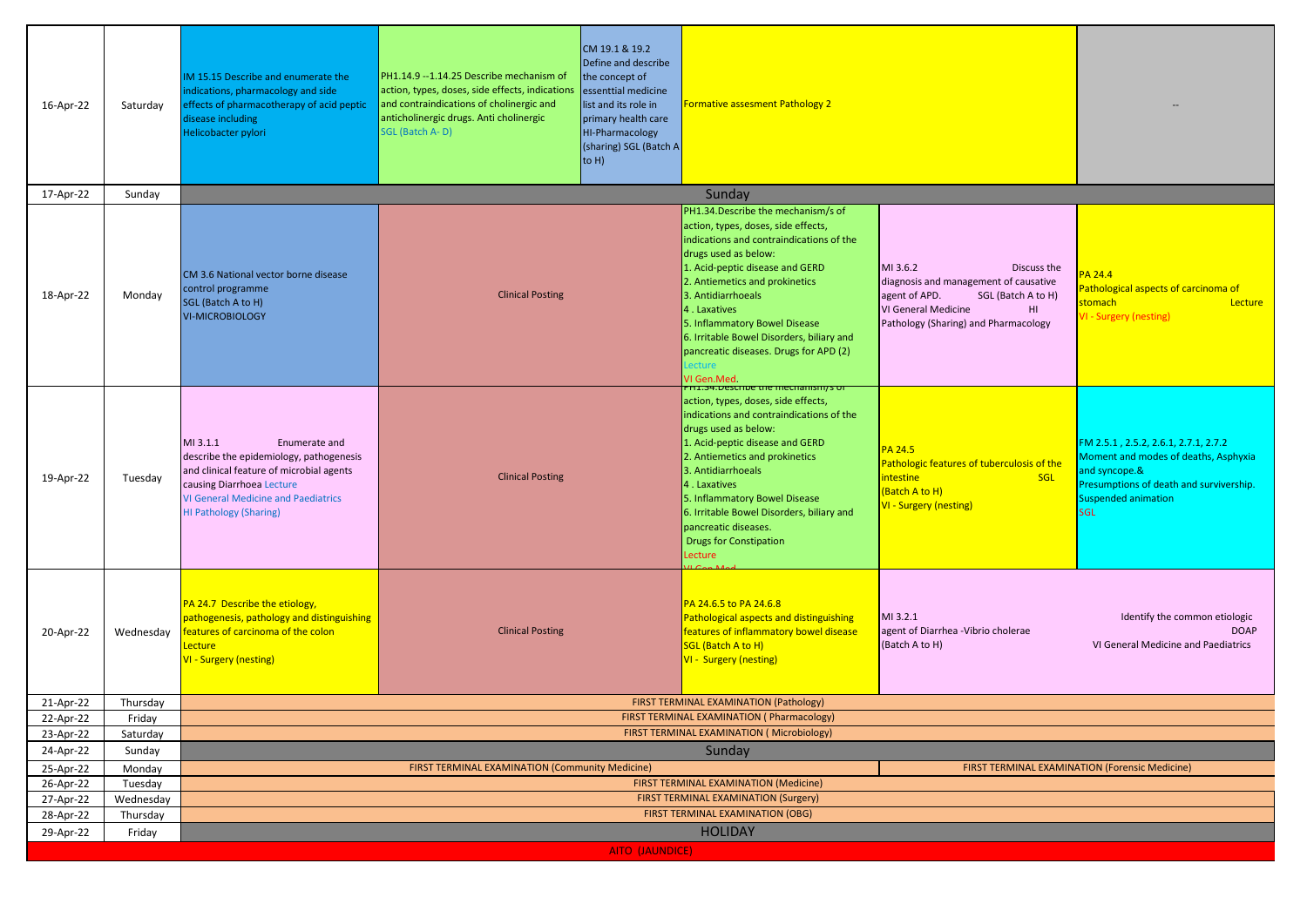| 16-Apr-22              | Saturday              | IM 15.15 Describe and enumerate the<br>indications, pharmacology and side<br>effects of pharmacotherapy of acid peptic<br>disease including<br>Helicobacter pylori                                                           | PH1.14.9 -- 1.14.25 Describe mechanism of<br>action, types, doses, side effects, indications<br>and contraindications of cholinergic and<br>anticholinergic drugs. Anti cholinergic<br>SGL (Batch A-D) | CM 19.1 & 19.2<br>Define and describe<br>the concept of<br>essenttial medicine<br>list and its role in<br>primary health care<br>HI-Pharmacology<br>(sharing) SGL (Batch A<br>to $H$ ) | <b>Formative assesment Pathology 2</b>                                                                                                                                                                                                                                                                                                                                                                                                                 |                                                                                                                                                                               |                                                                                                                                                                                     |  |  |
|------------------------|-----------------------|------------------------------------------------------------------------------------------------------------------------------------------------------------------------------------------------------------------------------|--------------------------------------------------------------------------------------------------------------------------------------------------------------------------------------------------------|----------------------------------------------------------------------------------------------------------------------------------------------------------------------------------------|--------------------------------------------------------------------------------------------------------------------------------------------------------------------------------------------------------------------------------------------------------------------------------------------------------------------------------------------------------------------------------------------------------------------------------------------------------|-------------------------------------------------------------------------------------------------------------------------------------------------------------------------------|-------------------------------------------------------------------------------------------------------------------------------------------------------------------------------------|--|--|
| 17-Apr-22              | Sunday                |                                                                                                                                                                                                                              |                                                                                                                                                                                                        |                                                                                                                                                                                        | Sunday                                                                                                                                                                                                                                                                                                                                                                                                                                                 |                                                                                                                                                                               |                                                                                                                                                                                     |  |  |
| 18-Apr-22              | Monday                | CM 3.6 National vector borne disease<br>control programme<br>SGL (Batch A to H)<br><b>VI-MICROBIOLOGY</b>                                                                                                                    | <b>Clinical Posting</b>                                                                                                                                                                                |                                                                                                                                                                                        | PH1.34. Describe the mechanism/s of<br>action, types, doses, side effects,<br>indications and contraindications of the<br>drugs used as below:<br>1. Acid-peptic disease and GERD<br>2. Antiemetics and prokinetics<br>3. Antidiarrhoeals<br>4. Laxatives<br>5. Inflammatory Bowel Disease<br>6. Irritable Bowel Disorders, biliary and<br>pancreatic diseases. Drugs for APD (2)<br>ecture<br>VI Gen.Med<br><u>PH1.34.Describe the mechanismys or</u> | MI 3.6.2<br>Discuss the<br>diagnosis and management of causative<br>agent of APD.<br>SGL (Batch A to H)<br>VI General Medicine<br>HI.<br>Pathology (Sharing) and Pharmacology | PA 24.4<br>Pathological aspects of carcinoma of<br>stomach<br>Lecture<br><b>VI - Surgery (nesting)</b>                                                                              |  |  |
| 19-Apr-22              | Tuesday               | MI 3.1.1<br>Enumerate and<br>describe the epidemiology, pathogenesis<br>and clinical feature of microbial agents<br>causing Diarrhoea Lecture<br><b>VI General Medicine and Paediatrics</b><br><b>HI Pathology (Sharing)</b> | <b>Clinical Posting</b>                                                                                                                                                                                |                                                                                                                                                                                        | action, types, doses, side effects,<br>indications and contraindications of the<br>drugs used as below:<br>1. Acid-peptic disease and GERD<br>2. Antiemetics and prokinetics<br>3. Antidiarrhoeals<br>4. Laxatives<br>5. Inflammatory Bowel Disease<br>6. Irritable Bowel Disorders, biliary and<br>pancreatic diseases.<br><b>Drugs for Constipation</b><br>Lecture                                                                                   | PA 24.5<br>Pathologic features of tuberculosis of the<br>intestine<br><b>SGL</b><br>(Batch A to H)<br>VI - Surgery (nesting)                                                  | FM 2.5.1, 2.5.2, 2.6.1, 2.7.1, 2.7.2<br>Moment and modes of deaths, Asphyxia<br>and syncope.&<br>Presumptions of death and survivership.<br><b>Suspended animation</b><br><b>GL</b> |  |  |
| 20-Apr-22              | Wednesday             | PA 24.7 Describe the etiology,<br>pathogenesis, pathology and distinguishing<br>features of carcinoma of the colon<br>Lecture<br><b>VI - Surgery (nesting)</b>                                                               | <b>Clinical Posting</b>                                                                                                                                                                                |                                                                                                                                                                                        | PA 24.6.5 to PA 24.6.8<br>Pathological aspects and distinguishing<br>features of inflammatory bowel disease<br>SGL (Batch A to H)<br><b>VI - Surgery (nesting)</b>                                                                                                                                                                                                                                                                                     | MI 3.2.1<br>agent of Diarrhea - Vibrio cholerae<br>(Batch A to H)                                                                                                             | Identify the common etiologic<br><b>DOAP</b><br>VI General Medicine and Paediatrics                                                                                                 |  |  |
| 21-Apr-22              | Thursday              |                                                                                                                                                                                                                              |                                                                                                                                                                                                        |                                                                                                                                                                                        | FIRST TERMINAL EXAMINATION (Pathology)                                                                                                                                                                                                                                                                                                                                                                                                                 |                                                                                                                                                                               |                                                                                                                                                                                     |  |  |
| 22-Apr-22              | Friday                |                                                                                                                                                                                                                              |                                                                                                                                                                                                        |                                                                                                                                                                                        | FIRST TERMINAL EXAMINATION (Pharmacology)                                                                                                                                                                                                                                                                                                                                                                                                              |                                                                                                                                                                               |                                                                                                                                                                                     |  |  |
| 23-Apr-22              | Saturday              |                                                                                                                                                                                                                              |                                                                                                                                                                                                        |                                                                                                                                                                                        | FIRST TERMINAL EXAMINATION (Microbiology)                                                                                                                                                                                                                                                                                                                                                                                                              |                                                                                                                                                                               |                                                                                                                                                                                     |  |  |
| 24-Apr-22              | Sunday                | Sunday                                                                                                                                                                                                                       |                                                                                                                                                                                                        |                                                                                                                                                                                        |                                                                                                                                                                                                                                                                                                                                                                                                                                                        |                                                                                                                                                                               |                                                                                                                                                                                     |  |  |
| 25-Apr-22              | Monday                | FIRST TERMINAL EXAMINATION (Community Medicine)<br>FIRST TERMINAL EXAMINATION (Forensic Medicine)                                                                                                                            |                                                                                                                                                                                                        |                                                                                                                                                                                        |                                                                                                                                                                                                                                                                                                                                                                                                                                                        |                                                                                                                                                                               |                                                                                                                                                                                     |  |  |
| 26-Apr-22              | Tuesday               | FIRST TERMINAL EXAMINATION (Medicine)<br>FIRST TERMINAL EXAMINATION (Surgery)                                                                                                                                                |                                                                                                                                                                                                        |                                                                                                                                                                                        |                                                                                                                                                                                                                                                                                                                                                                                                                                                        |                                                                                                                                                                               |                                                                                                                                                                                     |  |  |
| 27-Apr-22<br>28-Apr-22 | Wednesday<br>Thursday | <b>FIRST TERMINAL EXAMINATION (OBG)</b>                                                                                                                                                                                      |                                                                                                                                                                                                        |                                                                                                                                                                                        |                                                                                                                                                                                                                                                                                                                                                                                                                                                        |                                                                                                                                                                               |                                                                                                                                                                                     |  |  |
| 29-Apr-22              | Friday                |                                                                                                                                                                                                                              |                                                                                                                                                                                                        |                                                                                                                                                                                        | <b>HOLIDAY</b>                                                                                                                                                                                                                                                                                                                                                                                                                                         |                                                                                                                                                                               |                                                                                                                                                                                     |  |  |
|                        |                       |                                                                                                                                                                                                                              |                                                                                                                                                                                                        | AITO (JAUNDICE)                                                                                                                                                                        |                                                                                                                                                                                                                                                                                                                                                                                                                                                        |                                                                                                                                                                               |                                                                                                                                                                                     |  |  |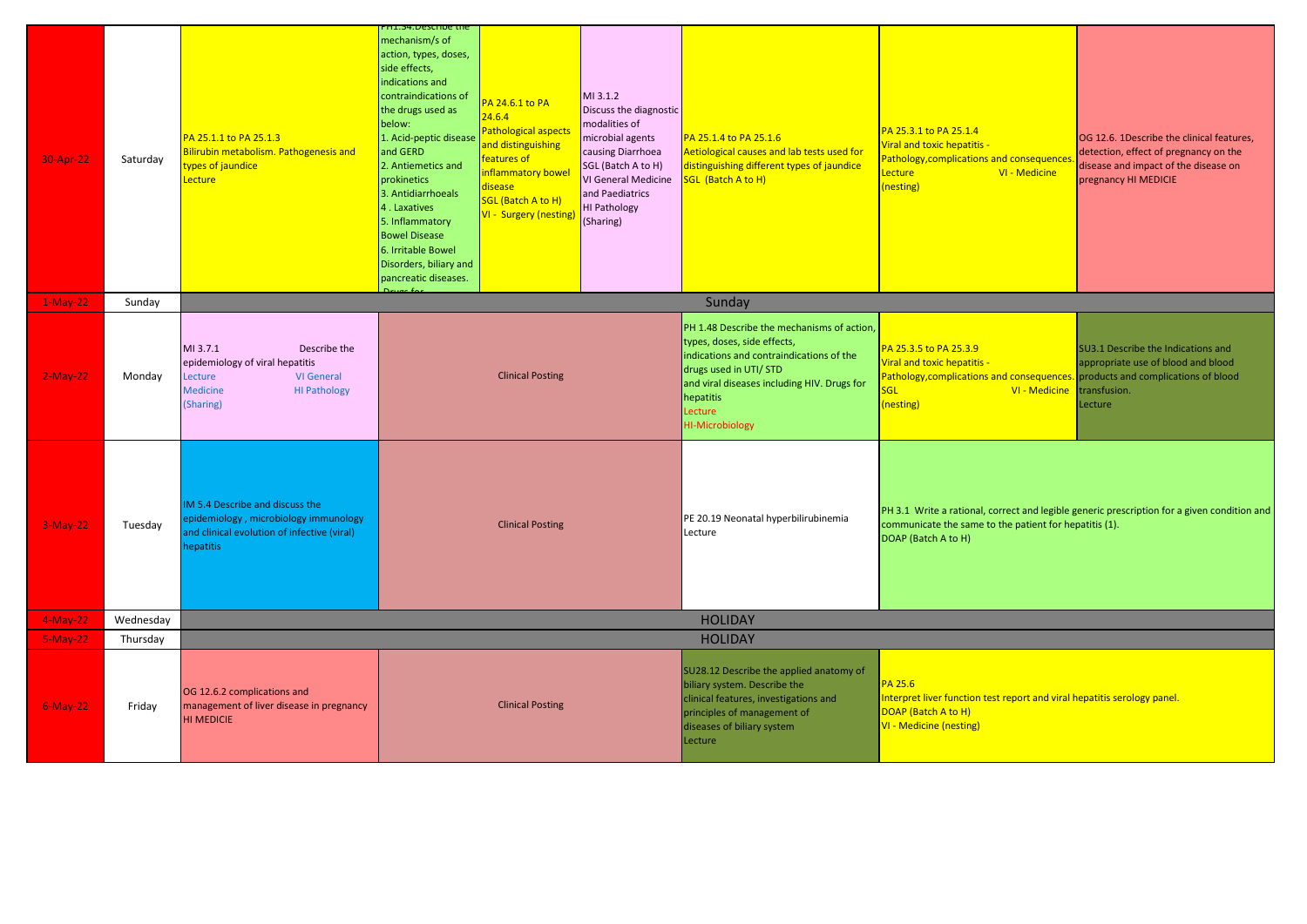| 30-Apr-22   | Saturday  | PA 25.1.1 to PA 25.1.3<br>Bilirubin metabolism. Pathogenesis and<br>vpes of jaundice<br>Lecture                                                    | PH1.34.Describe the<br>mechanism/s of<br>action, types, doses,<br>side effects,<br>indications and<br>contraindications of<br>the drugs used as<br>below:<br>1. Acid-peptic disease<br>and GERD<br>2. Antiemetics and<br>prokinetics<br>3. Antidiarrhoeals<br>4. Laxatives<br>5. Inflammatory<br><b>Bowel Disease</b><br>6. Irritable Bowel<br>Disorders, biliary and<br>pancreatic diseases. | PA 24.6.1 to PA<br>24.6.4<br>Pathological aspects<br>and distinguishing<br>features of<br>inflammatory bowe<br>disease<br>SGL (Batch A to H)<br>VI - Surgery (nesting | MI 3.1.2<br>Discuss the diagnostic<br>modalities of<br>microbial agents<br>causing Diarrhoea<br>SGL (Batch A to H)<br>VI General Medicine<br>and Paediatrics<br><b>HI Pathology</b><br>(Sharing)                                                 | PA 25.1.4 to PA 25.1.6<br>Aetiological causes and lab tests used for<br>distinguishing different types of jaundice<br>SGL (Batch A to H)                                                 | PA 25.3.1 to PA 25.1.4<br>Viral and toxic hepatitis -<br>Pathology, complications and consequence<br>Lecture<br>VI - Medicine<br>(nesting)                                   | OG 12.6. 1Describe the clinical features,<br>detection, effect of pregnancy on the<br>disease and impact of the disease on<br>pregnancy HI MEDICIE |
|-------------|-----------|----------------------------------------------------------------------------------------------------------------------------------------------------|-----------------------------------------------------------------------------------------------------------------------------------------------------------------------------------------------------------------------------------------------------------------------------------------------------------------------------------------------------------------------------------------------|-----------------------------------------------------------------------------------------------------------------------------------------------------------------------|--------------------------------------------------------------------------------------------------------------------------------------------------------------------------------------------------------------------------------------------------|------------------------------------------------------------------------------------------------------------------------------------------------------------------------------------------|------------------------------------------------------------------------------------------------------------------------------------------------------------------------------|----------------------------------------------------------------------------------------------------------------------------------------------------|
| $1-May-22$  | Sunday    |                                                                                                                                                    |                                                                                                                                                                                                                                                                                                                                                                                               |                                                                                                                                                                       |                                                                                                                                                                                                                                                  | Sunday                                                                                                                                                                                   |                                                                                                                                                                              |                                                                                                                                                    |
| $2-May-22$  | Monday    | MI 3.7.1<br>Describe the<br>epidemiology of viral hepatitis<br>Lecture<br><b>VI General</b><br><b>Medicine</b><br><b>HI Pathology</b><br>(Sharing) | <b>Clinical Posting</b>                                                                                                                                                                                                                                                                                                                                                                       |                                                                                                                                                                       | PH 1.48 Describe the mechanisms of action,<br>types, doses, side effects,<br>indications and contraindications of the<br>drugs used in UTI/ STD<br>and viral diseases including HIV. Drugs for<br>hepatitis<br>Lecture<br><b>HI-Microbiology</b> | PA 25.3.5 to PA 25.3.9<br>Viral and toxic hepatitis -<br>Pathology, complications and consequences<br>VI - Medicine<br>SGL<br>(nesting)                                                  | SU3.1 Describe the Indications and<br>appropriate use of blood and blood<br>products and complications of blood<br>transfusion.<br>Lecture                                   |                                                                                                                                                    |
| $3-May-22$  | Tuesday   | IM 5.4 Describe and discuss the<br>epidemiology, microbiology immunology<br>and clinical evolution of infective (viral)<br>hepatitis               |                                                                                                                                                                                                                                                                                                                                                                                               | <b>Clinical Posting</b>                                                                                                                                               |                                                                                                                                                                                                                                                  | PE 20.19 Neonatal hyperbilirubinemia<br>Lecture                                                                                                                                          | PH 3.1 Write a rational, correct and legible generic prescription for a given condition and<br>communicate the same to the patient for hepatitis (1).<br>DOAP (Batch A to H) |                                                                                                                                                    |
| $4-May-22$  | Wednesday |                                                                                                                                                    |                                                                                                                                                                                                                                                                                                                                                                                               |                                                                                                                                                                       |                                                                                                                                                                                                                                                  | <b>HOLIDAY</b>                                                                                                                                                                           |                                                                                                                                                                              |                                                                                                                                                    |
| $5-May-22$  | Thursday  |                                                                                                                                                    |                                                                                                                                                                                                                                                                                                                                                                                               |                                                                                                                                                                       |                                                                                                                                                                                                                                                  | <b>HOLIDAY</b>                                                                                                                                                                           |                                                                                                                                                                              |                                                                                                                                                    |
| $6$ -May-22 | Friday    | OG 12.6.2 complications and<br>management of liver disease in pregnancy<br><b>HI MEDICIE</b>                                                       |                                                                                                                                                                                                                                                                                                                                                                                               | <b>Clinical Posting</b>                                                                                                                                               |                                                                                                                                                                                                                                                  | SU28.12 Describe the applied anatomy of<br>biliary system. Describe the<br>clinical features, investigations and<br>principles of management of<br>diseases of biliary system<br>Lecture | <b>PA 25.6</b><br>Interpret liver function test report and viral hepatitis serology panel.<br>DOAP (Batch A to H)<br><b>VI - Medicine (nesting)</b>                          |                                                                                                                                                    |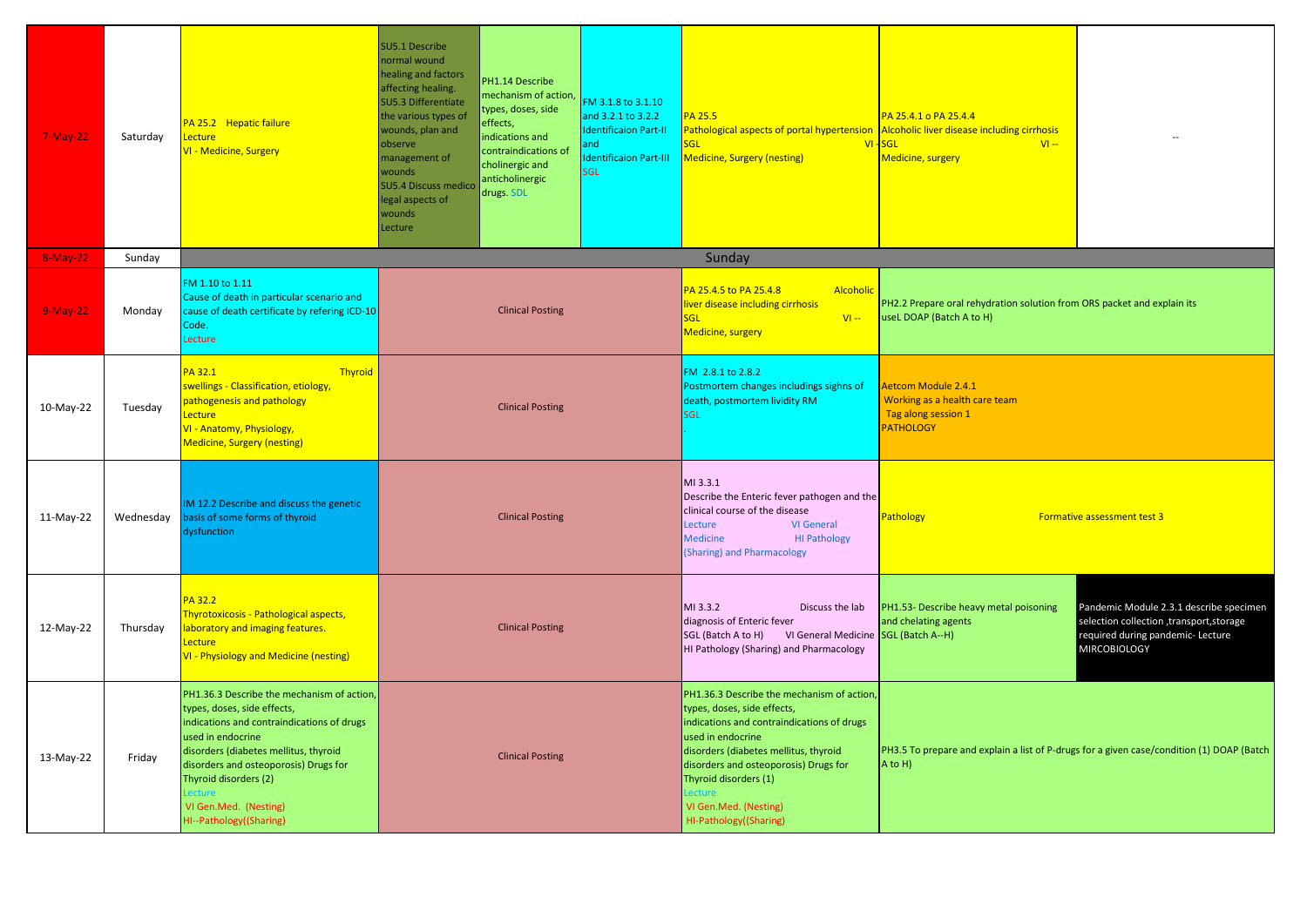| $7-May-22$ | Saturday  | PA 25.2 Hepatic failure<br>Lecture<br>VI - Medicine, Surgery                                                                                                                                                                                                                                                          | SU5.1 Describe<br>normal wound<br>healing and factors<br>PH1.14 Describe<br>affecting healing.<br>mechanism of action,<br>SU5.3 Differentiate<br>types, doses, side<br>the various types of<br>effects,<br>wounds, plan and<br>indications and<br>observe<br>contraindications of<br>management of<br>cholinergic and<br>wounds<br>anticholinergic<br><b>SU5.4 Discuss medico</b><br>drugs. SDL<br>legal aspects of<br>wounds<br>Lecture | FM 3.1.8 to 3.1.10<br>and 3.2.1 to 3.2.2<br><b>Identificaion Part-II</b><br>and<br><b>Identificaion Part-III</b><br>SGL | PA 25.5<br>Pathological aspects of portal hypertension<br>GL<br><b>Medicine, Surgery (nesting)</b>                                                                                                                                                                                                         | PA 25.4.1 o PA 25.4.4<br>Alcoholic liver disease including cirrhosis<br>$VI - SGL$<br>$VI -$<br>Medicine, surgery |                                                                                                                                                  |
|------------|-----------|-----------------------------------------------------------------------------------------------------------------------------------------------------------------------------------------------------------------------------------------------------------------------------------------------------------------------|------------------------------------------------------------------------------------------------------------------------------------------------------------------------------------------------------------------------------------------------------------------------------------------------------------------------------------------------------------------------------------------------------------------------------------------|-------------------------------------------------------------------------------------------------------------------------|------------------------------------------------------------------------------------------------------------------------------------------------------------------------------------------------------------------------------------------------------------------------------------------------------------|-------------------------------------------------------------------------------------------------------------------|--------------------------------------------------------------------------------------------------------------------------------------------------|
| $8-May-22$ | Sunday    |                                                                                                                                                                                                                                                                                                                       |                                                                                                                                                                                                                                                                                                                                                                                                                                          |                                                                                                                         | Sunday                                                                                                                                                                                                                                                                                                     |                                                                                                                   |                                                                                                                                                  |
| $9-May-22$ | Monday    | FM 1.10 to 1.11<br>Cause of death in particular scenario and<br>cause of death certificate by refering ICD-10<br>Code.<br>Lecture                                                                                                                                                                                     | <b>Clinical Posting</b>                                                                                                                                                                                                                                                                                                                                                                                                                  |                                                                                                                         | PA 25.4.5 to PA 25.4.8<br><b>Alcoholic</b><br>liver disease including cirrhosis<br>$VI -$<br>SGL<br>Medicine, surgery                                                                                                                                                                                      | PH2.2 Prepare oral rehydration solution from ORS packet and explain its<br>useL DOAP (Batch A to H)               |                                                                                                                                                  |
| 10-May-22  | Tuesday   | Thyroid<br>PA 32.1<br>swellings - Classification, etiology,<br>pathogenesis and pathology<br>ecture.<br>VI - Anatomy, Physiology,<br><b>Medicine, Surgery (nesting)</b>                                                                                                                                               | <b>Clinical Posting</b>                                                                                                                                                                                                                                                                                                                                                                                                                  |                                                                                                                         | FM 2.8.1 to 2.8.2<br>Postmortem changes includings sighns of<br>death, postmortem lividity RM<br><b>SGL</b>                                                                                                                                                                                                | Aetcom Module 2.4.1<br>Working as a health care team<br>Tag along session 1<br><b>PATHOLOGY</b>                   |                                                                                                                                                  |
| 11-May-22  | Wednesday | IM 12.2 Describe and discuss the genetic<br>basis of some forms of thyroid<br>dysfunction                                                                                                                                                                                                                             | <b>Clinical Posting</b>                                                                                                                                                                                                                                                                                                                                                                                                                  |                                                                                                                         |                                                                                                                                                                                                                                                                                                            | Describe the Enteric fever pathogen and the<br>Pathology                                                          | Formative assessment test 3                                                                                                                      |
| 12-May-22  | Thursday  | <b>PA 32.2</b><br>Thyrotoxicosis - Pathological aspects,<br>aboratory and imaging features.<br>Lecture<br>VI - Physiology and Medicine (nesting)                                                                                                                                                                      | <b>Clinical Posting</b>                                                                                                                                                                                                                                                                                                                                                                                                                  |                                                                                                                         | MI 3.3.2<br>Discuss the lab<br>diagnosis of Enteric fever<br>VI General Medicine SGL (Batch A--H)<br>SGL (Batch A to H)<br>HI Pathology (Sharing) and Pharmacology                                                                                                                                         | PH1.53- Describe heavy metal poisoning<br>and chelating agents                                                    | Pandemic Module 2.3.1 describe specimen<br>selection collection , transport, storage<br>required during pandemic- Lecture<br><b>MIRCOBIOLOGY</b> |
| 13-May-22  | Friday    | PH1.36.3 Describe the mechanism of action,<br>types, doses, side effects,<br>indications and contraindications of drugs<br>used in endocrine<br>disorders (diabetes mellitus, thyroid<br>disorders and osteoporosis) Drugs for<br>Thyroid disorders (2)<br>∍cture<br>VI Gen.Med. (Nesting)<br>HI--Pathology((Sharing) | <b>Clinical Posting</b>                                                                                                                                                                                                                                                                                                                                                                                                                  |                                                                                                                         | PH1.36.3 Describe the mechanism of action,<br>types, doses, side effects,<br>indications and contraindications of drugs<br>used in endocrine<br>disorders (diabetes mellitus, thyroid<br>disorders and osteoporosis) Drugs for<br>Thyroid disorders (1)<br>VI Gen.Med. (Nesting)<br>HI-Pathology((Sharing) | PH3.5 To prepare and explain a list of P-drugs for a given case/condition (1) DOAP (Batch<br>$A$ to $H$ )         |                                                                                                                                                  |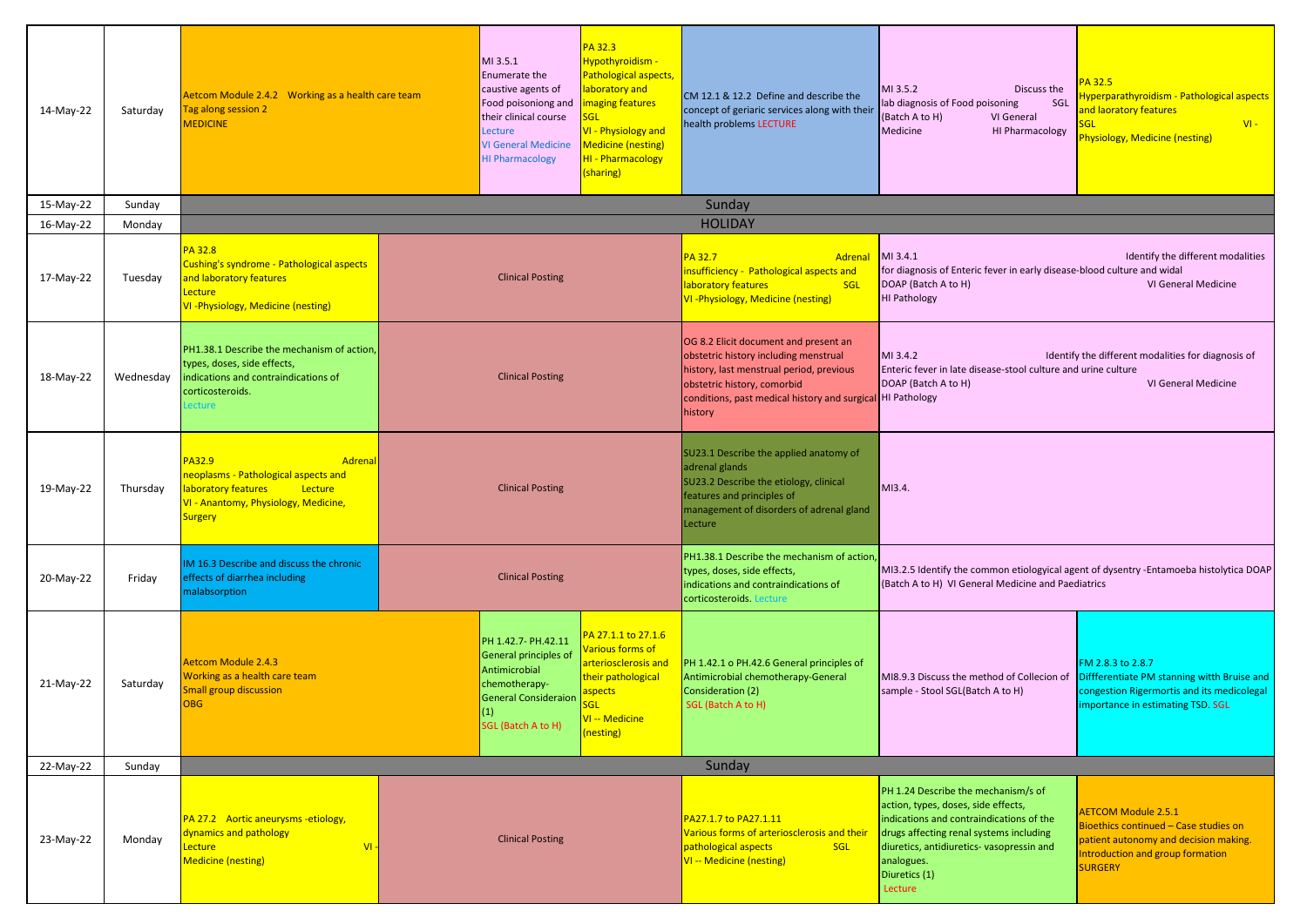| 14-May-22 | Saturday  | Aetcom Module 2.4.2 Working as a health care team<br>Tag along session 2<br><b>MEDICINE</b>                                                           | MI 3.5.1<br>Enumerate the<br>caustive agents of<br>Food poisoniong and<br>their clinical course<br>Lecture<br><b>VI General Medicine</b><br><b>HI Pharmacology</b>                                                                                                                                   | PA 32.3<br>Hypothyroidism -<br>Pathological aspects,<br>laboratory and<br>maging features<br>VI - Physiology and<br><b>Medicine (nesting)</b><br>HI - Pharmacology<br>(sharing) | CM 12.1 & 12.2 Define and describe the<br>concept of geriaric services along with their<br>health problems LECTURE                                                                                                                        | MI 3.5.2<br>Discuss the<br>lab diagnosis of Food poisoning<br>SGL<br>(Batch A to H)<br>VI General<br>Medicine<br><b>HI Pharmacology</b>                                                                                                                  | PA 32.5<br>Hyperparathyroidism - Pathological aspects<br>and laoratory features<br>$VI -$<br>Physiology, Medicine (nesting)                                        |
|-----------|-----------|-------------------------------------------------------------------------------------------------------------------------------------------------------|------------------------------------------------------------------------------------------------------------------------------------------------------------------------------------------------------------------------------------------------------------------------------------------------------|---------------------------------------------------------------------------------------------------------------------------------------------------------------------------------|-------------------------------------------------------------------------------------------------------------------------------------------------------------------------------------------------------------------------------------------|----------------------------------------------------------------------------------------------------------------------------------------------------------------------------------------------------------------------------------------------------------|--------------------------------------------------------------------------------------------------------------------------------------------------------------------|
| 15-May-22 | Sunday    |                                                                                                                                                       |                                                                                                                                                                                                                                                                                                      |                                                                                                                                                                                 | Sunday                                                                                                                                                                                                                                    |                                                                                                                                                                                                                                                          |                                                                                                                                                                    |
| 16-May-22 | Monday    |                                                                                                                                                       |                                                                                                                                                                                                                                                                                                      |                                                                                                                                                                                 | <b>HOLIDAY</b>                                                                                                                                                                                                                            |                                                                                                                                                                                                                                                          |                                                                                                                                                                    |
| 17-May-22 | Tuesday   | <b>PA 32.8</b><br>Cushing's syndrome - Pathological aspects<br>and laboratory features<br>Lecture<br>VI-Physiology, Medicine (nesting)                | <b>Clinical Posting</b>                                                                                                                                                                                                                                                                              |                                                                                                                                                                                 | PA 32.7<br>Adrena<br>insufficiency - Pathological aspects and<br>laboratory features<br>SGL<br>VI-Physiology, Medicine (nesting)                                                                                                          | MI 3.4.1<br>Identify the different modalities<br>for diagnosis of Enteric fever in early disease-blood culture and widal<br>DOAP (Batch A to H)<br>VI General Medicine<br><b>HI Pathology</b>                                                            |                                                                                                                                                                    |
| 18-May-22 | Wednesday | PH1.38.1 Describe the mechanism of action,<br>types, doses, side effects,<br>indications and contraindications of<br>corticosteroids.<br>ecture       | <b>Clinical Posting</b>                                                                                                                                                                                                                                                                              |                                                                                                                                                                                 | OG 8.2 Elicit document and present an<br>obstetric history including menstrual<br>history, last menstrual period, previous<br>obstetric history, comorbid<br>conditions, past medical history and surgical HI Pathology<br><b>history</b> | Identify the different modalities for diagnosis of<br>MI 3.4.2<br>Enteric fever in late disease-stool culture and urine culture<br>DOAP (Batch A to H)<br>VI General Medicine                                                                            |                                                                                                                                                                    |
| 19-May-22 | Thursday  | PA32.9<br>Adrenal<br>neoplasms - Pathological aspects and<br>laboratory features<br>Lecture<br>VI - Anantomy, Physiology, Medicine,<br><b>Surgery</b> | <b>Clinical Posting</b>                                                                                                                                                                                                                                                                              |                                                                                                                                                                                 | SU23.1 Describe the applied anatomy of<br>adrenal glands<br>SU23.2 Describe the etiology, clinical<br>features and principles of<br>management of disorders of adrenal gland<br>Lecture                                                   | MI3.4.                                                                                                                                                                                                                                                   |                                                                                                                                                                    |
| 20-May-22 | Friday    | IM 16.3 Describe and discuss the chronic<br>effects of diarrhea including<br>malabsorption                                                            | <b>Clinical Posting</b>                                                                                                                                                                                                                                                                              |                                                                                                                                                                                 | PH1.38.1 Describe the mechanism of action<br>types, doses, side effects,<br>indications and contraindications of<br>corticosteroids. Lecture                                                                                              | (Batch A to H) VI General Medicine and Paediatrics                                                                                                                                                                                                       | MI3.2.5 Identify the common etiologyical agent of dysentry -Entamoeba histolytica DOAP                                                                             |
| 21-May-22 | Saturday  | <b>Aetcom Module 2.4.3</b><br>Working as a health care team<br><b>Small group discussion</b><br><b>OBG</b>                                            | A 27.1.1 to 27.1.6<br>PH 1.42.7- PH.42.11<br>arious forms of<br>General principles of<br>arteriosclerosis and<br>Antimicrobial<br>their pathological<br>chemotherapy-<br><b>spects</b><br><b>General Consideraion</b><br>GL<br>(1)<br><mark>VI -- Medicine</mark><br>SGL (Batch A to H)<br>(nesting) |                                                                                                                                                                                 | PH 1.42.1 o PH.42.6 General principles of<br>Antimicrobial chemotherapy-General<br>Consideration (2)<br>SGL (Batch A to H)                                                                                                                | MI8.9.3 Discuss the method of Collecion of<br>sample - Stool SGL(Batch A to H)                                                                                                                                                                           | FM 2.8.3 to 2.8.7<br>Diffferentiate PM stanning witth Bruise and<br>congestion Rigermortis and its medicolegal<br>importance in estimating TSD. SGL                |
| 22-May-22 | Sunday    |                                                                                                                                                       |                                                                                                                                                                                                                                                                                                      |                                                                                                                                                                                 | Sunday                                                                                                                                                                                                                                    |                                                                                                                                                                                                                                                          |                                                                                                                                                                    |
| 23-May-22 | Monday    | PA 27.2 Aortic aneurysms -etiology,<br>dynamics and pathology<br>$VI -$<br>Lecture<br><b>Medicine (nesting)</b>                                       | <b>Clinical Posting</b>                                                                                                                                                                                                                                                                              |                                                                                                                                                                                 | PA27.1.7 to PA27.1.11<br>Various forms of arteriosclerosis and their<br>pathological aspects<br><b>SGL</b><br>VI -- Medicine (nesting)                                                                                                    | PH 1.24 Describe the mechanism/s of<br>action, types, doses, side effects,<br>indications and contraindications of the<br>drugs affecting renal systems including<br>diuretics, antidiuretics- vasopressin and<br>analogues.<br>Diuretics (1)<br>Lecture | <b>AETCOM Module 2.5.1</b><br>Bioethics continued - Case studies on<br>patient autonomy and decision making.<br>Introduction and group formation<br><b>SURGERY</b> |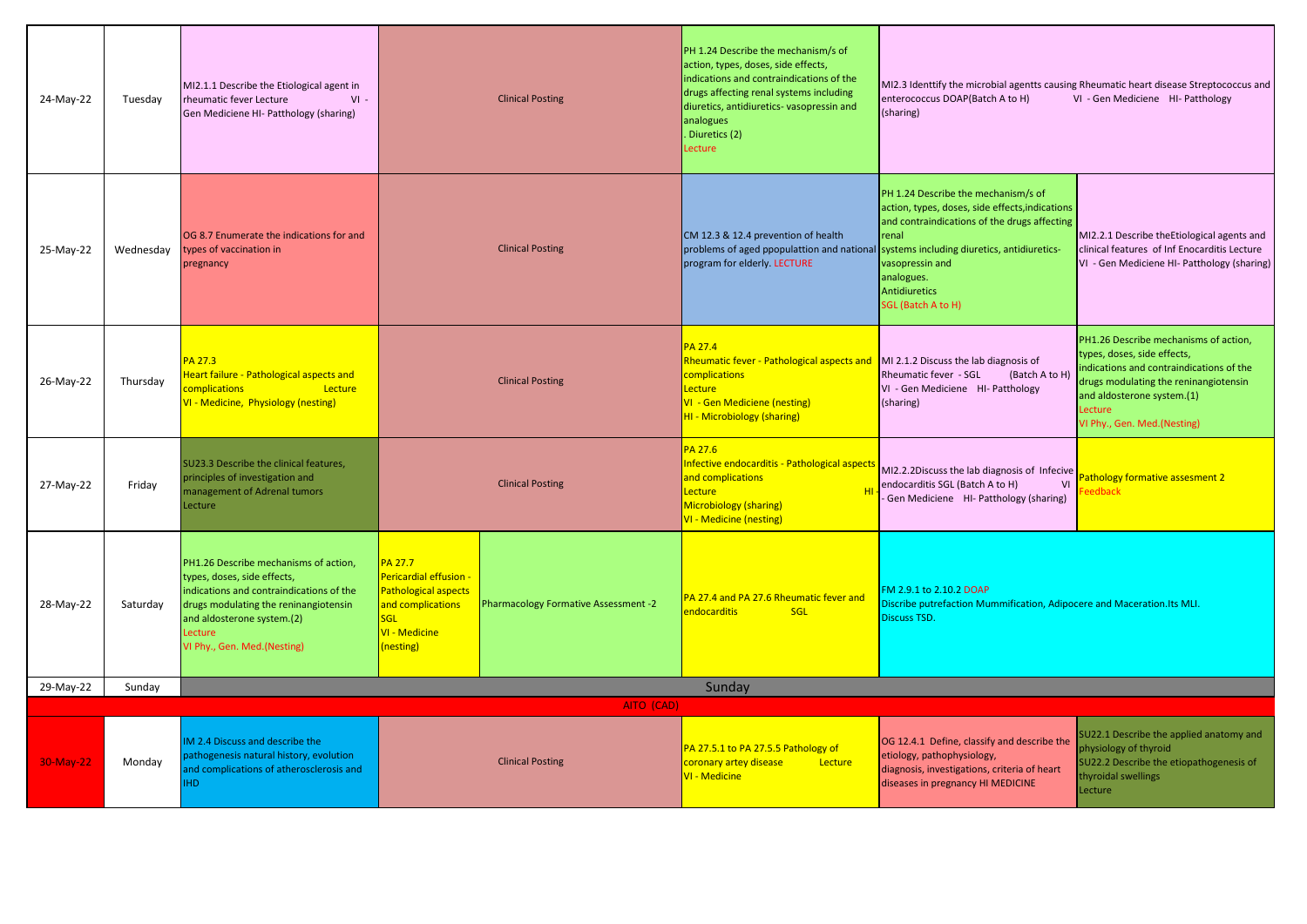| 24-May-22 | Tuesday   | MI2.1.1 Describe the Etiological agent in<br>rheumatic fever Lecture<br>$VI -$<br>Gen Mediciene HI- Patthology (sharing)                                                                                                          | <b>Clinical Posting</b>                                                                                                                  |                                      | PH 1.24 Describe the mechanism/s of<br>action, types, doses, side effects,<br>indications and contraindications of the<br>drugs affecting renal systems including<br>diuretics, antidiuretics- vasopressin and<br>analogues<br>. Diuretics (2)<br>Lecture | MI2.3 Identtify the microbial agentts causing Rheumatic heart disease Streptococcus and<br>enterococcus DOAP(Batch A to H)<br>VI - Gen Mediciene HI- Patthology<br>(sharing)                                                   |                                                                                                                                                                                                                                   |
|-----------|-----------|-----------------------------------------------------------------------------------------------------------------------------------------------------------------------------------------------------------------------------------|------------------------------------------------------------------------------------------------------------------------------------------|--------------------------------------|-----------------------------------------------------------------------------------------------------------------------------------------------------------------------------------------------------------------------------------------------------------|--------------------------------------------------------------------------------------------------------------------------------------------------------------------------------------------------------------------------------|-----------------------------------------------------------------------------------------------------------------------------------------------------------------------------------------------------------------------------------|
| 25-May-22 | Wednesday | OG 8.7 Enumerate the indications for and<br>types of vaccination in<br>pregnancy                                                                                                                                                  |                                                                                                                                          | <b>Clinical Posting</b>              | CM 12.3 & 12.4 prevention of health<br>problems of aged ppopulattion and national systems including diuretics, antidiuretics-<br>program for elderly. LECTURE                                                                                             | PH 1.24 Describe the mechanism/s of<br>action, types, doses, side effects, indications<br>and contraindications of the drugs affecting<br><b>renal</b><br>vasopressin and<br>analogues.<br>Antidiuretics<br>SGL (Batch A to H) | MI2.2.1 Describe the Etiological agents and<br>clinical features of Inf Enocarditis Lecture<br>VI - Gen Mediciene HI- Patthology (sharing)                                                                                        |
| 26-May-22 | Thursday  | PA 27.3<br>leart failure - Pathological aspects and<br>complications<br>Lecture<br>VI - Medicine, Physiology (nesting)                                                                                                            |                                                                                                                                          | <b>Clinical Posting</b>              | <b>PA 27.4</b><br>Rheumatic fever - Pathological aspects and<br>complications<br>Lecture<br>VI - Gen Mediciene (nesting)<br><b>HI - Microbiology (sharing)</b>                                                                                            | MI 2.1.2 Discuss the lab diagnosis of<br>Rheumatic fever - SGL<br>(Batch A to H)<br>VI - Gen Mediciene HI- Patthology<br>(sharing)                                                                                             | PH1.26 Describe mechanisms of action,<br>types, doses, side effects,<br>indications and contraindications of the<br>drugs modulating the reninangiotensin<br>and aldosterone system.(1)<br>Lecture<br>VI Phy., Gen. Med.(Nesting) |
| 27-May-22 | Friday    | SU23.3 Describe the clinical features,<br>principles of investigation and<br>nanagement of Adrenal tumors<br>ecture                                                                                                               |                                                                                                                                          | <b>Clinical Posting</b>              | PA 27.6<br>Infective endocarditis - Pathological aspect<br>and complications<br>Lecture<br>Microbiology (sharing)<br><b>VI - Medicine (nesting)</b>                                                                                                       | MI2.2.2Discuss the lab diagnosis of Infecive<br>endocarditis SGL (Batch A to H)<br>VI<br>Gen Mediciene HI- Patthology (sharing)                                                                                                | Pathology formative assesment 2<br>eedback                                                                                                                                                                                        |
| 28-May-22 | Saturday  | PH1.26 Describe mechanisms of action,<br>types, doses, side effects,<br>indications and contraindications of the<br>drugs modulating the reninangiotensin<br>and aldosterone system.(2)<br>Lecture<br>VI Phy., Gen. Med.(Nesting) | <b>PA 27.7</b><br>Pericardial effusion -<br><b>Pathological aspects</b><br>and complications<br>SGL<br><b>VI - Medicine</b><br>(nesting) | Pharmacology Formative Assessment -2 | PA 27.4 and PA 27.6 Rheumatic fever and<br>SGL<br>endocarditis                                                                                                                                                                                            | M 2.9.1 to 2.10.2 DOAP<br>Discribe putrefaction Mummification, Adipocere and Maceration. Its MLI.<br><b>Discuss TSD.</b>                                                                                                       |                                                                                                                                                                                                                                   |
| 29-May-22 | Sunday    |                                                                                                                                                                                                                                   |                                                                                                                                          |                                      | Sunday                                                                                                                                                                                                                                                    |                                                                                                                                                                                                                                |                                                                                                                                                                                                                                   |
|           |           |                                                                                                                                                                                                                                   |                                                                                                                                          | AITO (CAD)                           |                                                                                                                                                                                                                                                           |                                                                                                                                                                                                                                |                                                                                                                                                                                                                                   |
| 30-May-22 | Monday    | IM 2.4 Discuss and describe the<br>pathogenesis natural history, evolution<br>and complications of atherosclerosis and<br><b>IHD</b>                                                                                              |                                                                                                                                          | <b>Clinical Posting</b>              | PA 27.5.1 to PA 27.5.5 Pathology of<br>coronary artey disease<br>Lecture<br>VI - Medicine                                                                                                                                                                 | OG 12.4.1 Define, classify and describe the<br>etiology, pathophysiology,<br>diagnosis, investigations, criteria of heart<br>diseases in pregnancy HI MEDICINE                                                                 | SU22.1 Describe the applied anatomy and<br>physiology of thyroid<br>SU22.2 Describe the etiopathogenesis of<br>thyroidal swellings<br>Lecture                                                                                     |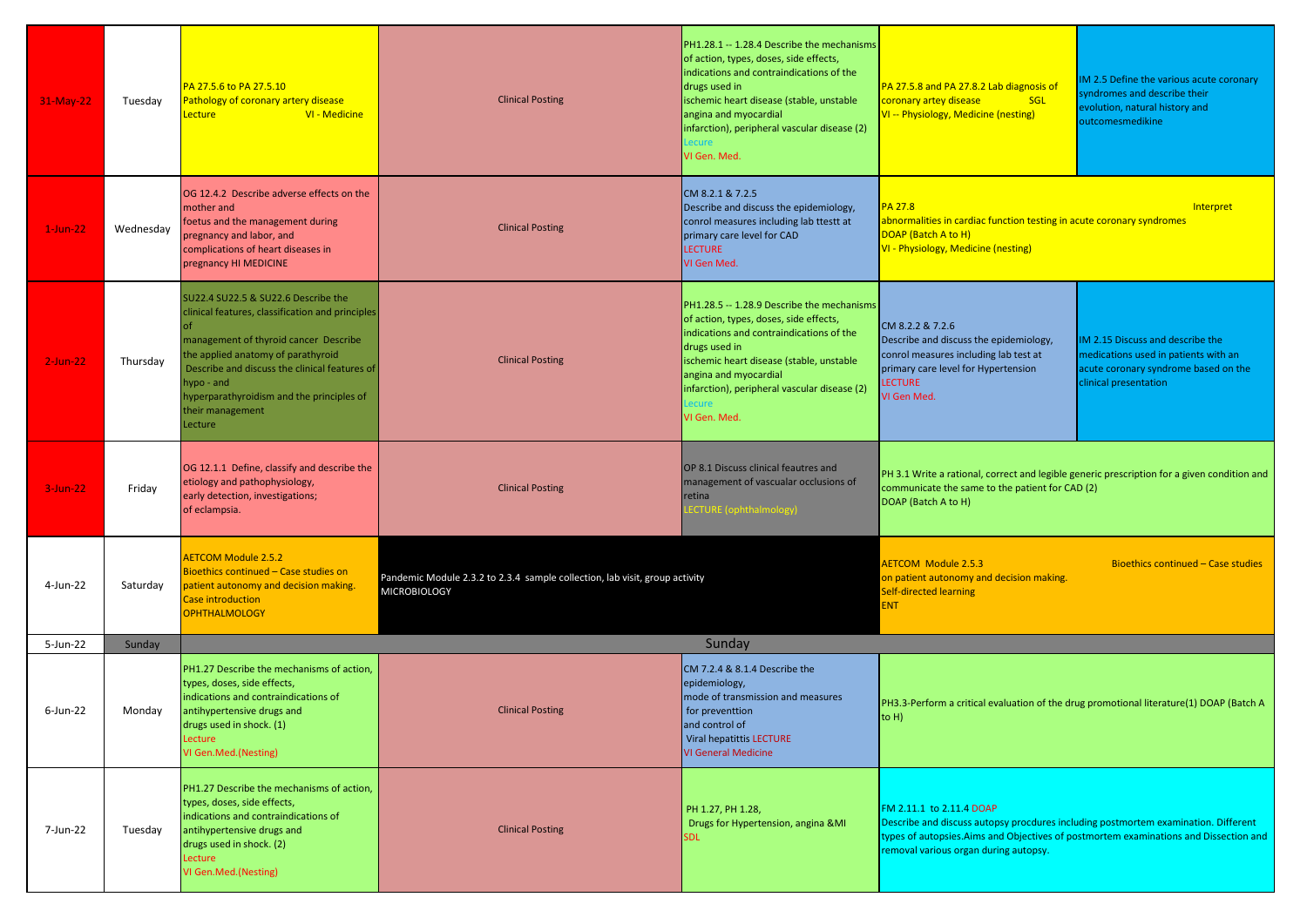| 31-May-22   | Tuesday   | PA 27.5.6 to PA 27.5.10<br>Pathology of coronary artery disease<br>VI - Medicine<br>ecture.                                                                                                                                                                                                                             | <b>Clinical Posting</b>                                                                            | PH1.28.1 -- 1.28.4 Describe the mechanisms<br>of action, types, doses, side effects,<br>indications and contraindications of the<br>drugs used in<br>ischemic heart disease (stable, unstable<br>angina and myocardial<br>infarction), peripheral vascular disease (2)<br>VI Gen. Med.          | PA 27.5.8 and PA 27.8.2 Lab diagnosis of<br>coronary artey disease<br><b>SGL</b><br>VI -- Physiology, Medicine (nesting)                                                                                                                         | IM 2.5 Define the various acute coronary<br>syndromes and describe their<br>evolution, natural history and<br>outcomesmedikine            |
|-------------|-----------|-------------------------------------------------------------------------------------------------------------------------------------------------------------------------------------------------------------------------------------------------------------------------------------------------------------------------|----------------------------------------------------------------------------------------------------|-------------------------------------------------------------------------------------------------------------------------------------------------------------------------------------------------------------------------------------------------------------------------------------------------|--------------------------------------------------------------------------------------------------------------------------------------------------------------------------------------------------------------------------------------------------|-------------------------------------------------------------------------------------------------------------------------------------------|
| $1$ -Jun-22 | Wednesday | OG 12.4.2 Describe adverse effects on the<br>mother and<br>foetus and the management during<br>pregnancy and labor, and<br>complications of heart diseases in<br>pregnancy HI MEDICINE                                                                                                                                  | <b>Clinical Posting</b>                                                                            | CM 8.2.1 & 7.2.5<br>Describe and discuss the epidemiology,<br>conrol measures including lab ttestt at<br>primary care level for CAD<br><b>LECTURE</b><br>VI Gen Med.                                                                                                                            | <b>PA 27.8</b><br>abnormalities in cardiac function testing in acute coronary syndromes<br>DOAP (Batch A to H)<br><b>VI - Physiology, Medicine (nesting)</b>                                                                                     | Interpret                                                                                                                                 |
| $2$ -Jun-22 | Thursday  | SU22.4 SU22.5 & SU22.6 Describe the<br>clinical features, classification and principles<br>of<br>management of thyroid cancer Describe<br>the applied anatomy of parathyroid<br>Describe and discuss the clinical features of<br>hypo - and<br>hyperparathyroidism and the principles of<br>their management<br>ecture. | <b>Clinical Posting</b>                                                                            | PH1.28.5 -- 1.28.9 Describe the mechanisms<br>of action, types, doses, side effects,<br>indications and contraindications of the<br>drugs used in<br>ischemic heart disease (stable, unstable<br>angina and myocardial<br>infarction), peripheral vascular disease (2)<br>ecure<br>VI Gen. Med. | CM 8.2.2 & 7.2.6<br>Describe and discuss the epidemiology,<br>conrol measures including lab test at<br>primary care level for Hypertension<br><b>LECTURE</b><br>VI Gen Med.                                                                      | IM 2.15 Discuss and describe the<br>medications used in patients with an<br>acute coronary syndrome based on the<br>clinical presentation |
| $3$ -Jun-22 | Friday    | OG 12.1.1 Define, classify and describe the<br>etiology and pathophysiology,<br>early detection, investigations;<br>of eclampsia.                                                                                                                                                                                       | <b>Clinical Posting</b>                                                                            | OP 8.1 Discuss clinical feautres and<br>management of vascualar occlusions of<br>retina<br>ECTURE (ophthalmology)                                                                                                                                                                               | communicate the same to the patient for CAD (2)<br>DOAP (Batch A to H)                                                                                                                                                                           | PH 3.1 Write a rational, correct and legible generic prescription for a given condition and                                               |
| 4-Jun-22    | Saturday  | <b>AETCOM Module 2.5.2</b><br>Bioethics continued - Case studies on<br>patient autonomy and decision making.<br>Case introduction<br><b>OPHTHALMOLOGY</b>                                                                                                                                                               | Pandemic Module 2.3.2 to 2.3.4 sample collection, lab visit, group activity<br><b>MICROBIOLOGY</b> |                                                                                                                                                                                                                                                                                                 | <b>AETCOM Module 2.5.3</b><br>on patient autonomy and decision making.<br>Self-directed learning<br><b>ENT</b>                                                                                                                                   | Bioethics continued - Case studies                                                                                                        |
| 5-Jun-22    | Sunday    |                                                                                                                                                                                                                                                                                                                         |                                                                                                    | Sunday                                                                                                                                                                                                                                                                                          |                                                                                                                                                                                                                                                  |                                                                                                                                           |
| $6$ -Jun-22 | Monday    | PH1.27 Describe the mechanisms of action,<br>types, doses, side effects,<br>indications and contraindications of<br>antihypertensive drugs and<br>drugs used in shock. (1)<br>ecture<br>VI Gen.Med.(Nesting)                                                                                                            | <b>Clinical Posting</b>                                                                            | CM 7.2.4 & 8.1.4 Describe the<br>epidemiology,<br>mode of transmission and measures<br>for preventtion<br>and control of<br>Viral hepatittis LECTURE<br><b>VI General Medicine</b>                                                                                                              | PH3.3-Perform a critical evaluation of the drug promotional literature(1) DOAP (Batch A<br>$ to H\rangle$                                                                                                                                        |                                                                                                                                           |
| 7-Jun-22    | Tuesday   | PH1.27 Describe the mechanisms of action,<br>types, doses, side effects,<br>indications and contraindications of<br>antihypertensive drugs and<br>drugs used in shock. (2)<br>Lecture<br>VI Gen.Med.(Nesting)                                                                                                           | <b>Clinical Posting</b>                                                                            | PH 1.27, PH 1.28,<br>Drugs for Hypertension, angina &MI<br><b>SDL</b>                                                                                                                                                                                                                           | FM 2.11.1 to 2.11.4 DOAP<br>Describe and discuss autopsy procdures including postmortem examination. Different<br>types of autopsies. Aims and Objectives of postmortem examinations and Dissection and<br>removal various organ during autopsy. |                                                                                                                                           |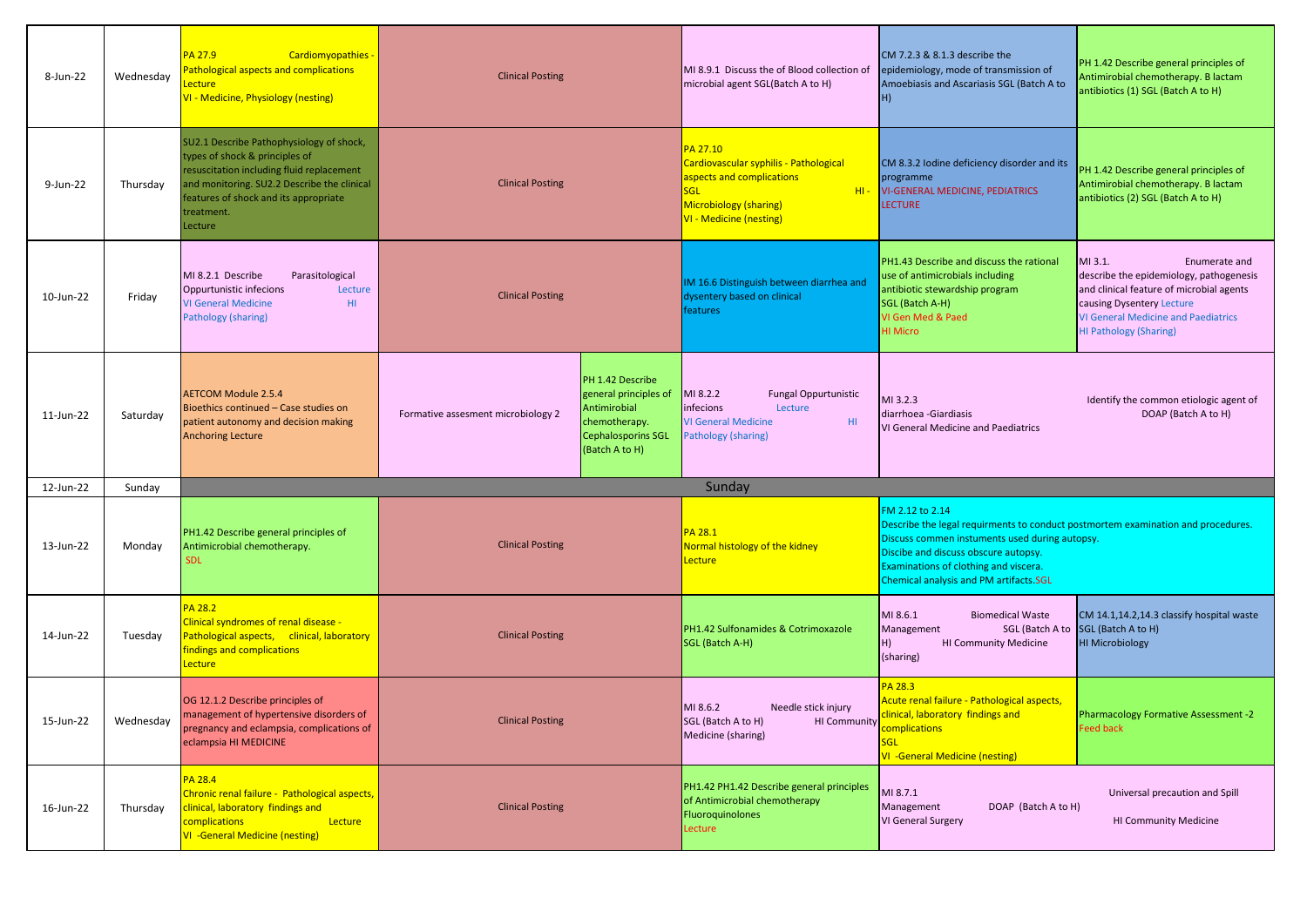| 8-Jun-22  | Wednesday | PA 27.9<br><b>Cardiomyopathies</b><br><b>Pathological aspects and complications</b><br><b>Lecture</b><br>VI - Medicine, Physiology (nesting)                                                                                             | <b>Clinical Posting</b>                                                                                                                                         | MI 8.9.1 Discuss the of Blood collection of<br>microbial agent SGL(Batch A to H)                                                                          | CM 7.2.3 & 8.1.3 describe the<br>epidemiology, mode of transmission of<br>Amoebiasis and Ascariasis SGL (Batch A to<br>(H                                                                                                                                                       | PH 1.42 Describe general principles of<br>Antimirobial chemotherapy. B lactam<br>antibiotics (1) SGL (Batch A to H)                                                                                                         |
|-----------|-----------|------------------------------------------------------------------------------------------------------------------------------------------------------------------------------------------------------------------------------------------|-----------------------------------------------------------------------------------------------------------------------------------------------------------------|-----------------------------------------------------------------------------------------------------------------------------------------------------------|---------------------------------------------------------------------------------------------------------------------------------------------------------------------------------------------------------------------------------------------------------------------------------|-----------------------------------------------------------------------------------------------------------------------------------------------------------------------------------------------------------------------------|
| 9-Jun-22  | Thursday  | SU2.1 Describe Pathophysiology of shock,<br>types of shock & principles of<br>resuscitation including fluid replacement<br>and monitoring. SU2.2 Describe the clinical<br>features of shock and its appropriate<br>treatment.<br>Lecture | <b>Clinical Posting</b>                                                                                                                                         | PA 27.10<br>Cardiovascular syphilis - Pathological<br>aspects and complications<br>SGL<br><b>Microbiology (sharing)</b><br><b>VI - Medicine (nesting)</b> | CM 8.3.2 lodine deficiency disorder and its<br>programme<br>HI- VI-GENERAL MEDICINE, PEDIATRICS<br><b>LECTURE</b>                                                                                                                                                               | PH 1.42 Describe general principles of<br>Antimirobial chemotherapy. B lactam<br>antibiotics (2) SGL (Batch A to H)                                                                                                         |
| 10-Jun-22 | Friday    | MI 8.2.1 Describe<br>Parasitological<br>Oppurtunistic infecions<br>Lecture<br><b>VI General Medicine</b><br>H1<br>Pathology (sharing)                                                                                                    | <b>Clinical Posting</b>                                                                                                                                         | IM 16.6 Distinguish between diarrhea and<br>dysentery based on clinical<br>features                                                                       | PH1.43 Describe and discuss the rational<br>use of antimicrobials including<br>antibiotic stewardship program<br>SGL (Batch A-H)<br>VI Gen Med & Paed<br><b>HI Micro</b>                                                                                                        | MI 3.1.<br>Enumerate and<br>describe the epidemiology, pathogenesis<br>and clinical feature of microbial agents<br>causing Dysentery Lecture<br><b>VI General Medicine and Paediatrics</b><br><b>HI Pathology (Sharing)</b> |
| 11-Jun-22 | Saturday  | <b>AETCOM Module 2.5.4</b><br>Bioethics continued - Case studies on<br>patient autonomy and decision making<br><b>Anchoring Lecture</b>                                                                                                  | PH 1.42 Describe<br>general principles of<br>Antimirobial<br>Formative assesment microbiology 2<br>chemotherapy.<br><b>Cephalosporins SGL</b><br>(Batch A to H) | MI 8.2.2<br><b>Fungal Oppurtunistic</b><br>infecions<br>Lecture<br><b>VI General Medicine</b><br>HI.<br>Pathology (sharing)                               | MI 3.2.3<br>diarrhoea - Giardiasis<br>VI General Medicine and Paediatrics                                                                                                                                                                                                       | Identify the common etiologic agent of<br>DOAP (Batch A to H)                                                                                                                                                               |
| 12-Jun-22 | Sunday    |                                                                                                                                                                                                                                          |                                                                                                                                                                 | Sunday                                                                                                                                                    |                                                                                                                                                                                                                                                                                 |                                                                                                                                                                                                                             |
| 13-Jun-22 | Monday    | PH1.42 Describe general principles of<br>Antimicrobial chemotherapy.<br><b>SDL</b>                                                                                                                                                       | <b>Clinical Posting</b>                                                                                                                                         | PA 28.1<br>Normal histology of the kidney<br>Lecture                                                                                                      | FM 2.12 to 2.14<br>Describe the legal requirments to conduct postmortem examination and procedures.<br>Discuss commen instuments used during autopsy<br>Discibe and discuss obscure autopsy.<br>Examinations of clothing and viscera.<br>Chemical analysis and PM artifacts.SGL |                                                                                                                                                                                                                             |
| 14-Jun-22 | Tuesday   | PA 28.2<br>Clinical syndromes of renal disease -<br>Pathological aspects, clinical, laboratory<br>findings and complications<br>Lecture                                                                                                  | <b>Clinical Posting</b>                                                                                                                                         | PH1.42 Sulfonamides & Cotrimoxazole<br>SGL (Batch A-H)                                                                                                    | MI 8.6.1<br><b>Biomedical Waste</b><br>Management<br>H)<br><b>HI Community Medicine</b><br>(sharing)                                                                                                                                                                            | CM 14.1,14.2,14.3 classify hospital waste<br>SGL (Batch A to SGL (Batch A to H)<br><b>HI Microbiology</b>                                                                                                                   |
| 15-Jun-22 | Wednesday | OG 12.1.2 Describe principles of<br>management of hypertensive disorders of<br>pregnancy and eclampsia, complications of<br>eclampsia HI MEDICINE                                                                                        | <b>Clinical Posting</b>                                                                                                                                         | MI 8.6.2<br>Needle stick injury<br>SGL (Batch A to H)<br>HI Community<br>Medicine (sharing)                                                               | <b>PA 28.3</b><br>Acute renal failure - Pathological aspects,<br>clinical, laboratory findings and<br>complications<br><b>SGL</b><br><b>VI</b> -General Medicine (nesting)                                                                                                      | Pharmacology Formative Assessment -2<br>eed back <del>:</del>                                                                                                                                                               |
| 16-Jun-22 | Thursday  | PA 28.4<br>Chronic renal failure - Pathological aspects,<br>clinical, laboratory findings and<br>complications<br>Lecture<br>VI -General Medicine (nesting)                                                                              | <b>Clinical Posting</b>                                                                                                                                         | PH1.42 PH1.42 Describe general principles<br>of Antimicrobial chemotherapy<br>Fluoroquinolones<br>Lecture                                                 | MI 8.7.1<br>Management<br>DOAP (Batch A to H)<br>VI General Surgery                                                                                                                                                                                                             | Universal precaution and Spill<br><b>HI Community Medicine</b>                                                                                                                                                              |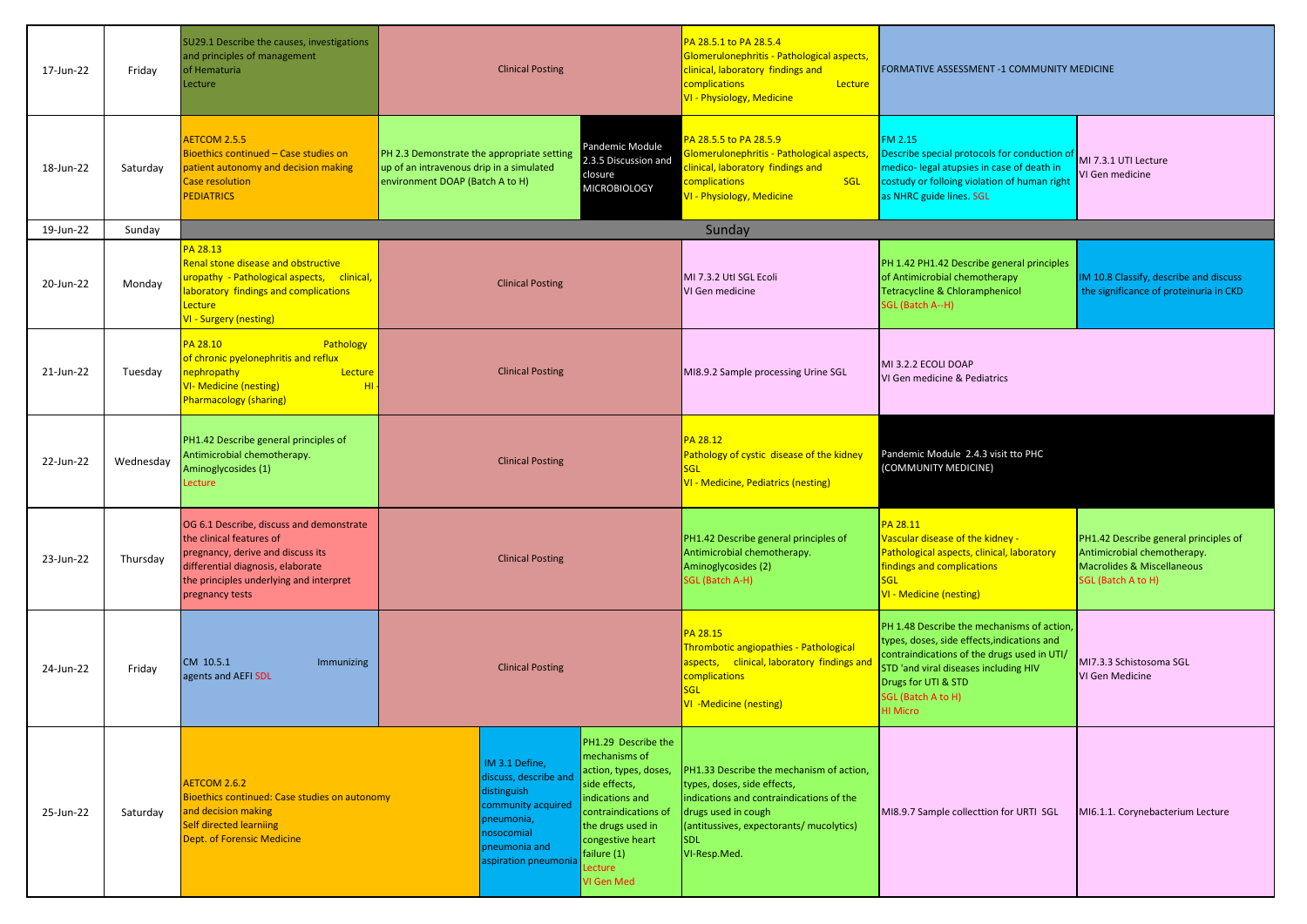| 17-Jun-22 | Friday    | SU29.1 Describe the causes, investigations<br>and principles of management<br>of Hematuria<br>Lecture                                                                                                        | <b>Clinical Posting</b>                                                                                                                                                                                                                                                                                                                                           |                         | PA 28.5.1 to PA 28.5.4<br>Glomerulonephritis - Pathological aspects,<br>clinical, laboratory findings and<br>complications<br>Lecture<br>VI - Physiology, Medicine                                                   | FORMATIVE ASSESSMENT -1 COMMUNITY MEDICINE                                                                                                                                                                                                        |                                                                                                                                                                                   |                                                                                                                          |
|-----------|-----------|--------------------------------------------------------------------------------------------------------------------------------------------------------------------------------------------------------------|-------------------------------------------------------------------------------------------------------------------------------------------------------------------------------------------------------------------------------------------------------------------------------------------------------------------------------------------------------------------|-------------------------|----------------------------------------------------------------------------------------------------------------------------------------------------------------------------------------------------------------------|---------------------------------------------------------------------------------------------------------------------------------------------------------------------------------------------------------------------------------------------------|-----------------------------------------------------------------------------------------------------------------------------------------------------------------------------------|--------------------------------------------------------------------------------------------------------------------------|
| 18-Jun-22 | Saturday  | AETCOM 2.5.5<br>Bioethics continued - Case studies on<br>patient autonomy and decision making<br>Case resolution<br><b>PEDIATRICS</b>                                                                        | PH 2.3 Demonstrate the appropriate setting<br>up of an intravenous drip in a simulated<br>environment DOAP (Batch A to H)                                                                                                                                                                                                                                         |                         | Pandemic Module<br>2.3.5 Discussion and<br>closure<br><b>MICROBIOLOGY</b>                                                                                                                                            | PA 28.5.5 to PA 28.5.9<br>Glomerulonephritis - Pathological aspects,<br>clinical, laboratory findings and<br>complications<br><b>SGL</b><br>VI - Physiology, Medicine                                                                             | FM 2.15<br>Describe special protocols for conduction of<br>medico- legal atupsies in case of death in<br>costudy or folloing violation of human right<br>as NHRC guide lines. SGL | MI 7.3.1 UTI Lecture<br>VI Gen medicine                                                                                  |
| 19-Jun-22 | Sunday    |                                                                                                                                                                                                              |                                                                                                                                                                                                                                                                                                                                                                   |                         |                                                                                                                                                                                                                      | Sunday                                                                                                                                                                                                                                            |                                                                                                                                                                                   |                                                                                                                          |
| 20-Jun-22 | Monday    | PA 28.13<br>Renal stone disease and obstructive<br>uropathy - Pathological aspects, clinical,<br>aboratory findings and complications<br>Lecture<br>VI - Surgery (nesting)                                   |                                                                                                                                                                                                                                                                                                                                                                   | <b>Clinical Posting</b> |                                                                                                                                                                                                                      | MI 7.3.2 Utl SGL Ecoli<br>VI Gen medicine                                                                                                                                                                                                         | PH 1.42 PH1.42 Describe general principles<br>of Antimicrobial chemotherapy<br>Tetracycline & Chloramphenicol<br>SGL (Batch A--H)                                                 | IM 10.8 Classify, describe and discuss<br>the significance of proteinuria in CKD                                         |
| 21-Jun-22 | Tuesday   | PA 28.10<br>Pathology<br>of chronic pyelonephritis and reflux<br>nephropathy<br>Lecture<br><b>VI- Medicine (nesting)</b><br>H <sub>II</sub><br><b>Pharmacology (sharing)</b>                                 |                                                                                                                                                                                                                                                                                                                                                                   | <b>Clinical Posting</b> |                                                                                                                                                                                                                      | MI8.9.2 Sample processing Urine SGL                                                                                                                                                                                                               | MI 3.2.2 ECOLI DOAP<br>VI Gen medicine & Pediatrics                                                                                                                               |                                                                                                                          |
| 22-Jun-22 | Wednesday | PH1.42 Describe general principles of<br>Antimicrobial chemotherapy.<br>Aminoglycosides (1)<br>Lecture                                                                                                       | <b>Clinical Posting</b>                                                                                                                                                                                                                                                                                                                                           |                         | PA 28.12<br>Pathology of cystic disease of the kidney<br>SGL<br>VI - Medicine, Pediatrics (nesting)                                                                                                                  | Pandemic Module 2.4.3 visit tto PHC<br>(COMMUNITY MEDICINE)                                                                                                                                                                                       |                                                                                                                                                                                   |                                                                                                                          |
| 23-Jun-22 | Thursday  | OG 6.1 Describe, discuss and demonstrate<br>the clinical features of<br>pregnancy, derive and discuss its<br>differential diagnosis, elaborate<br>the principles underlying and interpret<br>pregnancy tests | <b>Clinical Posting</b>                                                                                                                                                                                                                                                                                                                                           |                         |                                                                                                                                                                                                                      | PH1.42 Describe general principles of<br>Antimicrobial chemotherapy.<br>Aminoglycosides (2)<br>SGL (Batch A-H)                                                                                                                                    | PA 28.11<br>Vascular disease of the kidney -<br>Pathological aspects, clinical, laboratory<br>findings and complications<br><b>SGL</b><br>VI - Medicine (nesting)                 | PH1.42 Describe general principles of<br>Antimicrobial chemotherapy.<br>Macrolides & Miscellaneous<br>SGL (Batch A to H) |
| 24-Jun-22 | Friday    | CM 10.5.1<br><b>Immunizing</b><br>agents and AEFI SDL                                                                                                                                                        | <b>Clinical Posting</b>                                                                                                                                                                                                                                                                                                                                           |                         | PA 28.15<br>Thrombotic angiopathies - Pathological<br>clinical, laboratory findings an<br>aspects,<br>complications<br>sgl<br>VI -Medicine (nesting)                                                                 | PH 1.48 Describe the mechanisms of action,<br>types, doses, side effects, indications and<br>contraindications of the drugs used in UTI/<br>STD 'and viral diseases including HIV<br>Drugs for UTI & STD<br>SGL (Batch A to H)<br><b>HI Micro</b> | MI7.3.3 Schistosoma SGL<br>VI Gen Medicine                                                                                                                                        |                                                                                                                          |
| 25-Jun-22 | Saturday  | AETCOM 2.6.2<br>Bioethics continued: Case studies on autonomy<br>and decision making<br><b>Self directed learniing</b><br><b>Dept. of Forensic Medicine</b>                                                  | PH1.29 Describe the<br>mechanisms of<br>IM 3.1 Define,<br>action, types, doses,<br>discuss, describe and<br>side effects,<br>distinguish<br>indications and<br>community acquired<br>contraindications of<br>pneumonia,<br>the drugs used in<br>nosocomial<br>congestive heart<br>pneumonia and<br>failure $(1)$<br>aspiration pneumonia<br>_ecture<br>VI Gen Med |                         | PH1.33 Describe the mechanism of action,<br>types, doses, side effects,<br>indications and contraindications of the<br>drugs used in cough<br>(antitussives, expectorants/ mucolytics)<br><b>SDL</b><br>VI-Resp.Med. | MI8.9.7 Sample collecttion for URTI SGL                                                                                                                                                                                                           | MI6.1.1. Corynebacterium Lecture                                                                                                                                                  |                                                                                                                          |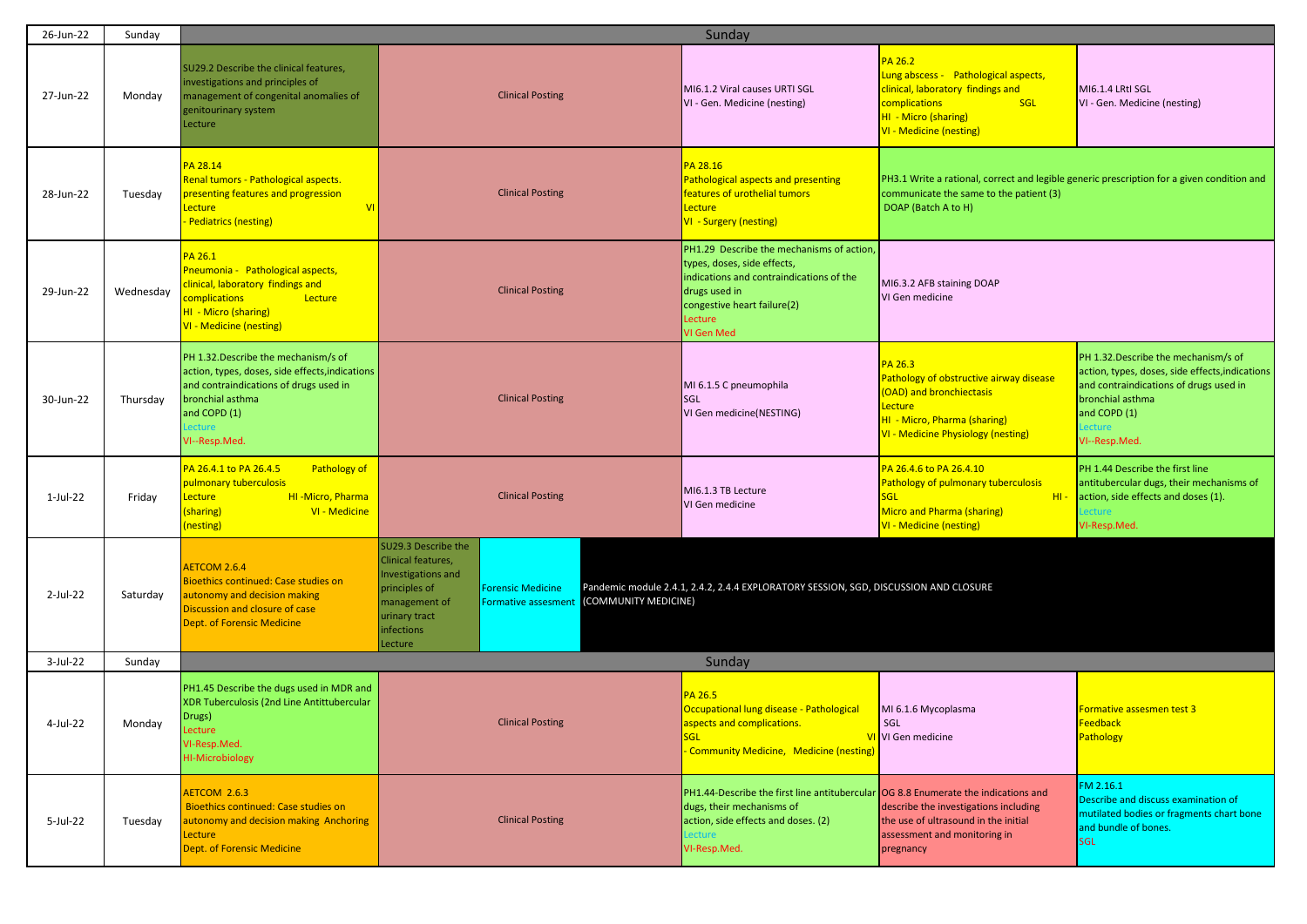| 26-Jun-22 | Sunday    |                                                                                                                                                                                                  |                                                                                                                                                                                                                               | Sunday                                                                                                                                                                                        |                                                                                                                                                                               |                                                                                                                                                                                                 |  |
|-----------|-----------|--------------------------------------------------------------------------------------------------------------------------------------------------------------------------------------------------|-------------------------------------------------------------------------------------------------------------------------------------------------------------------------------------------------------------------------------|-----------------------------------------------------------------------------------------------------------------------------------------------------------------------------------------------|-------------------------------------------------------------------------------------------------------------------------------------------------------------------------------|-------------------------------------------------------------------------------------------------------------------------------------------------------------------------------------------------|--|
| 27-Jun-22 | Monday    | SU29.2 Describe the clinical features,<br>investigations and principles of<br>management of congenital anomalies of<br>genitourinary system<br>Lecture                                           | <b>Clinical Posting</b>                                                                                                                                                                                                       | MI6.1.2 Viral causes URTI SGL<br>VI - Gen. Medicine (nesting)                                                                                                                                 | <b>PA 26.2</b><br>Lung abscess - Pathological aspects,<br>clinical, laboratory findings and<br>complications<br>SGL<br>HI - Micro (sharing)<br><b>VI - Medicine (nesting)</b> | MI6.1.4 LRtI SGL<br>VI - Gen. Medicine (nesting)                                                                                                                                                |  |
| 28-Jun-22 | Tuesday   | PA 28.14<br>Renal tumors - Pathological aspects.<br>presenting features and progression<br><b>VI</b><br>Lecture<br>Pediatrics (nesting)                                                          | <b>Clinical Posting</b>                                                                                                                                                                                                       | PA 28.16<br><b>Pathological aspects and presenting</b><br>features of urothelial tumors<br>Lecture<br>VI - Surgery (nesting)                                                                  | PH3.1 Write a rational, correct and legible generic prescription for a given condition and<br>communicate the same to the patient (3)<br>DOAP (Batch A to H)                  |                                                                                                                                                                                                 |  |
| 29-Jun-22 | Wednesday | PA 26.1<br>Pneumonia - Pathological aspects,<br>linical, laboratory findings and<br>complications<br>Lecture<br>HI - Micro (sharing)<br><b>VI - Medicine (nesting)</b>                           | <b>Clinical Posting</b>                                                                                                                                                                                                       | PH1.29 Describe the mechanisms of action,<br>types, doses, side effects,<br>indications and contraindications of the<br>drugs used in<br>congestive heart failure(2)<br>Lecture<br>VI Gen Med | MI6.3.2 AFB staining DOAP<br>VI Gen medicine                                                                                                                                  |                                                                                                                                                                                                 |  |
| 30-Jun-22 | Thursday  | PH 1.32. Describe the mechanism/s of<br>action, types, doses, side effects, indications<br>and contraindications of drugs used in<br>bronchial asthma<br>and COPD (1)<br>ecture<br>VI--Resp.Med. | <b>Clinical Posting</b>                                                                                                                                                                                                       | MI 6.1.5 C pneumophila<br>SGL<br>VI Gen medicine(NESTING)                                                                                                                                     | PA 26.3<br>Pathology of obstructive airway disease<br>(OAD) and bronchiectasis<br>Lecture<br>HI - Micro, Pharma (sharing)<br>VI - Medicine Physiology (nesting)               | PH 1.32.Describe the mechanism/s of<br>action, types, doses, side effects, indications<br>and contraindications of drugs used in<br>bronchial asthma<br>and COPD (1)<br>ecture<br>VI--Resp.Med. |  |
| 1-Jul-22  | Friday    | PA 26.4.1 to PA 26.4.5<br>Pathology of<br>pulmonary tuberculosis<br>HI-Micro, Pharma<br>ecture<br>(sharing)<br>VI - Medicine<br>nesting)                                                         | <b>Clinical Posting</b>                                                                                                                                                                                                       | MI6.1.3 TB Lecture<br>VI Gen medicine                                                                                                                                                         | PA 26.4.6 to PA 26.4.10<br>Pathology of pulmonary tuberculosis<br><b>SGL</b><br>H <sub>1</sub><br>Micro and Pharma (sharing)<br><b>VI - Medicine (nesting)</b>                | PH 1.44 Describe the first line<br>antitubercular dugs, their mechanisms of<br>action, side effects and doses (1).<br>Lecture<br>VI-Resp.Med.                                                   |  |
| 2-Jul-22  | Saturday  | <b>AETCOM 2.6.4</b><br><b>Bioethics continued: Case studies on</b><br>autonomy and decision making<br>Discussion and closure of case<br><b>Dept. of Forensic Medicine</b>                        | SU29.3 Describe the<br>Clinical features,<br>Investigations and<br><b>Forensic Medicine</b><br>principles of<br>(COMMUNITY MEDICINE)<br>management of<br><b>Formative assesment</b><br>urinary tract<br>infections<br>Lecture | Pandemic module 2.4.1, 2.4.2, 2.4.4 EXPLORATORY SESSION, SGD, DISCUSSION AND CLOSURE                                                                                                          |                                                                                                                                                                               |                                                                                                                                                                                                 |  |
| 3-Jul-22  | Sunday    |                                                                                                                                                                                                  |                                                                                                                                                                                                                               | Sunday                                                                                                                                                                                        |                                                                                                                                                                               |                                                                                                                                                                                                 |  |
| 4-Jul-22  | Monday    | PH1.45 Describe the dugs used in MDR and<br>XDR Tuberculosis (2nd Line Antittubercular<br>Drugs)<br>Lecture<br>VI-Resp.Med.<br><b>HI-Microbiology</b>                                            | <b>Clinical Posting</b>                                                                                                                                                                                                       | PA 26.5<br>Occupational lung disease - Pathological<br>aspects and complications.<br>SGL<br>- Community Medicine, Medicine (nesting)                                                          | MI 6.1.6 Mycoplasma<br>SGL<br>VI VI Gen medicine                                                                                                                              | <b>Formative assesmen test 3</b><br>Feedback<br>Pathology                                                                                                                                       |  |
| 5-Jul-22  | Tuesday   | AETCOM 2.6.3<br><b>Bioethics continued: Case studies on</b><br>autonomy and decision making Anchoring<br>Lecture<br><b>Dept. of Forensic Medicine</b>                                            | <b>Clinical Posting</b>                                                                                                                                                                                                       | PH1.44-Describe the first line antitubercular OG 8.8 Enumerate the indications and<br>dugs, their mechanisms of<br>action, side effects and doses. (2)<br>Lecture<br>VI-Resp.Med.             | describe the investigations including<br>the use of ultrasound in the initial<br>assessment and monitoring in<br>pregnancy                                                    | FM 2.16.1<br>Describe and discuss examination of<br>mutilated bodies or fragments chart bone<br>and bundle of bones.<br><b>SGL</b>                                                              |  |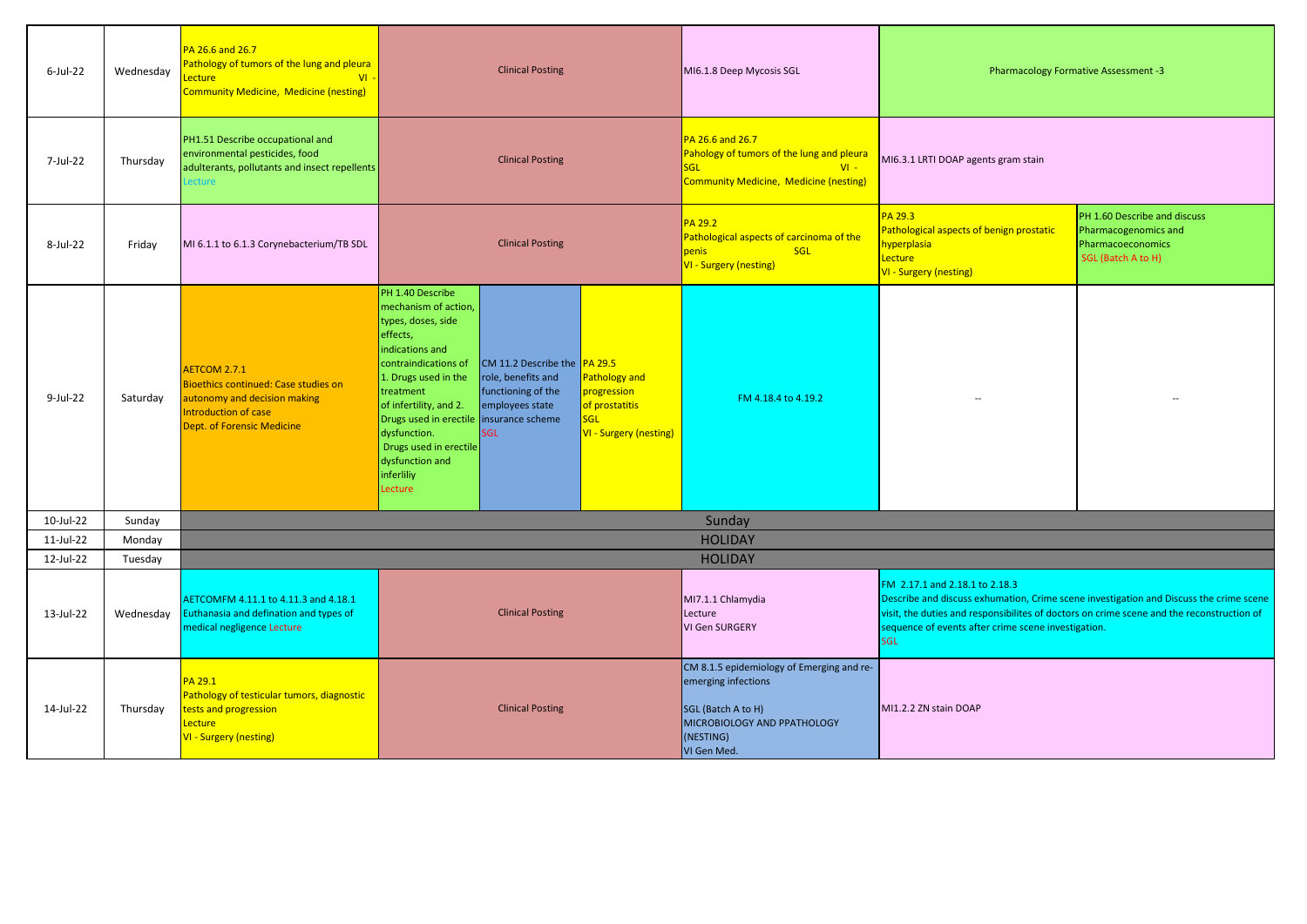| $6$ -Jul-22 | Wednesday | PA 26.6 and 26.7<br>Pathology of tumors of the lung and pleura<br>ecture.<br>$VI -$<br><b>Community Medicine, Medicine (nesting)</b>                     | <b>Clinical Posting</b>                                                                                                                                                                                                                                                                                                                                                                                                                                                                                               | MI6.1.8 Deep Mycosis SGL                                                                                                                          | Pharmacology Formative Assessment -3                                                                                                                                                                                                                                                       |  |
|-------------|-----------|----------------------------------------------------------------------------------------------------------------------------------------------------------|-----------------------------------------------------------------------------------------------------------------------------------------------------------------------------------------------------------------------------------------------------------------------------------------------------------------------------------------------------------------------------------------------------------------------------------------------------------------------------------------------------------------------|---------------------------------------------------------------------------------------------------------------------------------------------------|--------------------------------------------------------------------------------------------------------------------------------------------------------------------------------------------------------------------------------------------------------------------------------------------|--|
| 7-Jul-22    | Thursday  | PH1.51 Describe occupational and<br>environmental pesticides, food<br>adulterants, pollutants and insect repellents<br>ecture                            | <b>Clinical Posting</b>                                                                                                                                                                                                                                                                                                                                                                                                                                                                                               | PA 26.6 and 26.7<br>Pahology of tumors of the lung and pleura<br><b>SGL</b><br>$VI -$<br><b>Community Medicine, Medicine (nesting)</b>            | MI6.3.1 LRTI DOAP agents gram stain                                                                                                                                                                                                                                                        |  |
| 8-Jul-22    | Friday    | MI 6.1.1 to 6.1.3 Corynebacterium/TB SDL                                                                                                                 | <b>Clinical Posting</b>                                                                                                                                                                                                                                                                                                                                                                                                                                                                                               | PA 29.2<br>Pathological aspects of carcinoma of the<br>penis<br><b>SGL</b><br>VI - Surgery (nesting)                                              | PA 29.3<br>PH 1.60 Describe and discuss<br>Pathological aspects of benign prostatic<br>Pharmacogenomics and<br>hyperplasia<br>Pharmacoeconomics<br>Lecture<br>SGL (Batch A to H)<br>VI - Surgery (nesting)                                                                                 |  |
| $9$ -Jul-22 | Saturdav  | AETCOM 2.7.1<br><b>Bioethics continued: Case studies on</b><br>autonomy and decision making<br>Introduction of case<br><b>Dept. of Forensic Medicine</b> | PH 1.40 Describe<br>mechanism of action,<br>types, doses, side<br>effects,<br>indications and<br>contraindications of<br>CM 11.2 Describe the PA 29.5<br>role, benefits and<br>Pathology and<br>1. Drugs used in the<br>functioning of the<br>progression<br>treatment<br>of prostatitis<br>of infertility, and 2.<br>employees state<br><b>SGL</b><br>Drugs used in erectile insurance scheme<br>dysfunction.<br>VI - Surgery (nesting)<br>SGL<br>Drugs used in erectile<br>dysfunction and<br>inferliliy<br>Lecture | FM 4.18.4 to 4.19.2                                                                                                                               |                                                                                                                                                                                                                                                                                            |  |
| 10-Jul-22   | Sunday    |                                                                                                                                                          |                                                                                                                                                                                                                                                                                                                                                                                                                                                                                                                       | Sunday                                                                                                                                            |                                                                                                                                                                                                                                                                                            |  |
| 11-Jul-22   | Monday    |                                                                                                                                                          |                                                                                                                                                                                                                                                                                                                                                                                                                                                                                                                       | <b>HOLIDAY</b>                                                                                                                                    |                                                                                                                                                                                                                                                                                            |  |
| 12-Jul-22   | Tuesday   |                                                                                                                                                          |                                                                                                                                                                                                                                                                                                                                                                                                                                                                                                                       | <b>HOLIDAY</b>                                                                                                                                    |                                                                                                                                                                                                                                                                                            |  |
| 13-Jul-22   | Wednesday | AETCOMFM 4.11.1 to 4.11.3 and 4.18.1<br>Euthanasia and defination and types of<br>medical negligence Lecture                                             | <b>Clinical Posting</b>                                                                                                                                                                                                                                                                                                                                                                                                                                                                                               | MI7.1.1 Chlamydia<br>Lecture<br>VI Gen SURGERY                                                                                                    | FM 2.17.1 and 2.18.1 to 2.18.3<br>Describe and discuss exhumation, Crime scene investigation and Discuss the crime scene<br>visit, the duties and responsibilites of doctors on crime scene and the reconstruction of<br>sequence of events after crime scene investigation.<br><b>SGL</b> |  |
| 14-Jul-22   | Thursday  | PA 29.1<br>Pathology of testicular tumors, diagnostic<br>rests and progression<br>Lecture<br>VI - Surgery (nesting)                                      | <b>Clinical Posting</b>                                                                                                                                                                                                                                                                                                                                                                                                                                                                                               | CM 8.1.5 epidemiology of Emerging and re-<br>emerging infections<br>SGL (Batch A to H)<br>MICROBIOLOGY AND PPATHOLOGY<br>(NESTING)<br>VI Gen Med. | MI1.2.2 ZN stain DOAP                                                                                                                                                                                                                                                                      |  |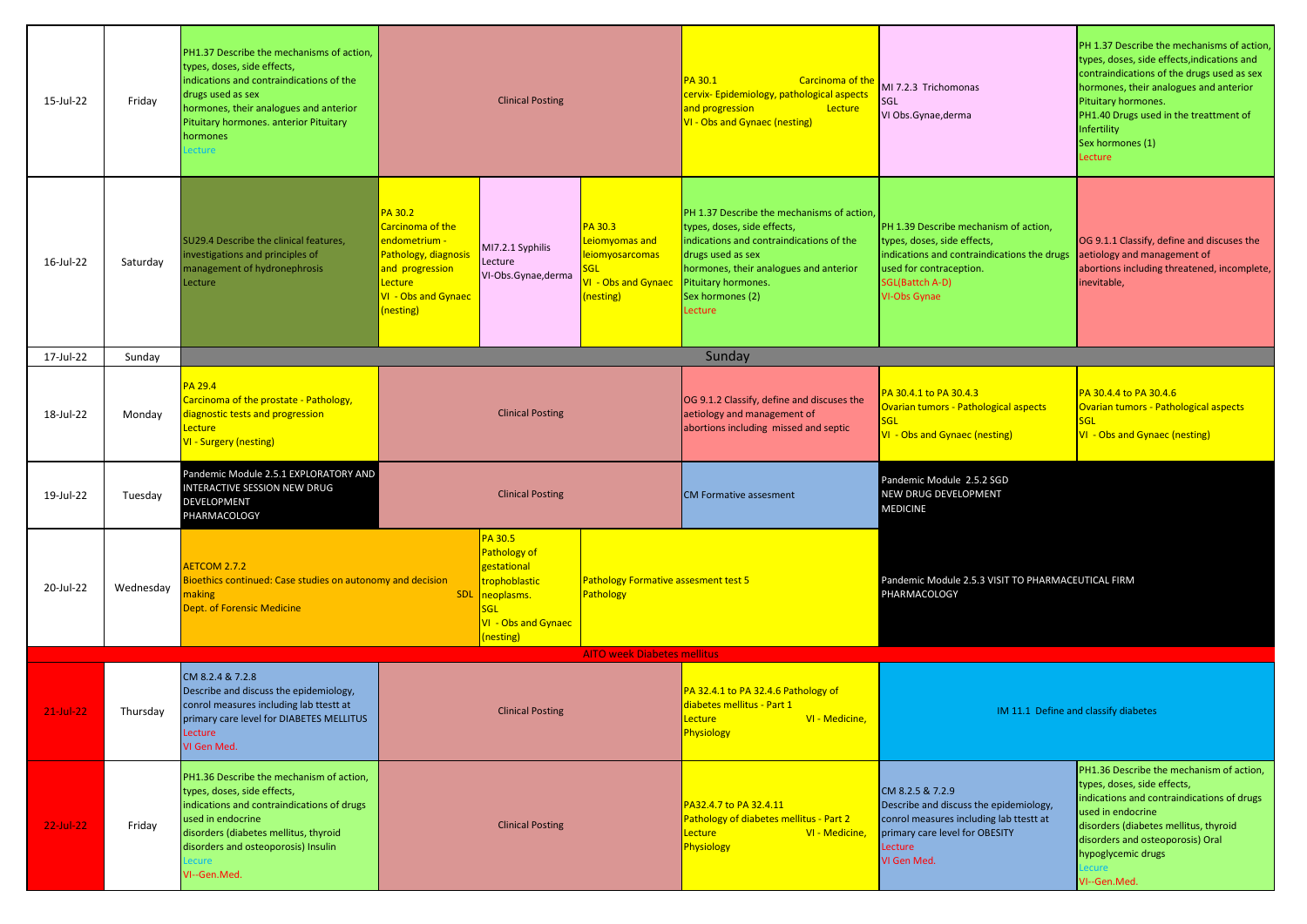| 15-Jul-22     | Friday    | PH1.37 Describe the mechanisms of action,<br>types, doses, side effects,<br>indications and contraindications of the<br>drugs used as sex<br>hormones, their analogues and anterior<br>Pituitary hormones. anterior Pituitary<br>hormones<br>ecture | <b>Clinical Posting</b>                                                                                                               |                                                                                                                         |                                                                                                | PA 30.1<br>Carcinoma of the<br>cervix-Epidemiology, pathological aspects<br>and progression<br>Lecture<br>VI - Obs and Gynaec (nesting)                                                                                                    | MI 7.2.3 Trichomonas<br><b>SGL</b><br>VI Obs.Gynae,derma                                                                                                                                 | PH 1.37 Describe the mechanisms of action,<br>types, doses, side effects, indications and<br>contraindications of the drugs used as sex<br>hormones, their analogues and anterior<br>Pituitary hormones.<br>PH1.40 Drugs used in the treattment of<br>Infertility<br>Sex hormones (1)<br>Lecture |
|---------------|-----------|-----------------------------------------------------------------------------------------------------------------------------------------------------------------------------------------------------------------------------------------------------|---------------------------------------------------------------------------------------------------------------------------------------|-------------------------------------------------------------------------------------------------------------------------|------------------------------------------------------------------------------------------------|--------------------------------------------------------------------------------------------------------------------------------------------------------------------------------------------------------------------------------------------|------------------------------------------------------------------------------------------------------------------------------------------------------------------------------------------|--------------------------------------------------------------------------------------------------------------------------------------------------------------------------------------------------------------------------------------------------------------------------------------------------|
| 16-Jul-22     | Saturday  | SU29.4 Describe the clinical features,<br>investigations and principles of<br>management of hydronephrosis<br>Lecture                                                                                                                               | PA 30.2<br>Carcinoma of the<br>endometrium -<br>Pathology, diagnosi<br>and progression<br>Lecture<br>VI - Obs and Gynaec<br>(nesting) | MI7.2.1 Syphilis<br>Lecture<br>VI-Obs.Gynae,derma                                                                       | PA 30.3<br>Leiomyomas and<br>leiomyosarcomas<br>GL<br>/I - Obs and Gynaec<br>(nesting)         | PH 1.37 Describe the mechanisms of action,<br>types, doses, side effects,<br>indications and contraindications of the<br>drugs used as sex<br>hormones, their analogues and anterior<br>Pituitary hormones.<br>Sex hormones (2)<br>Lecture | PH 1.39 Describe mechanism of action,<br>types, doses, side effects,<br>indications and contraindications the drugs<br>used for contraception.<br><b>SGL(Battch A-D)</b><br>VI-Obs Gynae | OG 9.1.1 Classify, define and discuses the<br>aetiology and management of<br>abortions including threatened, incomplete,<br>inevitable,                                                                                                                                                          |
| 17-Jul-22     | Sunday    |                                                                                                                                                                                                                                                     |                                                                                                                                       |                                                                                                                         |                                                                                                | Sunday                                                                                                                                                                                                                                     |                                                                                                                                                                                          |                                                                                                                                                                                                                                                                                                  |
| 18-Jul-22     | Monday    | PA 29.4<br>Carcinoma of the prostate - Pathology,<br>diagnostic tests and progression<br>Lecture<br>VI - Surgery (nesting)                                                                                                                          |                                                                                                                                       | <b>Clinical Posting</b>                                                                                                 |                                                                                                | OG 9.1.2 Classify, define and discuses the<br>aetiology and management of<br>abortions including missed and septic                                                                                                                         | PA 30.4.1 to PA 30.4.3<br>Ovarian tumors - Pathological aspects<br><b>SGL</b><br><b>VI</b> - Obs and Gynaec (nesting)                                                                    | PA 30.4.4 to PA 30.4.6<br>Ovarian tumors - Pathological aspects<br><b>SGL</b><br>VI - Obs and Gynaec (nesting)                                                                                                                                                                                   |
| 19-Jul-22     | Tuesday   | Pandemic Module 2.5.1 EXPLORATORY AND<br>INTERACTIVE SESSION NEW DRUG<br>DEVELOPMENT<br>PHARMACOLOGY                                                                                                                                                |                                                                                                                                       | <b>Clinical Posting</b>                                                                                                 |                                                                                                | <b>CM Formative assesment</b>                                                                                                                                                                                                              | Pandemic Module 2.5.2 SGD<br>NEW DRUG DEVELOPMENT<br><b>MEDICINE</b>                                                                                                                     |                                                                                                                                                                                                                                                                                                  |
| 20-Jul-22     | Wednesday | <b>AETCOM 2.7.2</b><br>Bioethics continued: Case studies on autonomy and decision<br>naking<br>Dept. of Forensic Medicine                                                                                                                           | <b>SDL</b>                                                                                                                            | PA 30.5<br><b>Pathology of</b><br>gestational<br>trophoblastic<br>neoplasms.<br>SGL<br>VI - Obs and Gynaec<br>(nesting) | Pathology Formative assesment test 5<br><b>Pathology</b><br><b>AITO week Diabetes mellitus</b> |                                                                                                                                                                                                                                            | Pandemic Module 2.5.3 VISIT TO PHARMACEUTICAL FIRM<br>PHARMACOLOGY                                                                                                                       |                                                                                                                                                                                                                                                                                                  |
| $21 -$ Jul-22 | Thursday  | CM 8.2.4 & 7.2.8<br>Describe and discuss the epidemiology,<br>conrol measures including lab ttestt at<br>primary care level for DIABETES MELLITUS<br>Lecture<br>VI Gen Med.                                                                         |                                                                                                                                       | <b>Clinical Posting</b>                                                                                                 |                                                                                                | PA 32.4.1 to PA 32.4.6 Pathology of<br>diabetes mellitus - Part 1<br>VI - Medicine,<br>Lecture <b>Part</b><br>Physiology                                                                                                                   |                                                                                                                                                                                          | IM 11.1 Define and classify diabetes                                                                                                                                                                                                                                                             |
| $22$ -Jul-22  | Friday    | PH1.36 Describe the mechanism of action,<br>types, doses, side effects,<br>indications and contraindications of drugs<br>used in endocrine<br>disorders (diabetes mellitus, thyroid<br>disorders and osteoporosis) Insulin<br>ecure<br>VI--Gen.Med. |                                                                                                                                       | <b>Clinical Posting</b>                                                                                                 |                                                                                                | PA32.4.7 to PA 32.4.11<br>Pathology of diabetes mellitus - Part 2<br>VI - Medicine<br>Lecture<br>Physiology                                                                                                                                | CM 8.2.5 & 7.2.9<br>Describe and discuss the epidemiology,<br>conrol measures including lab ttestt at<br>primary care level for OBESITY<br>Lecture<br>VI Gen Med.                        | PH1.36 Describe the mechanism of action,<br>types, doses, side effects,<br>indications and contraindications of drugs<br>used in endocrine<br>disorders (diabetes mellitus, thyroid<br>disorders and osteoporosis) Oral<br>hypoglycemic drugs<br>Lecure<br>VI--Gen.Med.                          |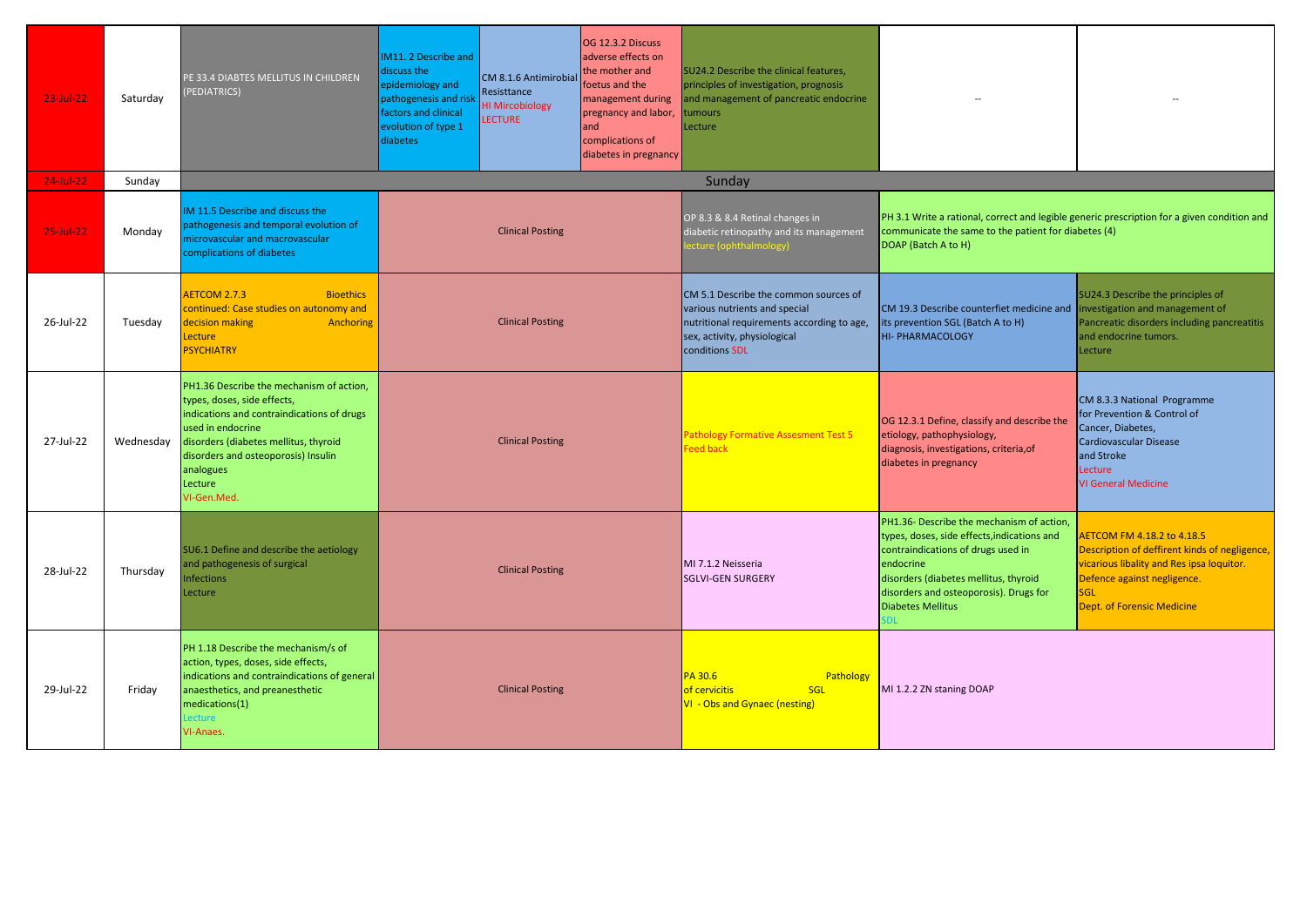| 23-Jul-22 | Saturday  | PE 33.4 DIABTES MELLITUS IN CHILDREN<br>PEDIATRICS)                                                                                                                                                                                                               | M11. 2 Describe and<br>discuss the<br>epidemiology and<br>pathogenesis and risk<br>factors and clinical<br>evolution of type 1<br>diabetes | CM 8.1.6 Antimirobial<br>Resisttance<br><b>HI Mircobiology</b><br><b>LECTURE</b> | OG 12.3.2 Discuss<br>adverse effects on<br>the mother and<br>foetus and the<br>management during<br>pregnancy and labor,<br>and<br>complications of<br>diabetes in pregnancy | SU24.2 Describe the clinical features,<br>principles of investigation, prognosis<br>and management of pancreatic endocrine<br>umours<br>Lecture                                                                                                            |                                                                                                                                                                                                            |                                                                                                                      |  |  |
|-----------|-----------|-------------------------------------------------------------------------------------------------------------------------------------------------------------------------------------------------------------------------------------------------------------------|--------------------------------------------------------------------------------------------------------------------------------------------|----------------------------------------------------------------------------------|------------------------------------------------------------------------------------------------------------------------------------------------------------------------------|------------------------------------------------------------------------------------------------------------------------------------------------------------------------------------------------------------------------------------------------------------|------------------------------------------------------------------------------------------------------------------------------------------------------------------------------------------------------------|----------------------------------------------------------------------------------------------------------------------|--|--|
| 24-Jul-22 | Sunday    |                                                                                                                                                                                                                                                                   |                                                                                                                                            |                                                                                  |                                                                                                                                                                              | Sunday                                                                                                                                                                                                                                                     |                                                                                                                                                                                                            |                                                                                                                      |  |  |
| 25-Jul-22 | Monday    | IM 11.5 Describe and discuss the<br>pathogenesis and temporal evolution of<br>microvascular and macrovascular<br>complications of diabetes                                                                                                                        |                                                                                                                                            | <b>Clinical Posting</b>                                                          |                                                                                                                                                                              | OP 8.3 & 8.4 Retinal changes in<br>diabetic retinopathy and its management<br>cture (ophthalmology)                                                                                                                                                        | PH 3.1 Write a rational, correct and legible generic prescription for a given condition and<br>communicate the same to the patient for diabetes (4)<br>DOAP (Batch A to H)                                 |                                                                                                                      |  |  |
| 26-Jul-22 | Tuesday   | AETCOM 2.7.3<br><b>Bioethics</b><br>continued: Case studies on autonomy and<br>decision making<br>Anchoring<br>Lecture<br><b>PSYCHIATRY</b>                                                                                                                       |                                                                                                                                            | <b>Clinical Posting</b>                                                          |                                                                                                                                                                              | CM 5.1 Describe the common sources of<br>various nutrients and special<br>nutritional requirements according to age,<br>sex, activity, physiological<br>conditions SDL                                                                                     | CM 19.3 Describe counterfiet medicine and investigation and management of<br>its prevention SGL (Batch A to H)<br><b>HI- PHARMACOLOGY</b>                                                                  | SU24.3 Describe the principles of<br>Pancreatic disorders including pancreatitis<br>and endocrine tumors.<br>Lecture |  |  |
| 27-Jul-22 | Wednesday | PH1.36 Describe the mechanism of action,<br>types, doses, side effects,<br>indications and contraindications of drugs<br>used in endocrine<br>disorders (diabetes mellitus, thyroid<br>disorders and osteoporosis) Insulin<br>analogues<br>Lecture<br>VI-Gen.Med. | <b>Clinical Posting</b>                                                                                                                    |                                                                                  | Pathology Formative Assesment Test 5<br>Feed back                                                                                                                            | OG 12.3.1 Define, classify and describe the<br>etiology, pathophysiology,<br>diagnosis, investigations, criteria, of<br>diabetes in pregnancy                                                                                                              | CM 8.3.3 National Programme<br>for Prevention & Control of<br>Cancer, Diabetes,<br>Cardiovascular Disease<br>and Stroke<br>Lecture<br><b>VI General Medicine</b>                                           |                                                                                                                      |  |  |
| 28-Jul-22 | Thursday  | SU6.1 Define and describe the aetiology<br>and pathogenesis of surgical<br>nfections<br>Lecture                                                                                                                                                                   | <b>Clinical Posting</b>                                                                                                                    |                                                                                  | MI 7.1.2 Neisseria<br><b>SGLVI-GEN SURGERY</b>                                                                                                                               | PH1.36- Describe the mechanism of action.<br>types, doses, side effects, indications and<br>contraindications of drugs used in<br>endocrine<br>disorders (diabetes mellitus, thyroid<br>disorders and osteoporosis). Drugs for<br><b>Diabetes Mellitus</b> | <b>AETCOM FM 4.18.2 to 4.18.5</b><br>Description of deffirent kinds of negligence,<br>vicarious libality and Res ipsa loquitor.<br>Defence against negligence.<br><b>SGL</b><br>Dept. of Forensic Medicine |                                                                                                                      |  |  |
| 29-Jul-22 | Friday    | PH 1.18 Describe the mechanism/s of<br>action, types, doses, side effects,<br>indications and contraindications of general<br>anaesthetics, and preanesthetic<br>medications(1)<br><b>Lecture</b><br><b>VI-Anaes.</b>                                             |                                                                                                                                            | <b>Clinical Posting</b>                                                          |                                                                                                                                                                              | PA 30.6<br>Pathology<br>of cervicitis<br>SGL<br>VI - Obs and Gynaec (nesting)                                                                                                                                                                              | MI 1.2.2 ZN staning DOAP                                                                                                                                                                                   |                                                                                                                      |  |  |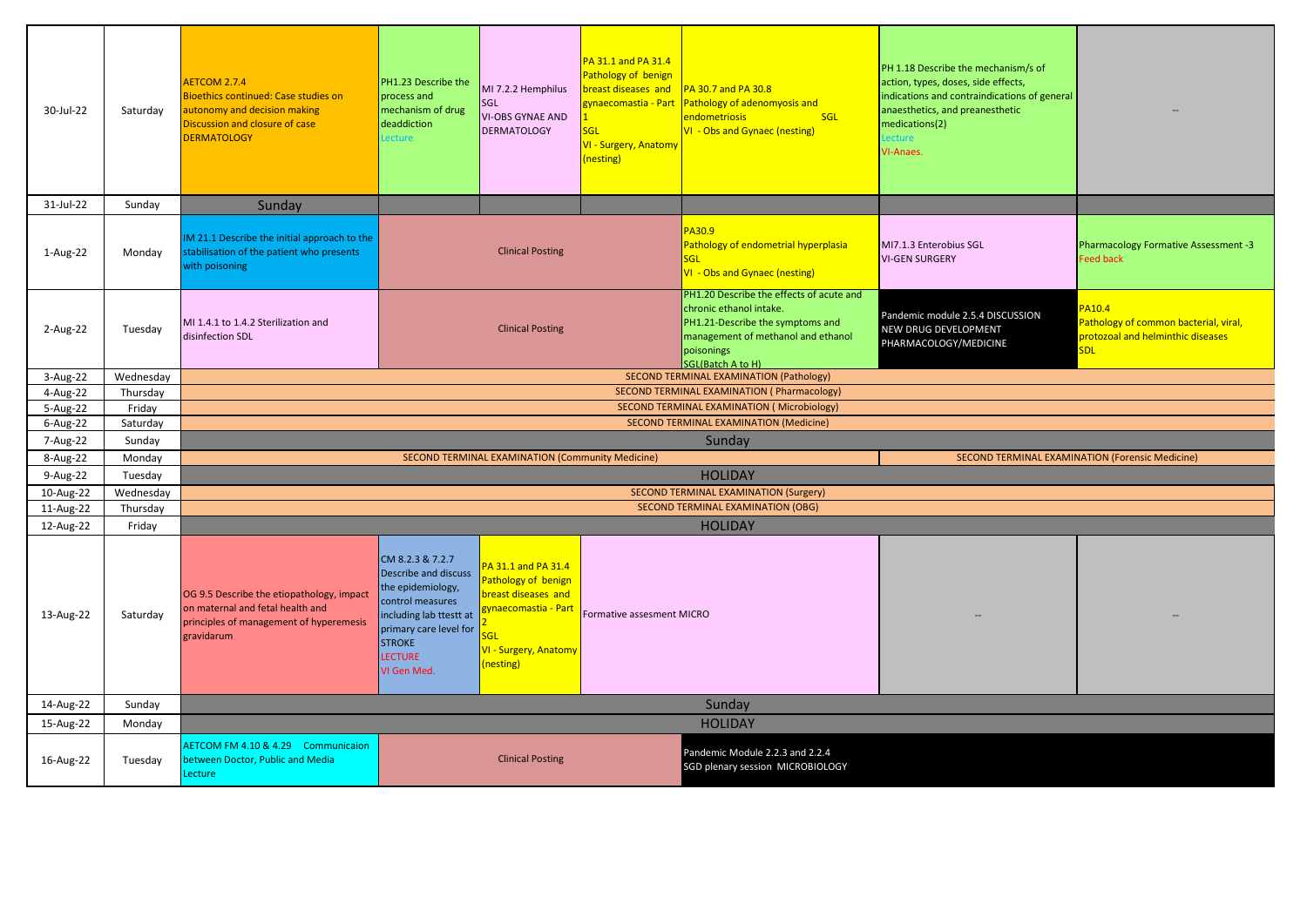| 30-Jul-22    | Saturday  | AETCOM 2.7.4<br>Bioethics continued: Case studies on<br>autonomy and decision making<br>Discussion and closure of case<br><b>DERMATOLOGY</b> | PH1.23 Describe the<br>process and<br>mechanism of drug<br>deaddiction<br>Lecture                                                                                                               | MI 7.2.2 Hemphilus<br>SGL<br><b>VI-OBS GYNAE AND</b><br><b>DERMATOLOGY</b>                                                           | PA 31.1 and PA 31.4<br><b>Pathology of benign</b><br>oreast diseases and<br>zynaecomastia - Part<br><b>SGL</b><br><b>VI - Surgery, Anatomy</b><br>(nesting) | PA 30.7 and PA 30.8<br>Pathology of adenomyosis and<br>endometriosis<br><b>SGL</b><br>VI - Obs and Gynaec (nesting)                                                                     | PH 1.18 Describe the mechanism/s of<br>action, types, doses, side effects,<br>indications and contraindications of general<br>anaesthetics, and preanesthetic<br>medications(2)<br>Lecture<br>VI-Anaes. |                                                                                                           |
|--------------|-----------|----------------------------------------------------------------------------------------------------------------------------------------------|-------------------------------------------------------------------------------------------------------------------------------------------------------------------------------------------------|--------------------------------------------------------------------------------------------------------------------------------------|-------------------------------------------------------------------------------------------------------------------------------------------------------------|-----------------------------------------------------------------------------------------------------------------------------------------------------------------------------------------|---------------------------------------------------------------------------------------------------------------------------------------------------------------------------------------------------------|-----------------------------------------------------------------------------------------------------------|
| 31-Jul-22    | Sunday    | Sunday                                                                                                                                       |                                                                                                                                                                                                 |                                                                                                                                      |                                                                                                                                                             |                                                                                                                                                                                         |                                                                                                                                                                                                         |                                                                                                           |
| 1-Aug-22     | Monday    | IM 21.1 Describe the initial approach to the<br>stabilisation of the patient who presents<br>with poisoning                                  |                                                                                                                                                                                                 | <b>Clinical Posting</b>                                                                                                              |                                                                                                                                                             | PA30.9<br>Pathology of endometrial hyperplasia<br>SGL<br>VI - Obs and Gynaec (nesting)                                                                                                  | MI7.1.3 Enterobius SGL<br><b>VI-GEN SURGERY</b>                                                                                                                                                         | Pharmacology Formative Assessment -3<br><b>Feed back</b>                                                  |
| 2-Aug-22     | Tuesday   | MI 1.4.1 to 1.4.2 Sterilization and<br>disinfection SDL                                                                                      |                                                                                                                                                                                                 | <b>Clinical Posting</b>                                                                                                              |                                                                                                                                                             | PH1.20 Describe the effects of acute and<br>chronic ethanol intake.<br>PH1.21-Describe the symptoms and<br>management of methanol and ethanol<br>poisonings<br><b>SGL(Batch A to H)</b> | Pandemic module 2.5.4 DISCUSSION<br>NEW DRUG DEVELOPMENT<br>PHARMACOLOGY/MEDICINE                                                                                                                       | <b>PA10.4</b><br>Pathology of common bacterial, viral,<br>protozoal and helminthic diseases<br><b>SDL</b> |
| 3-Aug-22     | Wednesday |                                                                                                                                              |                                                                                                                                                                                                 |                                                                                                                                      |                                                                                                                                                             | SECOND TERMINAL EXAMINATION (Pathology)                                                                                                                                                 |                                                                                                                                                                                                         |                                                                                                           |
| 4-Aug-22     | Thursday  |                                                                                                                                              |                                                                                                                                                                                                 |                                                                                                                                      |                                                                                                                                                             | SECOND TERMINAL EXAMINATION (Pharmacology)                                                                                                                                              |                                                                                                                                                                                                         |                                                                                                           |
| 5-Aug-22     | Friday    |                                                                                                                                              |                                                                                                                                                                                                 |                                                                                                                                      |                                                                                                                                                             | SECOND TERMINAL EXAMINATION (Microbiology)                                                                                                                                              |                                                                                                                                                                                                         |                                                                                                           |
| $6 - Aug-22$ | Saturday  |                                                                                                                                              |                                                                                                                                                                                                 |                                                                                                                                      |                                                                                                                                                             | SECOND TERMINAL EXAMINATION (Medicine)                                                                                                                                                  |                                                                                                                                                                                                         |                                                                                                           |
| 7-Aug-22     | Sunday    |                                                                                                                                              |                                                                                                                                                                                                 |                                                                                                                                      |                                                                                                                                                             | Sunday                                                                                                                                                                                  |                                                                                                                                                                                                         |                                                                                                           |
| 8-Aug-22     | Monday    |                                                                                                                                              |                                                                                                                                                                                                 | SECOND TERMINAL EXAMINATION (Community Medicine)                                                                                     |                                                                                                                                                             |                                                                                                                                                                                         |                                                                                                                                                                                                         | SECOND TERMINAL EXAMINATION (Forensic Medicine)                                                           |
| 9-Aug-22     | Tuesday   |                                                                                                                                              |                                                                                                                                                                                                 |                                                                                                                                      |                                                                                                                                                             | <b>HOLIDAY</b>                                                                                                                                                                          |                                                                                                                                                                                                         |                                                                                                           |
| 10-Aug-22    | Wednesday |                                                                                                                                              |                                                                                                                                                                                                 |                                                                                                                                      |                                                                                                                                                             | <b>SECOND TERMINAL EXAMINATION (Surgery)</b>                                                                                                                                            |                                                                                                                                                                                                         |                                                                                                           |
| 11-Aug-22    | Thursday  |                                                                                                                                              |                                                                                                                                                                                                 |                                                                                                                                      |                                                                                                                                                             | <b>SECOND TERMINAL EXAMINATION (OBG)</b>                                                                                                                                                |                                                                                                                                                                                                         |                                                                                                           |
| 12-Aug-22    | Friday    |                                                                                                                                              |                                                                                                                                                                                                 |                                                                                                                                      |                                                                                                                                                             | <b>HOLIDAY</b>                                                                                                                                                                          |                                                                                                                                                                                                         |                                                                                                           |
| 13-Aug-22    | Saturday  | OG 9.5 Describe the etiopathology, impact<br>on maternal and fetal health and<br>principles of management of hyperemesis<br>gravidarum       | CM 8.2.3 & 7.2.7<br><b>Describe and discuss</b><br>the epidemiology,<br>control measures<br>including lab ttestt at<br>primary care level for<br><b>STROKE</b><br><b>LECTURE</b><br>VI Gen Med. | PA 31.1 and PA 31.4<br>Pathology of benign<br>breast diseases and<br>vnaecomastia - Part<br>GL<br>VI - Surgery, Anatomy<br>(nesting) | <b>Formative assesment MICRO</b>                                                                                                                            |                                                                                                                                                                                         |                                                                                                                                                                                                         |                                                                                                           |
| 14-Aug-22    | Sunday    |                                                                                                                                              |                                                                                                                                                                                                 |                                                                                                                                      |                                                                                                                                                             | Sunday                                                                                                                                                                                  |                                                                                                                                                                                                         |                                                                                                           |
| 15-Aug-22    | Monday    |                                                                                                                                              |                                                                                                                                                                                                 |                                                                                                                                      |                                                                                                                                                             | <b>HOLIDAY</b>                                                                                                                                                                          |                                                                                                                                                                                                         |                                                                                                           |
| 16-Aug-22    | Tuesday   | AETCOM FM 4.10 & 4.29 Communicaion<br>between Doctor, Public and Media<br>Lecture                                                            |                                                                                                                                                                                                 | <b>Clinical Posting</b>                                                                                                              |                                                                                                                                                             | Pandemic Module 2.2.3 and 2.2.4<br>SGD plenary session MICROBIOLOGY                                                                                                                     |                                                                                                                                                                                                         |                                                                                                           |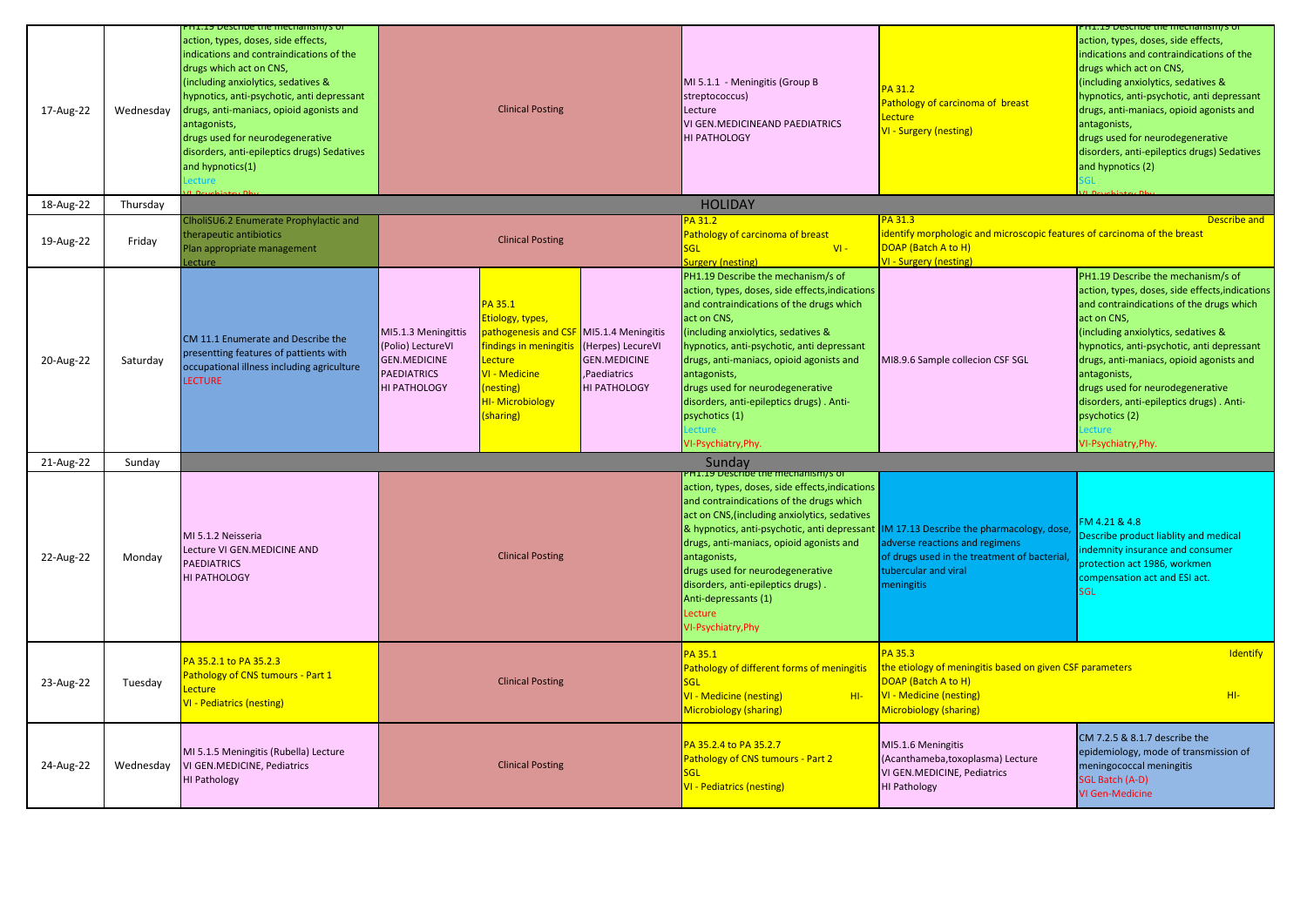| 17-Aug-22<br>18-Aug-22 | Wednesday<br>Thursday | H1.19 Describe the mechanism/s of<br>action, types, doses, side effects,<br>indications and contraindications of the<br>drugs which act on CNS,<br>(including anxiolytics, sedatives &<br>hypnotics, anti-psychotic, anti depressant<br>drugs, anti-maniacs, opioid agonists and<br>antagonists,<br>drugs used for neurodegenerative<br>disorders, anti-epileptics drugs) Sedatives<br>and hypnotics(1)<br>ecture | <b>Clinical Posting</b>                                                                                                                                                                                                                                                                                                                                              | MI 5.1.1 - Meningitis (Group B<br>streptococcus)<br>Lecture<br>VI GEN.MEDICINEAND PAEDIATRICS<br><b>HI PATHOLOGY</b><br><b>HOLIDAY</b>                                                                                                                                                                                                                                                                                                  | PA 31.2<br>Pathology of carcinoma of breast<br>Lecture<br><b>VI - Surgery (nesting)</b>                                                                         | PH1.19 Describe the mechanism/s of<br>action, types, doses, side effects,<br>indications and contraindications of the<br>drugs which act on CNS,<br>(including anxiolytics, sedatives &<br>hypnotics, anti-psychotic, anti depressant<br>drugs, anti-maniacs, opioid agonists and<br>antagonists,<br>drugs used for neurodegenerative<br>disorders, anti-epileptics drugs) Sedatives<br>and hypnotics (2)                            |
|------------------------|-----------------------|-------------------------------------------------------------------------------------------------------------------------------------------------------------------------------------------------------------------------------------------------------------------------------------------------------------------------------------------------------------------------------------------------------------------|----------------------------------------------------------------------------------------------------------------------------------------------------------------------------------------------------------------------------------------------------------------------------------------------------------------------------------------------------------------------|-----------------------------------------------------------------------------------------------------------------------------------------------------------------------------------------------------------------------------------------------------------------------------------------------------------------------------------------------------------------------------------------------------------------------------------------|-----------------------------------------------------------------------------------------------------------------------------------------------------------------|--------------------------------------------------------------------------------------------------------------------------------------------------------------------------------------------------------------------------------------------------------------------------------------------------------------------------------------------------------------------------------------------------------------------------------------|
|                        |                       | ClholiSU6.2 Enumerate Prophylactic and                                                                                                                                                                                                                                                                                                                                                                            |                                                                                                                                                                                                                                                                                                                                                                      | <b>PA 31.2</b>                                                                                                                                                                                                                                                                                                                                                                                                                          | PA 31.3                                                                                                                                                         | Describe and                                                                                                                                                                                                                                                                                                                                                                                                                         |
| 19-Aug-22              | Friday                | herapeutic antibiotics<br>lan appropriate management<br>ecture                                                                                                                                                                                                                                                                                                                                                    | <b>Clinical Posting</b>                                                                                                                                                                                                                                                                                                                                              | Pathology of carcinoma of breast<br>SGL<br>$VI -$<br><b>Surgery (nesting)</b>                                                                                                                                                                                                                                                                                                                                                           | identify morphologic and microscopic features of carcinoma of the breast<br>DOAP (Batch A to H)<br><b>VI - Surgery (nesting)</b>                                |                                                                                                                                                                                                                                                                                                                                                                                                                                      |
| 20-Aug-22              | Saturday              | CM 11.1 Enumerate and Describe the<br>presentting features of pattients with<br>occupational illness including agriculture<br>LECTURE                                                                                                                                                                                                                                                                             | PA 35.1<br>Etiology, types,<br><b>pathogenesis and CSF</b> MI5.1.4 Meningitis<br>MI5.1.3 Meningittis<br>findings in meningitis<br>(Polio) LectureVI<br>(Herpes) LecureVI<br><b>GEN.MEDICINE</b><br><b>GEN.MEDICINE</b><br>Lecture<br>VI - Medicine<br>PAEDIATRICS<br>Paediatrics<br>HI PATHOLOGY<br>(nesting)<br>HI PATHOLOGY<br><b>HI-Microbiology</b><br>(sharing) | PH1.19 Describe the mechanism/s of<br>action, types, doses, side effects, indications<br>and contraindications of the drugs which<br>act on CNS,<br>(including anxiolytics, sedatives &<br>hypnotics, anti-psychotic, anti depressant<br>drugs, anti-maniacs, opioid agonists and<br>antagonists,<br>drugs used for neurodegenerative<br>disorders, anti-epileptics drugs). Anti-<br>psychotics (1)<br>ecture<br>VI-Psychiatry, Phy     | MI8.9.6 Sample collecion CSF SGL                                                                                                                                | PH1.19 Describe the mechanism/s of<br>action, types, doses, side effects, indications<br>and contraindications of the drugs which<br>act on CNS,<br>(including anxiolytics, sedatives &<br>hypnotics, anti-psychotic, anti depressant<br>drugs, anti-maniacs, opioid agonists and<br>antagonists,<br>drugs used for neurodegenerative<br>disorders, anti-epileptics drugs). Anti-<br>psychotics (2)<br>ecture<br>/I-Psychiatry, Phy. |
| 21-Aug-22              | Sunday                |                                                                                                                                                                                                                                                                                                                                                                                                                   |                                                                                                                                                                                                                                                                                                                                                                      | Sunday                                                                                                                                                                                                                                                                                                                                                                                                                                  |                                                                                                                                                                 |                                                                                                                                                                                                                                                                                                                                                                                                                                      |
| 22-Aug-22              | Mondav                | MI 5.1.2 Neisseria<br>Lecture VI GEN.MEDICINE AND<br><b>PAEDIATRICS</b><br>HI PATHOLOGY                                                                                                                                                                                                                                                                                                                           | <b>Clinical Posting</b>                                                                                                                                                                                                                                                                                                                                              | <b>H1.19 Describe the mechanism/s of</b><br>action, types, doses, side effects, indications<br>and contraindications of the drugs which<br>act on CNS, (including anxiolytics, sedatives<br>& hypnotics, anti-psychotic, anti depressant<br>drugs, anti-maniacs, opioid agonists and<br>antagonists,<br>drugs used for neurodegenerative<br>disorders, anti-epileptics drugs).<br>Anti-depressants (1)<br>Lecture<br>VI-Psychiatry, Phy | IM 17.13 Describe the pharmacology, dose<br>adverse reactions and regimens<br>of drugs used in the treatment of bacterial<br>tubercular and viral<br>meningitis | FM 4.21 & 4.8<br>Describe product liablity and medical<br>indemnity insurance and consumer<br>protection act 1986, workmen<br>compensation act and ESI act.<br><b>SGL</b>                                                                                                                                                                                                                                                            |
| 23-Aug-22              | Tuesday               | PA 35.2.1 to PA 35.2.3<br>Pathology of CNS tumours - Part 1<br>Lecture<br>VI - Pediatrics (nesting)                                                                                                                                                                                                                                                                                                               | <b>Clinical Posting</b>                                                                                                                                                                                                                                                                                                                                              | PA 35.1<br>Pathology of different forms of meningitis<br><b>SGL</b><br><b>VI - Medicine (nesting)</b><br>$H1-$<br><b>Microbiology (sharing)</b>                                                                                                                                                                                                                                                                                         | PA 35.3<br>the etiology of meningitis based on given CSF parameters<br>DOAP (Batch A to H)<br><b>VI - Medicine (nesting)</b><br><b>Microbiology (sharing)</b>   | Identify<br>$H1-$                                                                                                                                                                                                                                                                                                                                                                                                                    |
| 24-Aug-22              | Wednesday             | MI 5.1.5 Meningitis (Rubella) Lecture<br>VI GEN.MEDICINE, Pediatrics<br><b>HI Pathology</b>                                                                                                                                                                                                                                                                                                                       | <b>Clinical Posting</b>                                                                                                                                                                                                                                                                                                                                              | PA 35.2.4 to PA 35.2.7<br>Pathology of CNS tumours - Part 2<br>SGL<br><b>VI - Pediatrics (nesting)</b>                                                                                                                                                                                                                                                                                                                                  | MI5.1.6 Meningitis<br>(Acanthameba,toxoplasma) Lecture<br>VI GEN.MEDICINE, Pediatrics<br><b>HI Pathology</b>                                                    | CM 7.2.5 & 8.1.7 describe the<br>epidemiology, mode of transmission of<br>meningococcal meningitis<br>SGL Batch (A-D)<br>VI Gen-Medicine                                                                                                                                                                                                                                                                                             |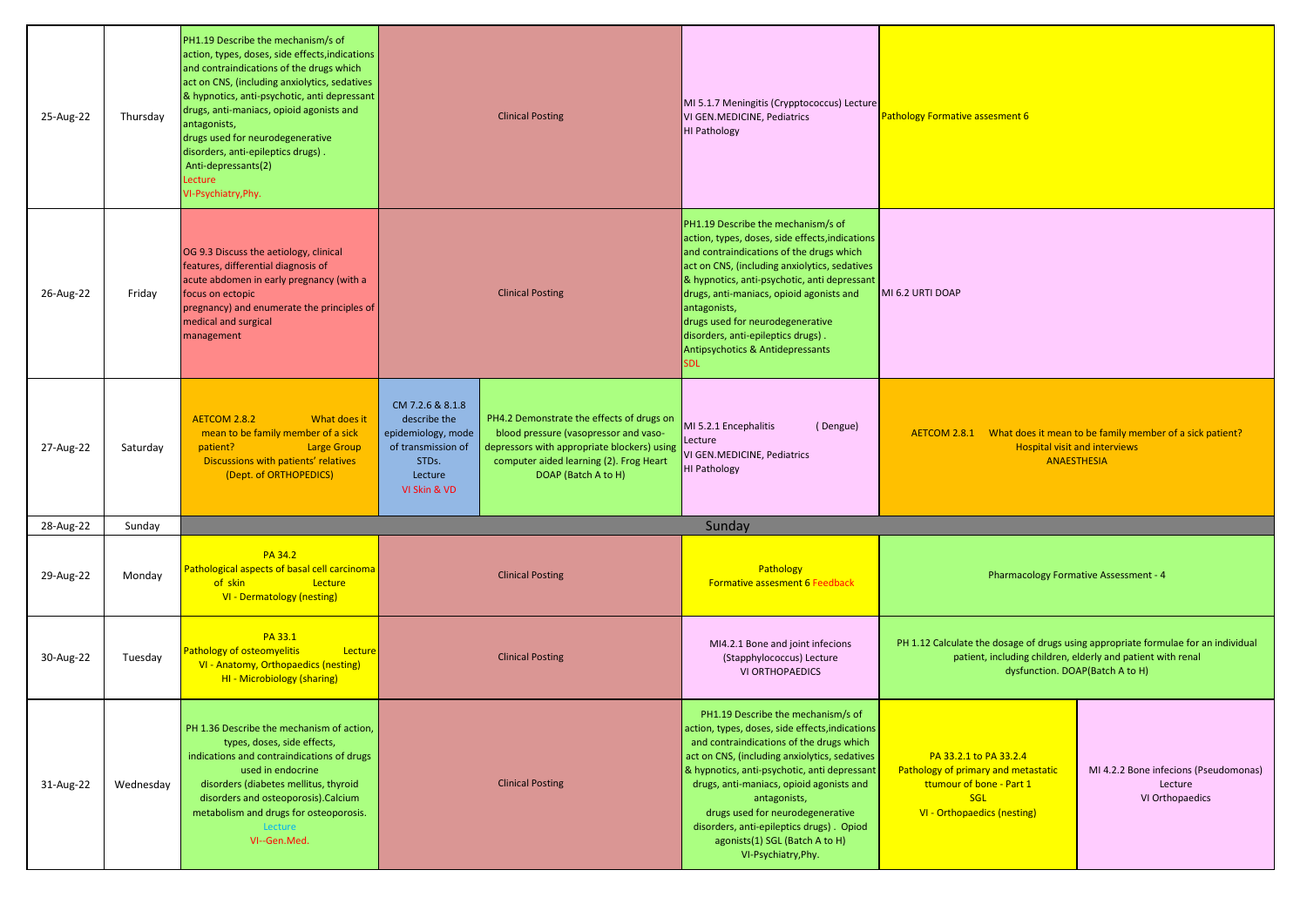| 25-Aug-22 | Thursday  | PH1.19 Describe the mechanism/s of<br>action, types, doses, side effects, indications<br>and contraindications of the drugs which<br>act on CNS, (including anxiolytics, sedatives<br>& hypnotics, anti-psychotic, anti depressant<br>drugs, anti-maniacs, opioid agonists and<br>antagonists,<br>drugs used for neurodegenerative<br>disorders, anti-epileptics drugs).<br>Anti-depressants(2)<br>Lecture<br>VI-Psychiatry, Phy. | <b>Clinical Posting</b>                                                                                                                                                                                                                                                                                                 |  | MI 5.1.7 Meningitis (Crypptococcus) Lecture<br>VI GEN.MEDICINE, Pediatrics<br>HI Pathology                                                                                                                                                                                                                                                                                                                                              | Pathology Formative assesment 6                                                                                                        |                                                                                                                                                                                      |
|-----------|-----------|-----------------------------------------------------------------------------------------------------------------------------------------------------------------------------------------------------------------------------------------------------------------------------------------------------------------------------------------------------------------------------------------------------------------------------------|-------------------------------------------------------------------------------------------------------------------------------------------------------------------------------------------------------------------------------------------------------------------------------------------------------------------------|--|-----------------------------------------------------------------------------------------------------------------------------------------------------------------------------------------------------------------------------------------------------------------------------------------------------------------------------------------------------------------------------------------------------------------------------------------|----------------------------------------------------------------------------------------------------------------------------------------|--------------------------------------------------------------------------------------------------------------------------------------------------------------------------------------|
| 26-Aug-22 | Friday    | OG 9.3 Discuss the aetiology, clinical<br>features, differential diagnosis of<br>acute abdomen in early pregnancy (with a<br>focus on ectopic<br>pregnancy) and enumerate the principles of<br>medical and surgical<br>management                                                                                                                                                                                                 | <b>Clinical Posting</b>                                                                                                                                                                                                                                                                                                 |  | PH1.19 Describe the mechanism/s of<br>action, types, doses, side effects, indications<br>and contraindications of the drugs which<br>act on CNS, (including anxiolytics, sedatives<br>& hypnotics, anti-psychotic, anti depressant<br>drugs, anti-maniacs, opioid agonists and<br>antagonists,<br>drugs used for neurodegenerative<br>disorders, anti-epileptics drugs).<br>Antipsychotics & Antidepressants<br><b>SDL</b>              | MI 6.2 URTI DOAP                                                                                                                       |                                                                                                                                                                                      |
| 27-Aug-22 | Saturday  | <b>AETCOM 2.8.2</b><br>What does it<br>mean to be family member of a sick<br>patient?<br><b>Large Group</b><br>Discussions with patients' relatives<br>(Dept. of ORTHOPEDICS)                                                                                                                                                                                                                                                     | CM 7.2.6 & 8.1.8<br>PH4.2 Demonstrate the effects of drugs on<br>describe the<br>blood pressure (vasopressor and vaso-<br>epidemiology, mode<br>depressors with appropriate blockers) using<br>of transmission of<br>computer aided learning (2). Frog Heart<br>STDs.<br>DOAP (Batch A to H)<br>Lecture<br>VI Skin & VD |  | MI 5.2.1 Encephalitis<br>(Dengue)<br>Lecture<br>VI GEN.MEDICINE, Pediatrics<br>HI Pathology                                                                                                                                                                                                                                                                                                                                             | AETCOM 2.8.1 What does it mean to be family member of a sick patient?<br><b>Hospital visit and interviews</b><br><b>ANAESTHESIA</b>    |                                                                                                                                                                                      |
| 28-Aug-22 | Sunday    |                                                                                                                                                                                                                                                                                                                                                                                                                                   |                                                                                                                                                                                                                                                                                                                         |  | Sunday                                                                                                                                                                                                                                                                                                                                                                                                                                  |                                                                                                                                        |                                                                                                                                                                                      |
| 29-Aug-22 | Monday    | PA 34.2<br>Pathological aspects of basal cell carcinoma<br>Lecture<br>of skin<br>VI - Dermatology (nesting)                                                                                                                                                                                                                                                                                                                       | <b>Clinical Posting</b>                                                                                                                                                                                                                                                                                                 |  | Pathology<br><b>Formative assesment 6 Feedback</b>                                                                                                                                                                                                                                                                                                                                                                                      |                                                                                                                                        | <b>Pharmacology Formative Assessment - 4</b>                                                                                                                                         |
| 30-Aug-22 | Tuesday   | PA 33.1<br><b>Pathology of osteomyelitis</b><br>Lecture<br>VI - Anatomy, Orthopaedics (nesting)<br>HI - Microbiology (sharing)                                                                                                                                                                                                                                                                                                    | <b>Clinical Posting</b>                                                                                                                                                                                                                                                                                                 |  | MI4.2.1 Bone and joint infecions<br>(Stapphylococcus) Lecture<br><b>VI ORTHOPAEDICS</b>                                                                                                                                                                                                                                                                                                                                                 |                                                                                                                                        | PH 1.12 Calculate the dosage of drugs using appropriate formulae for an individual<br>patient, including children, elderly and patient with renal<br>dysfunction. DOAP(Batch A to H) |
| 31-Aug-22 | Wednesday | PH 1.36 Describe the mechanism of action,<br>types, doses, side effects,<br>indications and contraindications of drugs<br>used in endocrine<br>disorders (diabetes mellitus, thyroid<br>disorders and osteoporosis).Calcium<br>metabolism and drugs for osteoporosis.<br>Lecture<br>VI--Gen.Med.                                                                                                                                  | <b>Clinical Posting</b>                                                                                                                                                                                                                                                                                                 |  | PH1.19 Describe the mechanism/s of<br>action, types, doses, side effects, indications<br>and contraindications of the drugs which<br>act on CNS, (including anxiolytics, sedatives<br>& hypnotics, anti-psychotic, anti depressant<br>drugs, anti-maniacs, opioid agonists and<br>antagonists,<br>drugs used for neurodegenerative<br>disorders, anti-epileptics drugs). Opiod<br>agonists(1) SGL (Batch A to H)<br>VI-Psychiatry, Phy. | PA 33.2.1 to PA 33.2.4<br>Pathology of primary and metastatic<br>ttumour of bone - Part 1<br><b>SGL</b><br>VI - Orthopaedics (nesting) | MI 4.2.2 Bone infecions (Pseudomonas)<br>Lecture<br>VI Orthopaedics                                                                                                                  |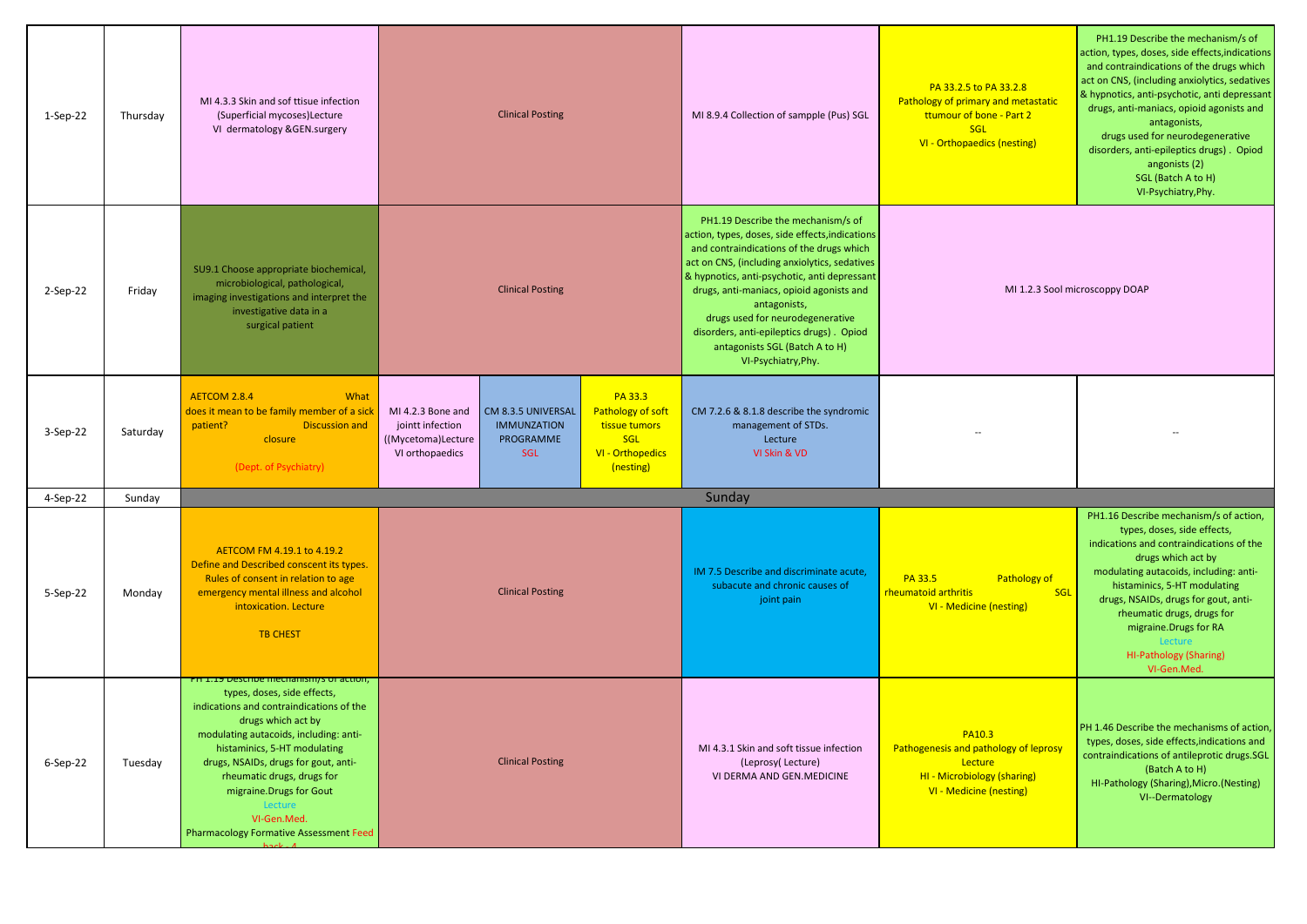| $1-Sep-22$ | Thursday | MI 4.3.3 Skin and sof ttisue infection<br>(Superficial mycoses) Lecture<br>VI dermatology &GEN.surgery                                                                                                                                                                                                                                                                                          | <b>Clinical Posting</b>                                                                                                                        |                                                                                              | MI 8.9.4 Collection of sampple (Pus) SGL                                                                                                                                                                                                                                                                                                                                                                                                | PA 33.2.5 to PA 33.2.8<br>Pathology of primary and metastatic<br>ttumour of bone - Part 2<br><b>SGL</b><br>VI - Orthopaedics (nesting) | PH1.19 Describe the mechanism/s of<br>action, types, doses, side effects, indications<br>and contraindications of the drugs which<br>act on CNS, (including anxiolytics, sedatives<br>& hypnotics, anti-psychotic, anti depressant<br>drugs, anti-maniacs, opioid agonists and<br>antagonists,<br>drugs used for neurodegenerative<br>disorders, anti-epileptics drugs). Opiod<br>angonists (2)<br>SGL (Batch A to H)<br>VI-Psychiatry, Phy. |
|------------|----------|-------------------------------------------------------------------------------------------------------------------------------------------------------------------------------------------------------------------------------------------------------------------------------------------------------------------------------------------------------------------------------------------------|------------------------------------------------------------------------------------------------------------------------------------------------|----------------------------------------------------------------------------------------------|-----------------------------------------------------------------------------------------------------------------------------------------------------------------------------------------------------------------------------------------------------------------------------------------------------------------------------------------------------------------------------------------------------------------------------------------|----------------------------------------------------------------------------------------------------------------------------------------|----------------------------------------------------------------------------------------------------------------------------------------------------------------------------------------------------------------------------------------------------------------------------------------------------------------------------------------------------------------------------------------------------------------------------------------------|
| $2-Sep-22$ | Friday   | SU9.1 Choose appropriate biochemical,<br>microbiological, pathological,<br>imaging investigations and interpret the<br>investigative data in a<br>surgical patient                                                                                                                                                                                                                              | <b>Clinical Posting</b>                                                                                                                        |                                                                                              | PH1.19 Describe the mechanism/s of<br>action, types, doses, side effects, indications<br>and contraindications of the drugs which<br>act on CNS, (including anxiolytics, sedatives<br>& hypnotics, anti-psychotic, anti depressant<br>drugs, anti-maniacs, opioid agonists and<br>antagonists,<br>drugs used for neurodegenerative<br>disorders, anti-epileptics drugs). Opiod<br>antagonists SGL (Batch A to H)<br>VI-Psychiatry, Phy. | MI 1.2.3 Sool microscoppy DOAP                                                                                                         |                                                                                                                                                                                                                                                                                                                                                                                                                                              |
| $3-Sep-22$ | Saturday | <b>AETCOM 2.8.4</b><br>What<br>does it mean to be family member of a sick<br>patient?<br><b>Discussion and</b><br>closure<br>(Dept. of Psychiatry)                                                                                                                                                                                                                                              | MI 4.2.3 Bone and<br>CM 8.3.5 UNIVERSAL<br>jointt infection<br><b>IMMUNZATION</b><br>((Mycetoma)Lecture<br>PROGRAMME<br>VI orthopaedics<br>SGL | PA 33.3<br>Pathology of soft<br>tissue tumors<br><b>SGL</b><br>VI - Orthopedics<br>(nesting) | CM 7.2.6 & 8.1.8 describe the syndromic<br>management of STDs.<br>Lecture<br>VI Skin & VD                                                                                                                                                                                                                                                                                                                                               |                                                                                                                                        |                                                                                                                                                                                                                                                                                                                                                                                                                                              |
| 4-Sep-22   | Sunday   |                                                                                                                                                                                                                                                                                                                                                                                                 |                                                                                                                                                |                                                                                              | Sunday                                                                                                                                                                                                                                                                                                                                                                                                                                  |                                                                                                                                        |                                                                                                                                                                                                                                                                                                                                                                                                                                              |
| 5-Sep-22   | Monday   | AETCOM FM 4.19.1 to 4.19.2<br>Define and Described conscent its types.<br>Rules of consent in relation to age<br>emergency mental illness and alcohol<br>intoxication. Lecture<br><b>TB CHEST</b>                                                                                                                                                                                               | <b>Clinical Posting</b>                                                                                                                        |                                                                                              | IM 7.5 Describe and discriminate acute,<br>subacute and chronic causes of<br>joint pain                                                                                                                                                                                                                                                                                                                                                 | Pathology of<br>PA 33.5<br>rheumatoid arthritis<br>SGL<br><b>VI - Medicine (nesting)</b>                                               | PH1.16 Describe mechanism/s of action,<br>types, doses, side effects,<br>indications and contraindications of the<br>drugs which act by<br>modulating autacoids, including: anti-<br>histaminics, 5-HT modulating<br>drugs, NSAIDs, drugs for gout, anti-<br>rheumatic drugs, drugs for<br>migraine. Drugs for RA<br>Lecture<br>HI-Pathology (Sharing)<br>VI-Gen.Med.                                                                        |
| 6-Sep-22   | Tuesday  | PH 1.19 Describe mechanismys or action,<br>types, doses, side effects,<br>indications and contraindications of the<br>drugs which act by<br>modulating autacoids, including: anti-<br>histaminics, 5-HT modulating<br>drugs, NSAIDs, drugs for gout, anti-<br>rheumatic drugs, drugs for<br>migraine. Drugs for Gout<br>Lecture<br>VI-Gen.Med.<br><b>Pharmacology Formative Assessment Feed</b> | <b>Clinical Posting</b>                                                                                                                        |                                                                                              | MI 4.3.1 Skin and soft tissue infection<br>(Leprosy(Lecture)<br>VI DERMA AND GEN.MEDICINE                                                                                                                                                                                                                                                                                                                                               | PA10.3<br>Pathogenesis and pathology of leprosy<br>Lecture<br>HI - Microbiology (sharing)<br>VI - Medicine (nesting)                   | PH 1.46 Describe the mechanisms of action,<br>types, doses, side effects, indications and<br>contraindications of antileprotic drugs.SGL<br>(Batch A to H)<br>HI-Pathology (Sharing), Micro. (Nesting)<br>VI--Dermatology                                                                                                                                                                                                                    |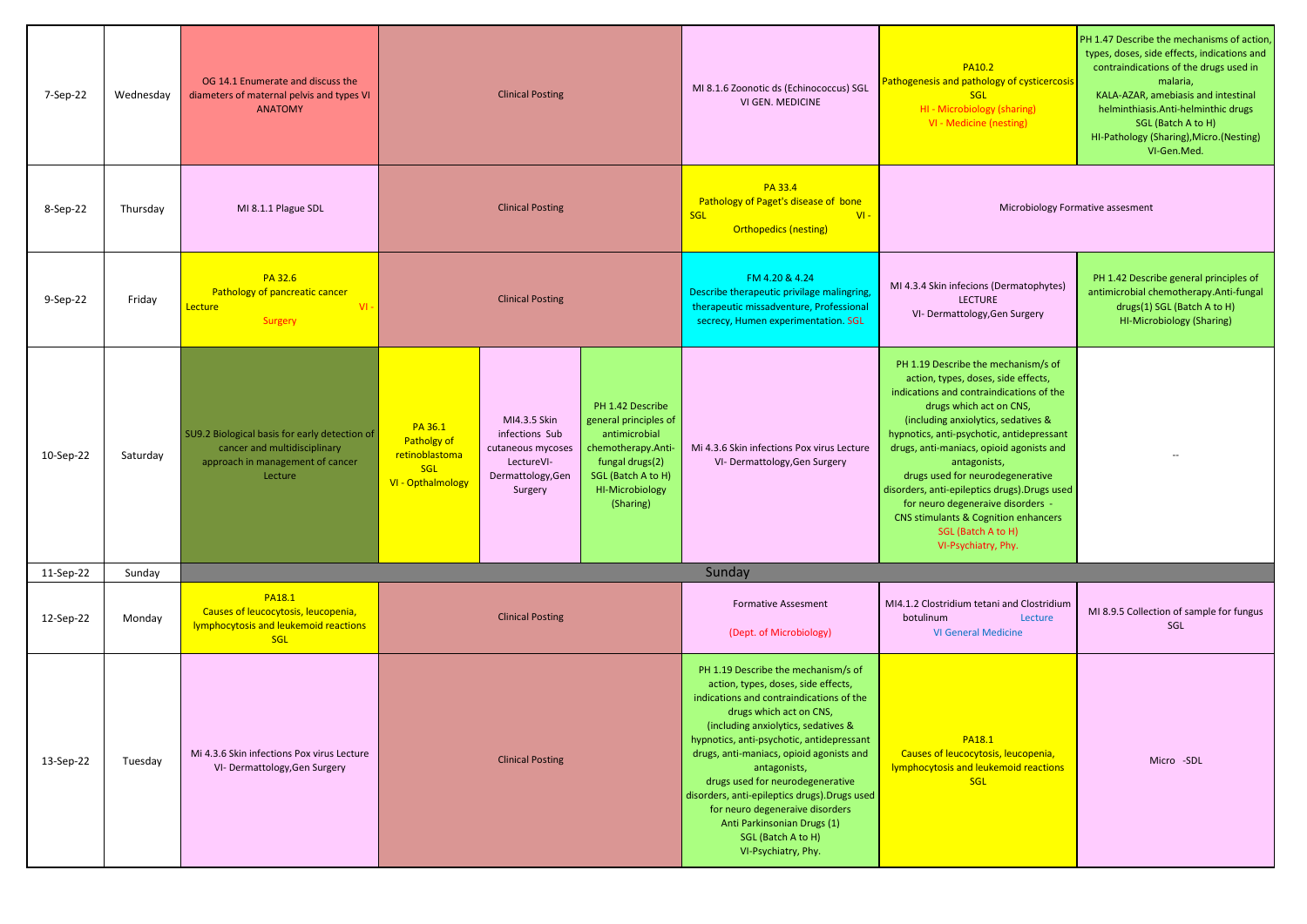| 7-Sep-22  | Wednesday | OG 14.1 Enumerate and discuss the<br>diameters of maternal pelvis and types VI<br><b>ANATOMY</b>                             | <b>Clinical Posting</b>                                              |                                                                                                   |                                                                                                                                                                  | MI 8.1.6 Zoonotic ds (Echinococcus) SGL<br><b>VI GEN. MEDICINE</b>                                                                                                                                                                                                                                                                                                                                                                                                                                    | <b>PA10.2</b><br>Pathogenesis and pathology of cysticercosis<br><b>SGL</b><br>HI - Microbiology (sharing)<br>VI - Medicine (nesting)                                                                                                                                                                                                                                                                                                                                                                             | PH 1.47 Describe the mechanisms of action<br>types, doses, side effects, indications and<br>contraindications of the drugs used in<br>malaria,<br>KALA-AZAR, amebiasis and intestinal<br>helminthiasis.Anti-helminthic drugs<br>SGL (Batch A to H)<br>HI-Pathology (Sharing), Micro. (Nesting)<br>VI-Gen.Med. |  |
|-----------|-----------|------------------------------------------------------------------------------------------------------------------------------|----------------------------------------------------------------------|---------------------------------------------------------------------------------------------------|------------------------------------------------------------------------------------------------------------------------------------------------------------------|-------------------------------------------------------------------------------------------------------------------------------------------------------------------------------------------------------------------------------------------------------------------------------------------------------------------------------------------------------------------------------------------------------------------------------------------------------------------------------------------------------|------------------------------------------------------------------------------------------------------------------------------------------------------------------------------------------------------------------------------------------------------------------------------------------------------------------------------------------------------------------------------------------------------------------------------------------------------------------------------------------------------------------|---------------------------------------------------------------------------------------------------------------------------------------------------------------------------------------------------------------------------------------------------------------------------------------------------------------|--|
| 8-Sep-22  | Thursday  | MI 8.1.1 Plague SDL                                                                                                          |                                                                      | <b>Clinical Posting</b>                                                                           |                                                                                                                                                                  | PA 33.4<br>Pathology of Paget's disease of bone<br>$VI -$<br><b>SGL</b><br><b>Orthopedics (nesting)</b>                                                                                                                                                                                                                                                                                                                                                                                               | Microbiology Formative assesment                                                                                                                                                                                                                                                                                                                                                                                                                                                                                 |                                                                                                                                                                                                                                                                                                               |  |
| 9-Sep-22  | Friday    | PA 32.6<br>Pathology of pancreatic cancer<br>$VI -$<br>Lecture<br>Surgery                                                    | <b>Clinical Posting</b>                                              |                                                                                                   |                                                                                                                                                                  | FM 4.20 & 4.24<br>Describe therapeutic privilage malingring,<br>therapeutic missadventure, Professional<br>secrecy, Humen experimentation. SGL                                                                                                                                                                                                                                                                                                                                                        | MI 4.3.4 Skin infecions (Dermatophytes)<br><b>LECTURE</b><br>VI- Dermattology, Gen Surgery                                                                                                                                                                                                                                                                                                                                                                                                                       | PH 1.42 Describe general principles of<br>antimicrobial chemotherapy.Anti-fungal<br>drugs(1) SGL (Batch A to H)<br>HI-Microbiology (Sharing)                                                                                                                                                                  |  |
| 10-Sep-22 | Saturday  | SU9.2 Biological basis for early detection of<br>cancer and multidisciplinary<br>approach in management of cancer<br>Lecture | PA 36.1<br>Patholgy of<br>retinoblastoma<br>SGL<br>VI - Opthalmology | MI4.3.5 Skin<br>infections Sub<br>cutaneous mycoses<br>LectureVI-<br>Dermattology, Gen<br>Surgery | PH 1.42 Describe<br>general principles of<br>antimicrobial<br>chemotherapy.Anti-<br>fungal drugs(2)<br>SGL (Batch A to H)<br><b>HI-Microbiology</b><br>(Sharing) | Mi 4.3.6 Skin infections Pox virus Lecture<br>VI- Dermattology, Gen Surgery                                                                                                                                                                                                                                                                                                                                                                                                                           | PH 1.19 Describe the mechanism/s of<br>action, types, doses, side effects,<br>indications and contraindications of the<br>drugs which act on CNS,<br>(including anxiolytics, sedatives &<br>hypnotics, anti-psychotic, antidepressant<br>drugs, anti-maniacs, opioid agonists and<br>antagonists,<br>drugs used for neurodegenerative<br>disorders, anti-epileptics drugs). Drugs used<br>for neuro degeneraive disorders -<br>CNS stimulants & Cognition enhancers<br>SGL (Batch A to H)<br>VI-Psychiatry, Phy. |                                                                                                                                                                                                                                                                                                               |  |
| 11-Sep-22 | Sunday    |                                                                                                                              |                                                                      |                                                                                                   |                                                                                                                                                                  | Sunday                                                                                                                                                                                                                                                                                                                                                                                                                                                                                                |                                                                                                                                                                                                                                                                                                                                                                                                                                                                                                                  |                                                                                                                                                                                                                                                                                                               |  |
| 12-Sep-22 | Monday    | <b>PA18.1</b><br>Causes of leucocytosis, leucopenia,<br><b>lymphocytosis and leukemoid reactions</b><br><b>SGL</b>           |                                                                      | <b>Clinical Posting</b>                                                                           |                                                                                                                                                                  | <b>Formative Assesment</b><br>(Dept. of Microbiology)                                                                                                                                                                                                                                                                                                                                                                                                                                                 | MI4.1.2 Clostridium tetani and Clostridium<br>botulinum<br>Lecture<br><b>VI General Medicine</b>                                                                                                                                                                                                                                                                                                                                                                                                                 | MI 8.9.5 Collection of sample for fungus<br>SGL                                                                                                                                                                                                                                                               |  |
| 13-Sep-22 | Tuesday   | Mi 4.3.6 Skin infections Pox virus Lecture<br>VI- Dermattology, Gen Surgery                                                  |                                                                      | <b>Clinical Posting</b>                                                                           |                                                                                                                                                                  | PH 1.19 Describe the mechanism/s of<br>action, types, doses, side effects,<br>indications and contraindications of the<br>drugs which act on CNS,<br>(including anxiolytics, sedatives &<br>hypnotics, anti-psychotic, antidepressant<br>drugs, anti-maniacs, opioid agonists and<br>antagonists,<br>drugs used for neurodegenerative<br>disorders, anti-epileptics drugs). Drugs used<br>for neuro degeneraive disorders<br>Anti Parkinsonian Drugs (1)<br>SGL (Batch A to H)<br>VI-Psychiatry, Phy. | PA18.1<br>Causes of leucocytosis, leucopenia,<br>Iymphocytosis and leukemoid reactions<br><b>SGL</b>                                                                                                                                                                                                                                                                                                                                                                                                             | Micro -SDL                                                                                                                                                                                                                                                                                                    |  |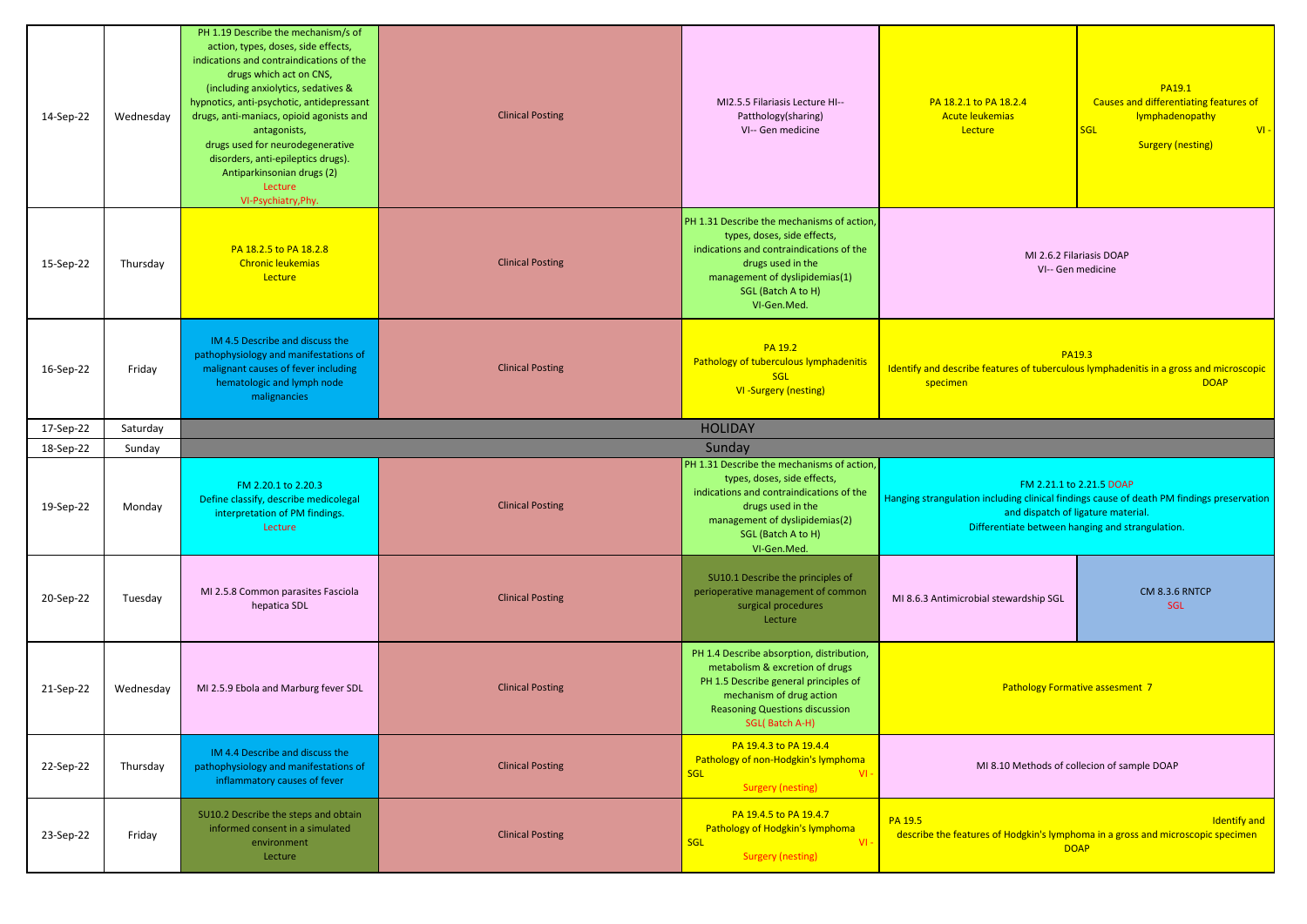| 14-Sep-22 | Wednesday | PH 1.19 Describe the mechanism/s of<br>action, types, doses, side effects,<br>indications and contraindications of the<br>drugs which act on CNS,<br>(including anxiolytics, sedatives &<br>hypnotics, anti-psychotic, antidepressant<br>drugs, anti-maniacs, opioid agonists and<br>antagonists,<br>drugs used for neurodegenerative<br>disorders, anti-epileptics drugs).<br>Antiparkinsonian drugs (2)<br>Lecture<br>VI-Psychiatry, Phy. | <b>Clinical Posting</b>                                                                                                                                                                                                                 | MI2.5.5 Filariasis Lecture HI--<br>Patthology(sharing)<br>VI-- Gen medicine                                                                                                                                       | PA 18.2.1 to PA 18.2.4<br><b>Acute leukemias</b><br>Lecture | PA19.1<br>Causes and differentiating features of<br>lymphadenopathy<br><b>SGL</b><br>$VI -$<br><b>Surgery (nesting)</b>                                                                                         |
|-----------|-----------|---------------------------------------------------------------------------------------------------------------------------------------------------------------------------------------------------------------------------------------------------------------------------------------------------------------------------------------------------------------------------------------------------------------------------------------------|-----------------------------------------------------------------------------------------------------------------------------------------------------------------------------------------------------------------------------------------|-------------------------------------------------------------------------------------------------------------------------------------------------------------------------------------------------------------------|-------------------------------------------------------------|-----------------------------------------------------------------------------------------------------------------------------------------------------------------------------------------------------------------|
| 15-Sep-22 | Thursday  | PA 18.2.5 to PA 18.2.8<br><b>Chronic leukemias</b><br>Lecture                                                                                                                                                                                                                                                                                                                                                                               | <b>Clinical Posting</b>                                                                                                                                                                                                                 | PH 1.31 Describe the mechanisms of action,<br>types, doses, side effects,<br>indications and contraindications of the<br>drugs used in the<br>management of dyslipidemias(1)<br>SGL (Batch A to H)<br>VI-Gen.Med. |                                                             | MI 2.6.2 Filariasis DOAP<br>VI-- Gen medicine                                                                                                                                                                   |
| 16-Sep-22 | Friday    | IM 4.5 Describe and discuss the<br>pathophysiology and manifestations of<br>malignant causes of fever including<br>hematologic and lymph node<br>malignancies                                                                                                                                                                                                                                                                               | <b>Clinical Posting</b>                                                                                                                                                                                                                 | PA 19.2<br>Pathology of tuberculous lymphadenitis<br><b>SGL</b><br><b>VI-Surgery (nesting)</b>                                                                                                                    | specimen                                                    | <b>PA19.3</b><br>Identify and describe features of tuberculous lymphadenitis in a gross and microscopic<br><b>DOAP</b>                                                                                          |
| 17-Sep-22 | Saturday  |                                                                                                                                                                                                                                                                                                                                                                                                                                             |                                                                                                                                                                                                                                         | <b>HOLIDAY</b>                                                                                                                                                                                                    |                                                             |                                                                                                                                                                                                                 |
| 18-Sep-22 | Sunday    |                                                                                                                                                                                                                                                                                                                                                                                                                                             |                                                                                                                                                                                                                                         | Sunday                                                                                                                                                                                                            |                                                             |                                                                                                                                                                                                                 |
| 19-Sep-22 | Monday    | FM 2.20.1 to 2.20.3<br>Define classify, describe medicolegal<br>interpretation of PM findings.<br>Lecture                                                                                                                                                                                                                                                                                                                                   | <b>Clinical Posting</b>                                                                                                                                                                                                                 | PH 1.31 Describe the mechanisms of action,<br>types, doses, side effects,<br>indications and contraindications of the<br>drugs used in the<br>management of dyslipidemias(2)<br>SGL (Batch A to H)<br>VI-Gen.Med. |                                                             | FM 2.21.1 to 2.21.5 DOAP<br>Hanging strangulation including clinical findings cause of death PM findings preservation<br>and dispatch of ligature material.<br>Differentiate between hanging and strangulation. |
| 20-Sep-22 | Tuesday   | MI 2.5.8 Common parasites Fasciola<br>hepatica SDL                                                                                                                                                                                                                                                                                                                                                                                          | <b>Clinical Posting</b>                                                                                                                                                                                                                 | SU10.1 Describe the principles of<br>perioperative management of common<br>surgical procedures<br>Lecture                                                                                                         | MI 8.6.3 Antimicrobial stewardship SGL                      | CM 8.3.6 RNTCP<br>SGL                                                                                                                                                                                           |
| 21-Sep-22 | Wednesday | MI 2.5.9 Ebola and Marburg fever SDL                                                                                                                                                                                                                                                                                                                                                                                                        | PH 1.4 Describe absorption, distribution,<br>metabolism & excretion of drugs<br>PH 1.5 Describe general principles of<br><b>Clinical Posting</b><br>mechanism of drug action<br><b>Reasoning Questions discussion</b><br>SGL(Batch A-H) |                                                                                                                                                                                                                   |                                                             | <b>Pathology Formative assesment 7</b>                                                                                                                                                                          |
| 22-Sep-22 | Thursday  | IM 4.4 Describe and discuss the<br>pathophysiology and manifestations of<br>inflammatory causes of fever                                                                                                                                                                                                                                                                                                                                    | <b>Clinical Posting</b>                                                                                                                                                                                                                 | PA 19.4.3 to PA 19.4.4<br>Pathology of non-Hodgkin's lymphoma<br>$VI -$<br><b>SGL</b><br><b>Surgery (nesting)</b>                                                                                                 |                                                             | MI 8.10 Methods of collecion of sample DOAP                                                                                                                                                                     |
| 23-Sep-22 | Friday    | SU10.2 Describe the steps and obtain<br>informed consent in a simulated<br>environment<br>Lecture                                                                                                                                                                                                                                                                                                                                           | <b>Clinical Posting</b>                                                                                                                                                                                                                 | PA 19.4.5 to PA 19.4.7<br>Pathology of Hodgkin's lymphoma<br><b>SGL</b><br>VI<br><b>Surgery (nesting)</b>                                                                                                         | PA 19.5                                                     | <b>Identify and</b><br>describe the features of Hodgkin's lymphoma in a gross and microscopic specimen<br><b>DOAP</b>                                                                                           |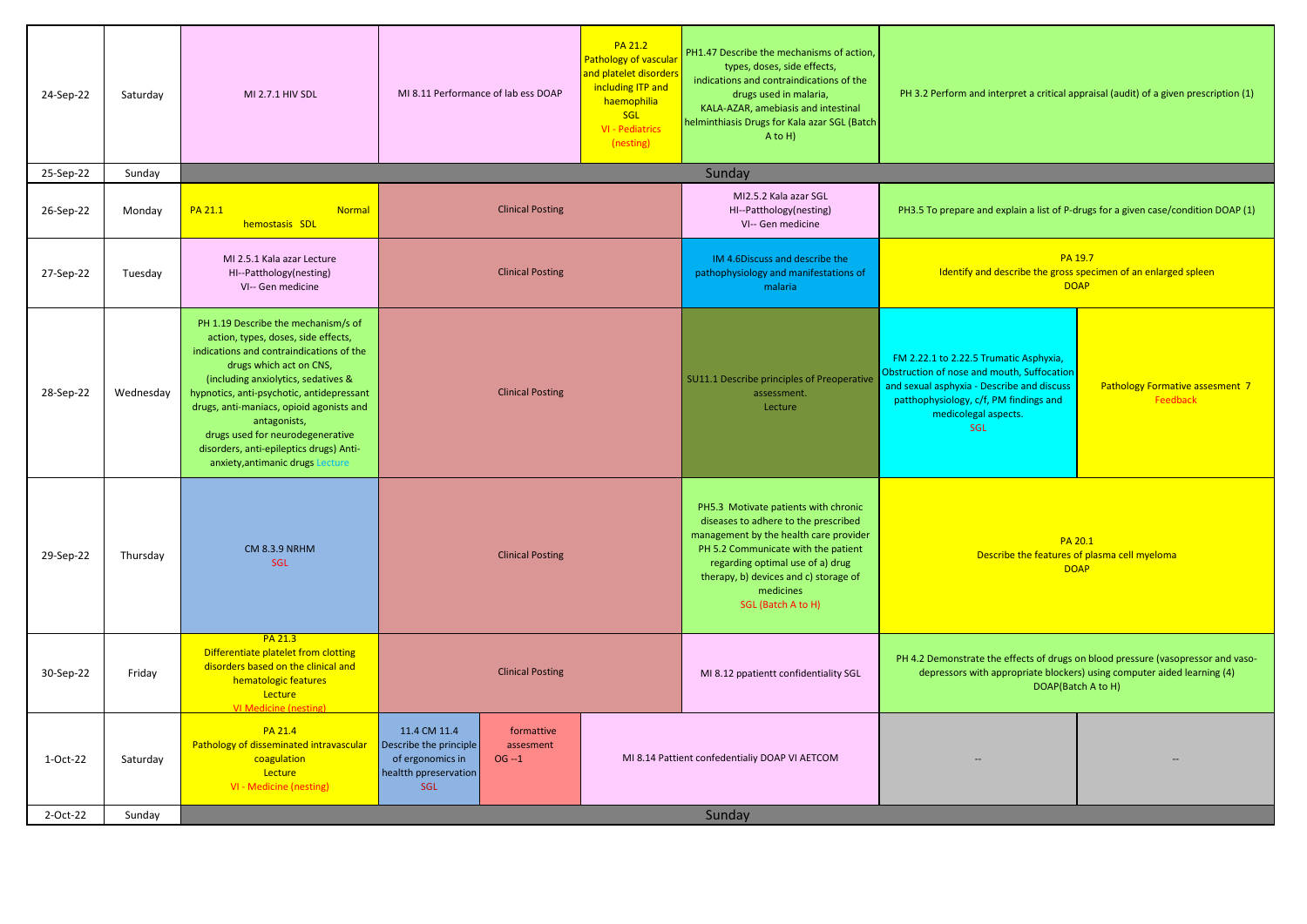| 24-Sep-22 | Saturday  | MI 2.7.1 HIV SDL                                                                                                                                                                                                                                                                                                                                                                                                     | <b>PA 21.2</b><br>Pathology of vascula<br>and platelet disorders<br>including ITP and<br>MI 8.11 Performance of lab ess DOAP<br>haemophilia<br>SGL<br>VI - Pediatrics<br>(nesting) |                                            | PH1.47 Describe the mechanisms of action,<br>types, doses, side effects,<br>indications and contraindications of the<br>drugs used in malaria,<br>KALA-AZAR, amebiasis and intestinal<br>helminthiasis Drugs for Kala azar SGL (Batch<br>A to H)                              | PH 3.2 Perform and interpret a critical appraisal (audit) of a given prescription (1)                                                                                                                             |                                                                                                                                                                                   |
|-----------|-----------|----------------------------------------------------------------------------------------------------------------------------------------------------------------------------------------------------------------------------------------------------------------------------------------------------------------------------------------------------------------------------------------------------------------------|------------------------------------------------------------------------------------------------------------------------------------------------------------------------------------|--------------------------------------------|-------------------------------------------------------------------------------------------------------------------------------------------------------------------------------------------------------------------------------------------------------------------------------|-------------------------------------------------------------------------------------------------------------------------------------------------------------------------------------------------------------------|-----------------------------------------------------------------------------------------------------------------------------------------------------------------------------------|
| 25-Sep-22 | Sunday    |                                                                                                                                                                                                                                                                                                                                                                                                                      |                                                                                                                                                                                    |                                            | Sunday                                                                                                                                                                                                                                                                        |                                                                                                                                                                                                                   |                                                                                                                                                                                   |
| 26-Sep-22 | Monday    | <b>PA 21.1</b><br><b>Normal</b><br>hemostasis SDL                                                                                                                                                                                                                                                                                                                                                                    | <b>Clinical Posting</b>                                                                                                                                                            |                                            | MI2.5.2 Kala azar SGL<br>HI--Patthology(nesting)<br>VI-- Gen medicine                                                                                                                                                                                                         |                                                                                                                                                                                                                   | PH3.5 To prepare and explain a list of P-drugs for a given case/condition DOAP (1)                                                                                                |
| 27-Sep-22 | Tuesday   | MI 2.5.1 Kala azar Lecture<br>HI--Patthology(nesting)<br>VI-- Gen medicine                                                                                                                                                                                                                                                                                                                                           | <b>Clinical Posting</b>                                                                                                                                                            |                                            | IM 4.6Discuss and describe the<br>pathophysiology and manifestations of<br>malaria                                                                                                                                                                                            | PA 19.7<br>Identify and describe the gross specimen of an enlarged spleen<br><b>DOAP</b>                                                                                                                          |                                                                                                                                                                                   |
| 28-Sep-22 | Wednesday | PH 1.19 Describe the mechanism/s of<br>action, types, doses, side effects,<br>indications and contraindications of the<br>drugs which act on CNS,<br>(including anxiolytics, sedatives &<br>hypnotics, anti-psychotic, antidepressant<br>drugs, anti-maniacs, opioid agonists and<br>antagonists,<br>drugs used for neurodegenerative<br>disorders, anti-epileptics drugs) Anti-<br>anxiety, antimanic drugs Lecture | <b>Clinical Posting</b>                                                                                                                                                            | SU11.1 Describe principles of Preoperative |                                                                                                                                                                                                                                                                               | FM 2.22.1 to 2.22.5 Trumatic Asphyxia<br>Obstruction of nose and mouth, Suffocation<br>and sexual asphyxia - Describe and discuss<br>patthophysiology, c/f, PM findings and<br>medicolegal aspects.<br><b>SGL</b> | Pathology Formative assesment 7<br>Feedback                                                                                                                                       |
| 29-Sep-22 | Thursday  | <b>CM 8.3.9 NRHM</b><br>SGL                                                                                                                                                                                                                                                                                                                                                                                          | <b>Clinical Posting</b>                                                                                                                                                            |                                            | PH5.3 Motivate patients with chronic<br>diseases to adhere to the prescribed<br>management by the health care provider<br>PH 5.2 Communicate with the patient<br>regarding optimal use of a) drug<br>therapy, b) devices and c) storage of<br>medicines<br>SGL (Batch A to H) | PA 20.1<br><b>DOAP</b>                                                                                                                                                                                            | Describe the features of plasma cell myeloma                                                                                                                                      |
| 30-Sep-22 | Friday    | PA 21.3<br>Differentiate platelet from clotting<br>disorders based on the clinical and<br>hematologic features<br>Lecture<br><b>VI Medicine (nesting)</b>                                                                                                                                                                                                                                                            | <b>Clinical Posting</b>                                                                                                                                                            |                                            | MI 8.12 ppatientt confidentiality SGL                                                                                                                                                                                                                                         |                                                                                                                                                                                                                   | PH 4.2 Demonstrate the effects of drugs on blood pressure (vasopressor and vaso-<br>depressors with appropriate blockers) using computer aided learning (4)<br>DOAP(Batch A to H) |
| 1-Oct-22  | Saturday  | <b>PA 21.4</b><br>Pathology of disseminated intravascular<br>coagulation<br>Lecture<br>VI - Medicine (nesting)                                                                                                                                                                                                                                                                                                       | 11.4 CM 11.4<br>formattive<br>Describe the principle<br>assesment<br>of ergonomics in<br>$OG -1$<br>healtth ppreservation<br>SGL                                                   |                                            | MI 8.14 Pattient confedentialiy DOAP VI AETCOM                                                                                                                                                                                                                                |                                                                                                                                                                                                                   |                                                                                                                                                                                   |
| 2-Oct-22  | Sunday    |                                                                                                                                                                                                                                                                                                                                                                                                                      |                                                                                                                                                                                    |                                            | Sunday                                                                                                                                                                                                                                                                        |                                                                                                                                                                                                                   |                                                                                                                                                                                   |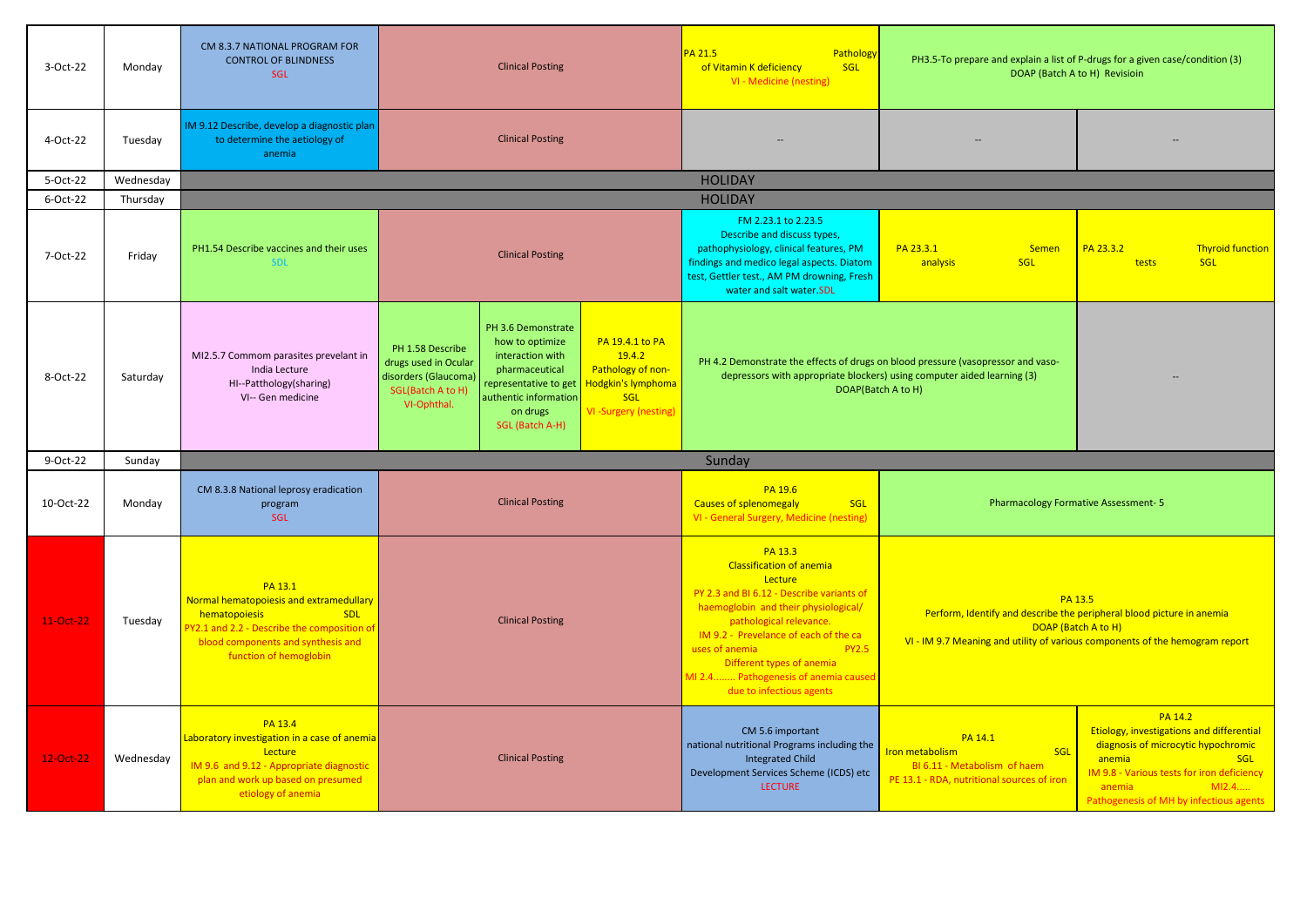| 3-Oct-22    | Monday    | CM 8.3.7 NATIONAL PROGRAM FOR<br><b>CONTROL OF BLINDNESS</b><br>SGL                                                                                                                              | <b>Clinical Posting</b>                                                                                                                                                                                                                                                                                                                                                            | <b>PA 21.5</b><br>Pathology<br>of Vitamin K deficiency<br>SGL<br>VI - Medicine (nesting)                                                                                                                                                                                                                                                          | PH3.5-To prepare and explain a list of P-drugs for a given case/condition (3)                                   | DOAP (Batch A to H) Revisioin                                                                                                                                                                                                          |
|-------------|-----------|--------------------------------------------------------------------------------------------------------------------------------------------------------------------------------------------------|------------------------------------------------------------------------------------------------------------------------------------------------------------------------------------------------------------------------------------------------------------------------------------------------------------------------------------------------------------------------------------|---------------------------------------------------------------------------------------------------------------------------------------------------------------------------------------------------------------------------------------------------------------------------------------------------------------------------------------------------|-----------------------------------------------------------------------------------------------------------------|----------------------------------------------------------------------------------------------------------------------------------------------------------------------------------------------------------------------------------------|
| 4-Oct-22    | Tuesday   | IM 9.12 Describe, develop a diagnostic plan<br>to determine the aetiology of<br>anemia                                                                                                           | <b>Clinical Posting</b>                                                                                                                                                                                                                                                                                                                                                            |                                                                                                                                                                                                                                                                                                                                                   |                                                                                                                 |                                                                                                                                                                                                                                        |
| 5-Oct-22    | Wednesday |                                                                                                                                                                                                  |                                                                                                                                                                                                                                                                                                                                                                                    | <b>HOLIDAY</b>                                                                                                                                                                                                                                                                                                                                    |                                                                                                                 |                                                                                                                                                                                                                                        |
| 6-Oct-22    | Thursday  |                                                                                                                                                                                                  |                                                                                                                                                                                                                                                                                                                                                                                    | <b>HOLIDAY</b>                                                                                                                                                                                                                                                                                                                                    |                                                                                                                 |                                                                                                                                                                                                                                        |
| 7-Oct-22    | Friday    | PH1.54 Describe vaccines and their uses<br><b>SDL</b>                                                                                                                                            | <b>Clinical Posting</b>                                                                                                                                                                                                                                                                                                                                                            | FM 2.23.1 to 2.23.5<br>Describe and discuss types,<br>pathophysiology, clinical features, PM<br>findings and medico legal aspects. Diatom<br>test, Gettler test., AM PM drowning, Fresh<br>water and salt water.SDL                                                                                                                               | PA 23.3.1<br><b>Semen</b><br>SGL<br>analysis                                                                    | PA 23.3.2<br><b>Thyroid function</b><br><b>SGL</b><br>tests                                                                                                                                                                            |
| 8-Oct-22    | Saturday  | MI2.5.7 Commom parasites prevelant in<br>India Lecture<br>HI--Patthology(sharing)<br>VI-- Gen medicine                                                                                           | PH 3.6 Demonstrate<br>PA 19.4.1 to PA<br>how to optimize<br>PH 1.58 Describe<br>19.4.2<br>interaction with<br>drugs used in Ocular<br>Pathology of non-<br>pharmaceutical<br>disorders (Glaucoma)<br>Hodgkin's lymphoma<br>representative to get<br>SGL(Batch A to H)<br>authentic information<br><b>SGL</b><br>VI-Ophthal.<br>VI-Surgery (nesting)<br>on drugs<br>SGL (Batch A-H) | PH 4.2 Demonstrate the effects of drugs on blood pressure (vasopressor and vaso-<br>depressors with appropriate blockers) using computer aided learning (3)<br>DOAP(Batch A to H)                                                                                                                                                                 |                                                                                                                 |                                                                                                                                                                                                                                        |
| 9-Oct-22    | Sunday    |                                                                                                                                                                                                  |                                                                                                                                                                                                                                                                                                                                                                                    | Sunday                                                                                                                                                                                                                                                                                                                                            |                                                                                                                 |                                                                                                                                                                                                                                        |
| 10-Oct-22   | Monday    | CM 8.3.8 National leprosy eradication<br>program<br>SGL                                                                                                                                          | <b>Clinical Posting</b>                                                                                                                                                                                                                                                                                                                                                            | PA 19.6<br><b>Causes of splenomegaly</b><br>SGL<br>VI - General Surgery, Medicine (nesting)                                                                                                                                                                                                                                                       |                                                                                                                 | <b>Pharmacology Formative Assessment-5</b>                                                                                                                                                                                             |
| $11-Oct-22$ | Tuesday   | PA 13.1<br>Normal hematopoiesis and extramedullary<br><b>SDL</b><br>hematopoiesis<br>PY2.1 and 2.2 - Describe the composition of<br>blood components and synthesis and<br>function of hemoglobin | <b>Clinical Posting</b>                                                                                                                                                                                                                                                                                                                                                            | PA 13.3<br><b>Classification of anemia</b><br>Lecture<br>PY 2.3 and BI 6.12 - Describe variants of<br>haemoglobin and their physiological/<br>pathological relevance.<br>IM 9.2 - Prevelance of each of the ca<br><b>PY2.5</b><br>uses of anemia<br>Different types of anemia<br>MI 2.4 Pathogenesis of anemia caused<br>due to infectious agents | Perform, Identify and describe the peripheral blood picture in anemia                                           | PA 13.5<br>DOAP (Batch A to H)<br>VI - IM 9.7 Meaning and utility of various components of the hemogram report                                                                                                                         |
| 12-Oct-22   | Wednesday | PA 13.4<br>Laboratory investigation in a case of anemia<br>Lecture<br>IM 9.6 and 9.12 - Appropriate diagnostic<br>plan and work up based on presumed<br>etiology of anemia                       | <b>Clinical Posting</b>                                                                                                                                                                                                                                                                                                                                                            | CM 5.6 important<br>national nutritional Programs including the<br><b>Integrated Child</b><br>Development Services Scheme (ICDS) etc<br><b>LECTURE</b>                                                                                                                                                                                            | PA 14.1<br>Iron metabolism<br>SGL<br>BI 6.11 - Metabolism of haem<br>PE 13.1 - RDA, nutritional sources of iron | <b>PA 14.2</b><br>Etiology, investigations and differential<br>diagnosis of microcytic hypochromic<br>anemia<br><b>SGL</b><br>IM 9.8 - Various tests for iron deficiency<br>M12.4<br>anemia<br>Pathogenesis of MH by infectious agents |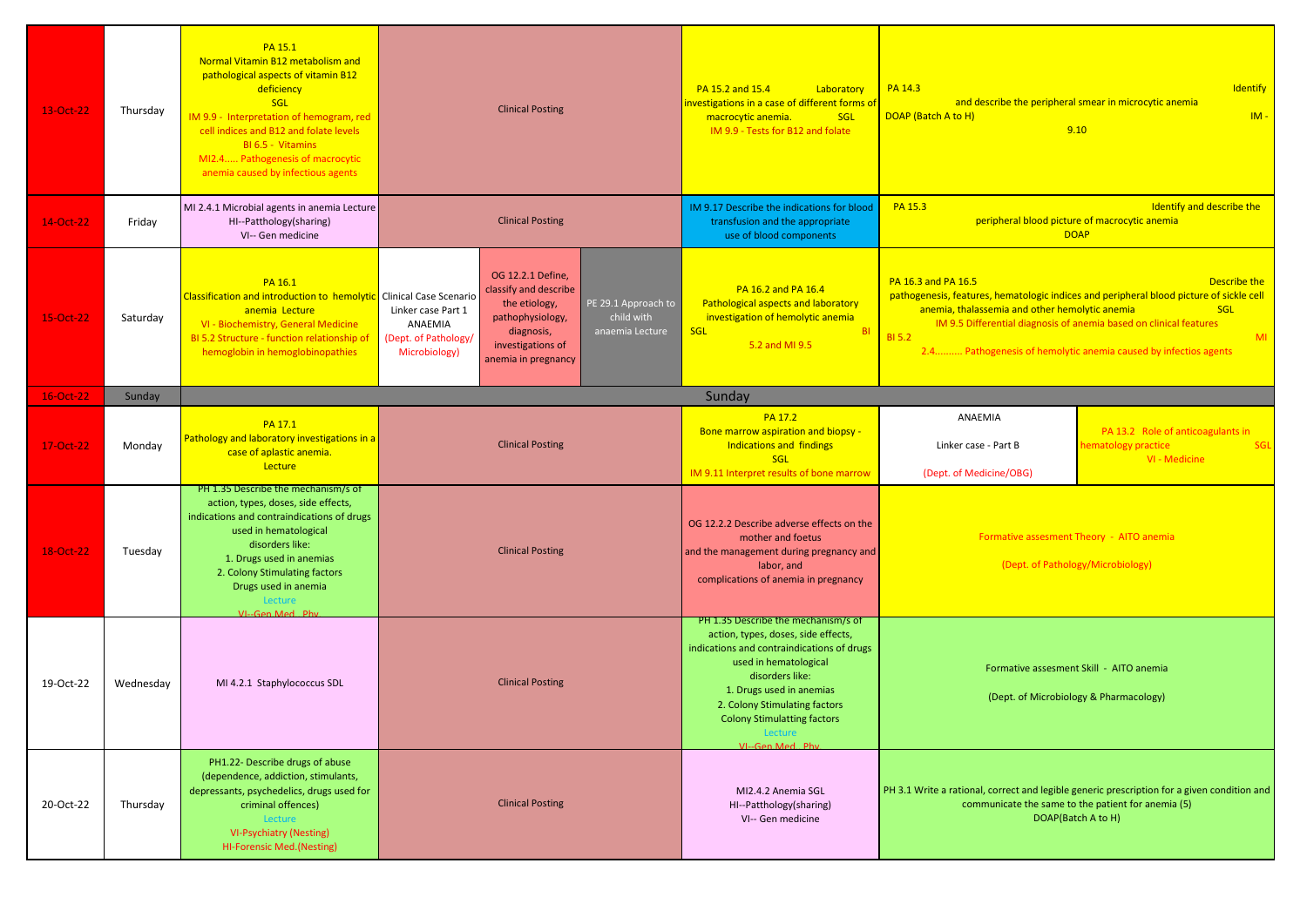| 13-Oct-22 | Thursday  | PA 15.1<br>Normal Vitamin B12 metabolism and<br>pathological aspects of vitamin B12<br>deficiency<br>SGL<br>IM 9.9 - Interpretation of hemogram, red<br>cell indices and B12 and folate levels<br>BI 6.5 - Vitamins<br>MI2.4 Pathogenesis of macrocytic<br>anemia caused by infectious agents | <b>Clinical Posting</b>                                                                                                                                                                                                                                                     | PA 15.2 and 15.4<br>Laboratory<br>investigations in a case of different forms of<br><b>SGL</b><br>macrocytic anemia.<br>IM 9.9 - Tests for B12 and folate                                                                                                                                             | PA 14.3<br>DOAP (Batch A to H)                                                                                                                                                                                                                                                                                                                          | Identify<br>and describe the peripheral smear in microcytic anemia<br>$IM -$<br>9.10                                                                                    |
|-----------|-----------|-----------------------------------------------------------------------------------------------------------------------------------------------------------------------------------------------------------------------------------------------------------------------------------------------|-----------------------------------------------------------------------------------------------------------------------------------------------------------------------------------------------------------------------------------------------------------------------------|-------------------------------------------------------------------------------------------------------------------------------------------------------------------------------------------------------------------------------------------------------------------------------------------------------|---------------------------------------------------------------------------------------------------------------------------------------------------------------------------------------------------------------------------------------------------------------------------------------------------------------------------------------------------------|-------------------------------------------------------------------------------------------------------------------------------------------------------------------------|
| 14-Oct-22 | Friday    | MI 2.4.1 Microbial agents in anemia Lecture<br>HI--Patthology(sharing)<br>VI-- Gen medicine                                                                                                                                                                                                   | <b>Clinical Posting</b>                                                                                                                                                                                                                                                     | IM 9.17 Describe the indications for blood<br>transfusion and the appropriate<br>use of blood components                                                                                                                                                                                              | Identify and describe the<br>PA 15.3<br>peripheral blood picture of macrocytic anemia<br><b>DOAP</b>                                                                                                                                                                                                                                                    |                                                                                                                                                                         |
| 15-Oct-22 | Saturday  | PA 16.1<br>Classification and introduction to hemolytic Clinical Case Scenario<br>anemia Lecture<br>VI - Biochemistry, General Medicine<br>BI 5.2 Structure - function relationship of<br>hemoglobin in hemoglobinopathies                                                                    | OG 12.2.1 Define,<br>classify and describe<br>PE 29.1 Approach to<br>the etiology,<br>Linker case Part 1<br>pathophysiology,<br>child with<br>ANAEMIA<br>diagnosis,<br>anaemia Lecture<br>(Dept. of Pathology/<br>investigations of<br>Microbiology)<br>anemia in pregnancy | PA 16.2 and PA 16.4<br><b>Pathological aspects and laboratory</b><br>investigation of hemolytic anemia<br><b>SGL</b><br><b>BI</b><br>5.2 and MI 9.5                                                                                                                                                   | PA 16.3 and PA 16.5<br>Describe the<br>pathogenesis, features, hematologic indices and peripheral blood picture of sickle cell<br>anemia, thalassemia and other hemolytic anemia<br>SGL<br>IM 9.5 Differential diagnosis of anemia based on clinical features<br><b>BI 5.2</b><br>MI<br>2.4 Pathogenesis of hemolytic anemia caused by infectios agents |                                                                                                                                                                         |
| 16-Oct-22 | Sunday    |                                                                                                                                                                                                                                                                                               |                                                                                                                                                                                                                                                                             | Sunday                                                                                                                                                                                                                                                                                                |                                                                                                                                                                                                                                                                                                                                                         |                                                                                                                                                                         |
| 17-Oct-22 | Monday    | PA 17.1<br>Pathology and laboratory investigations in a<br>case of aplastic anemia.<br>Lecture                                                                                                                                                                                                | <b>Clinical Posting</b>                                                                                                                                                                                                                                                     | <b>PA 17.2</b><br>Bone marrow aspiration and biopsy -<br><b>Indications and findings</b><br>SGL<br>IM 9.11 Interpret results of bone marrow                                                                                                                                                           | ANAEMIA<br>Linker case - Part B<br>(Dept. of Medicine/OBG)                                                                                                                                                                                                                                                                                              | PA 13.2 Role of anticoagulants in<br>SGL<br>hematology practice<br>VI - Medicine                                                                                        |
| 18-Oct-22 | Tuesday   | PH 1.35 Describe the mechanism/s of<br>action, types, doses, side effects,<br>indications and contraindications of drugs<br>used in hematological<br>disorders like:<br>1. Drugs used in anemias<br>2. Colony Stimulating factors<br>Drugs used in anemia<br>Lecture                          | <b>Clinical Posting</b>                                                                                                                                                                                                                                                     | OG 12.2.2 Describe adverse effects on the<br>mother and foetus<br>and the management during pregnancy and<br>labor, and<br>complications of anemia in pregnancy                                                                                                                                       |                                                                                                                                                                                                                                                                                                                                                         | Formative assesment Theory - AITO anemia<br>(Dept. of Pathology/Microbiology)                                                                                           |
| 19-Oct-22 | Wednesday | VI--Gen Med Phy<br>MI 4.2.1 Staphylococcus SDL                                                                                                                                                                                                                                                | <b>Clinical Posting</b>                                                                                                                                                                                                                                                     | PH 1.35 Describe the mechanism/s of<br>action, types, doses, side effects,<br>indications and contraindications of drugs<br>used in hematological<br>disorders like:<br>1. Drugs used in anemias<br>2. Colony Stimulating factors<br><b>Colony Stimulatting factors</b><br>Lecture<br>VI--Gen Med Phy |                                                                                                                                                                                                                                                                                                                                                         | Formative assesment Skill - AITO anemia<br>(Dept. of Microbiology & Pharmacology)                                                                                       |
| 20-Oct-22 | Thursday  | PH1.22- Describe drugs of abuse<br>(dependence, addiction, stimulants,<br>depressants, psychedelics, drugs used for<br>criminal offences)<br>Lecture<br><b>VI-Psychiatry (Nesting)</b><br><b>HI-Forensic Med. (Nesting)</b>                                                                   | <b>Clinical Posting</b>                                                                                                                                                                                                                                                     | MI2.4.2 Anemia SGL<br>HI--Patthology(sharing)<br>VI-- Gen medicine                                                                                                                                                                                                                                    |                                                                                                                                                                                                                                                                                                                                                         | PH 3.1 Write a rational, correct and legible generic prescription for a given condition and<br>communicate the same to the patient for anemia (5)<br>DOAP(Batch A to H) |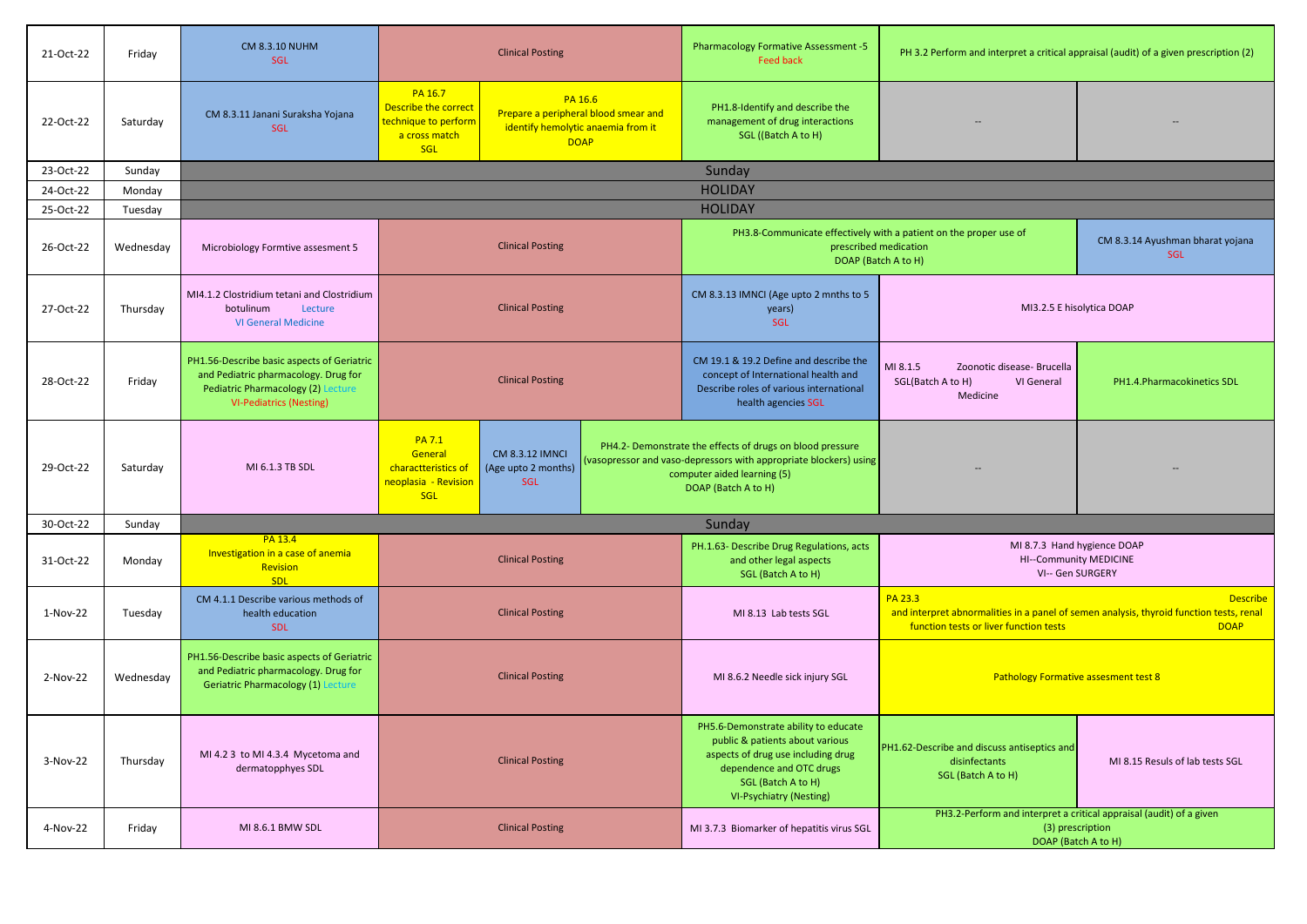| 21-Oct-22 | Friday    | <b>CM 8.3.10 NUHM</b><br><b>SGL</b>                                                                                                                        | <b>Clinical Posting</b>                                                                                                                                                                 | <b>Pharmacology Formative Assessment -5</b><br><b>Feed back</b>                                                                                                                                   | PH 3.2 Perform and interpret a critical appraisal (audit) of a given prescription (2)                                                        |                                                                                                                |  |  |
|-----------|-----------|------------------------------------------------------------------------------------------------------------------------------------------------------------|-----------------------------------------------------------------------------------------------------------------------------------------------------------------------------------------|---------------------------------------------------------------------------------------------------------------------------------------------------------------------------------------------------|----------------------------------------------------------------------------------------------------------------------------------------------|----------------------------------------------------------------------------------------------------------------|--|--|
| 22-Oct-22 | Saturday  | CM 8.3.11 Janani Suraksha Yojana<br><b>SGL</b>                                                                                                             | PA 16.7<br>PA 16.6<br>Describe the correct<br>Prepare a peripheral blood smear and<br>technique to perform<br>identify hemolytic anaemia from it<br>a cross match<br><b>DOAP</b><br>SGL | PH1.8-Identify and describe the<br>management of drug interactions<br>SGL ((Batch A to H)                                                                                                         |                                                                                                                                              |                                                                                                                |  |  |
| 23-Oct-22 | Sunday    |                                                                                                                                                            |                                                                                                                                                                                         | Sunday                                                                                                                                                                                            |                                                                                                                                              |                                                                                                                |  |  |
| 24-Oct-22 | Monday    |                                                                                                                                                            |                                                                                                                                                                                         | <b>HOLIDAY</b>                                                                                                                                                                                    |                                                                                                                                              |                                                                                                                |  |  |
| 25-Oct-22 | Tuesday   |                                                                                                                                                            |                                                                                                                                                                                         | <b>HOLIDAY</b>                                                                                                                                                                                    |                                                                                                                                              |                                                                                                                |  |  |
| 26-Oct-22 | Wednesday | Microbiology Formtive assesment 5                                                                                                                          | <b>Clinical Posting</b>                                                                                                                                                                 | PH3.8-Communicate effectively with a patient on the proper use of<br>prescribed medication<br>DOAP (Batch A to H)                                                                                 |                                                                                                                                              | CM 8.3.14 Ayushman bharat yojana<br><b>SGL</b>                                                                 |  |  |
| 27-Oct-22 | Thursday  | MI4.1.2 Clostridium tetani and Clostridium<br>botulinum<br>Lecture<br><b>VI General Medicine</b>                                                           | <b>Clinical Posting</b>                                                                                                                                                                 | CM 8.3.13 IMNCI (Age upto 2 mnths to 5<br>years)<br><b>SGL</b>                                                                                                                                    |                                                                                                                                              | MI3.2.5 E hisolytica DOAP                                                                                      |  |  |
| 28-Oct-22 | Friday    | PH1.56-Describe basic aspects of Geriatric<br>and Pediatric pharmacology. Drug for<br>Pediatric Pharmacology (2) Lecture<br><b>VI-Pediatrics (Nesting)</b> | <b>Clinical Posting</b>                                                                                                                                                                 | CM 19.1 & 19.2 Define and describe the<br>concept of International health and<br>Describe roles of various international<br>health agencies SGL                                                   | MI 8.1.5<br>Zoonotic disease- Brucella<br>SGL(Batch A to H)<br>VI General<br>Medicine                                                        | PH1.4.Pharmacokinetics SDL                                                                                     |  |  |
| 29-Oct-22 | Saturday  | MI 6.1.3 TB SDL                                                                                                                                            | <b>PA 7.1</b><br>General<br><b>CM 8.3.12 IMNCI</b><br>charactteristics of<br>(Age upto 2 months)<br>SGL<br>neoplasia - Revision<br>SGL                                                  | PH4.2- Demonstrate the effects of drugs on blood pressure<br>vasopressor and vaso-depressors with appropriate blockers) using<br>computer aided learning (5)<br>DOAP (Batch A to H)               |                                                                                                                                              |                                                                                                                |  |  |
| 30-Oct-22 | Sunday    |                                                                                                                                                            |                                                                                                                                                                                         | Sunday                                                                                                                                                                                            |                                                                                                                                              |                                                                                                                |  |  |
| 31-Oct-22 | Monday    | PA 13.4<br>Investigation in a case of anemia<br>Revision<br><b>SDL</b>                                                                                     | <b>Clinical Posting</b>                                                                                                                                                                 | PH.1.63- Describe Drug Regulations, acts<br>and other legal aspects<br>SGL (Batch A to H)                                                                                                         | MI 8.7.3 Hand hygience DOAP<br>VI-- Gen SURGERY                                                                                              | HI--Community MEDICINE                                                                                         |  |  |
| 1-Nov-22  | Tuesday   | CM 4.1.1 Describe various methods of<br>health education<br><b>SDL</b>                                                                                     | <b>Clinical Posting</b>                                                                                                                                                                 | MI 8.13 Lab tests SGL                                                                                                                                                                             | PA 23.3<br>and interpret abnormalities in a panel of semen analysis, thyroid function tests, renal<br>function tests or liver function tests | <b>Describe</b><br><b>DOAP</b>                                                                                 |  |  |
| 2-Nov-22  | Wednesday | PH1.56-Describe basic aspects of Geriatric<br>and Pediatric pharmacology. Drug for<br><b>Geriatric Pharmacology (1) Lecture</b>                            | <b>Clinical Posting</b>                                                                                                                                                                 | MI 8.6.2 Needle sick injury SGL                                                                                                                                                                   | <b>Pathology Formative assesment test 8</b>                                                                                                  |                                                                                                                |  |  |
| 3-Nov-22  | Thursday  | MI 4.2 3 to MI 4.3.4 Mycetoma and<br>dermatopphyes SDL                                                                                                     | <b>Clinical Posting</b>                                                                                                                                                                 | PH5.6-Demonstrate ability to educate<br>public & patients about various<br>aspects of drug use including drug<br>dependence and OTC drugs<br>SGL (Batch A to H)<br><b>VI-Psychiatry (Nesting)</b> | PH1.62-Describe and discuss antiseptics and<br>disinfectants<br>SGL (Batch A to H)                                                           | MI 8.15 Resuls of lab tests SGL                                                                                |  |  |
| 4-Nov-22  | Friday    | MI 8.6.1 BMW SDL                                                                                                                                           | <b>Clinical Posting</b>                                                                                                                                                                 | MI 3.7.3 Biomarker of hepatitis virus SGL                                                                                                                                                         |                                                                                                                                              | PH3.2-Perform and interpret a critical appraisal (audit) of a given<br>(3) prescription<br>DOAP (Batch A to H) |  |  |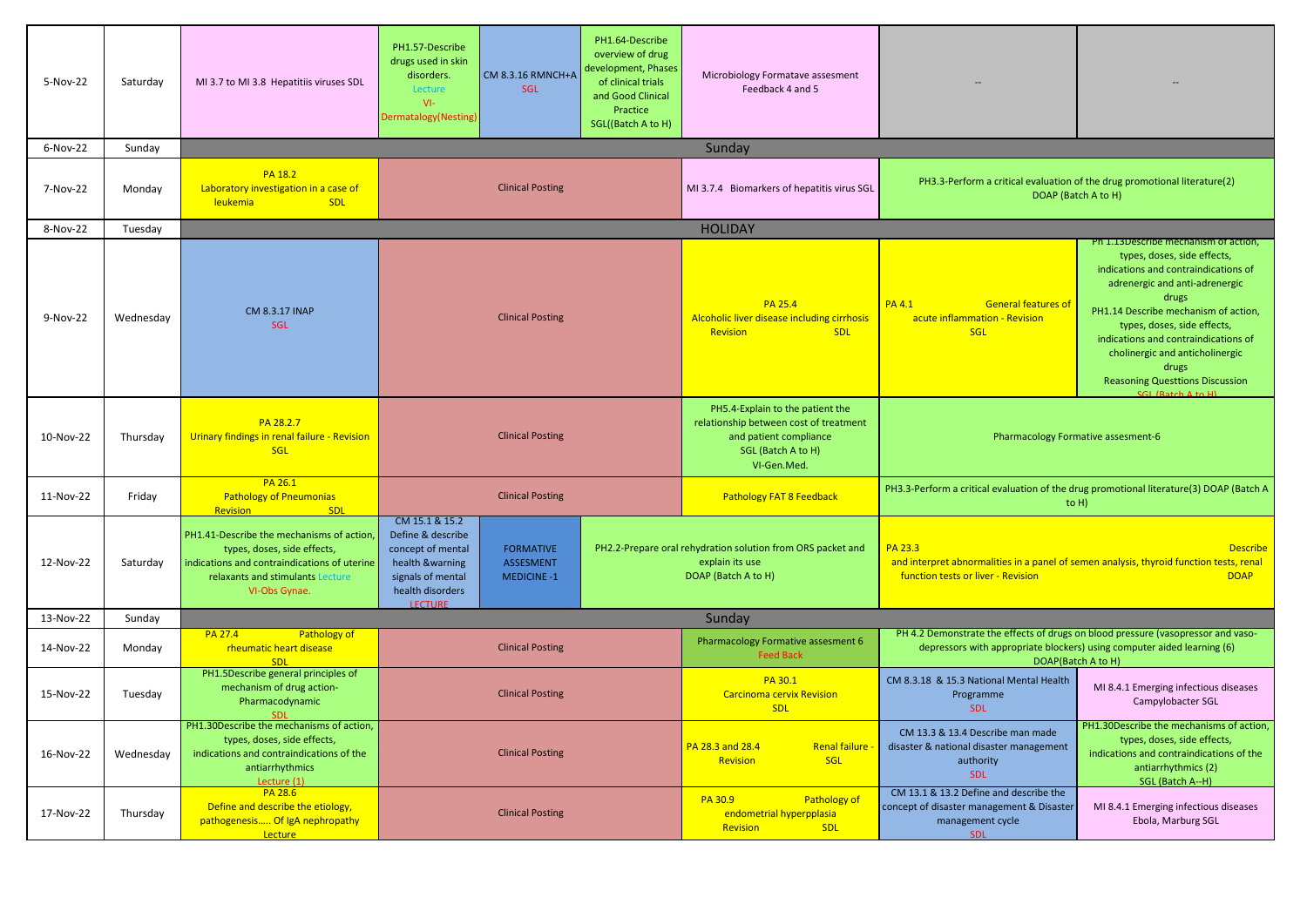| 5-Nov-22  | Saturday  | MI 3.7 to MI 3.8 Hepatitiis viruses SDL                                                                                                                                      | PH1.57-Describe<br>drugs used in skin<br>CM 8.3.16 RMNCH+A<br>disorders.<br>SGL<br>Lecture<br>$VI -$<br>Dermatalogy(Nesting)                                                                  | PH1.64-Describe<br>overview of drug<br>development, Phases<br>of clinical trials<br>and Good Clinical<br>Practice<br>SGL((Batch A to H) | Microbiology Formatave assesment<br>Feedback 4 and 5                                                                                      |                                                                                                                                                                                   |                                                                                                                                                                                                                                                                                                                                                                                     |
|-----------|-----------|------------------------------------------------------------------------------------------------------------------------------------------------------------------------------|-----------------------------------------------------------------------------------------------------------------------------------------------------------------------------------------------|-----------------------------------------------------------------------------------------------------------------------------------------|-------------------------------------------------------------------------------------------------------------------------------------------|-----------------------------------------------------------------------------------------------------------------------------------------------------------------------------------|-------------------------------------------------------------------------------------------------------------------------------------------------------------------------------------------------------------------------------------------------------------------------------------------------------------------------------------------------------------------------------------|
| 6-Nov-22  | Sunday    |                                                                                                                                                                              |                                                                                                                                                                                               |                                                                                                                                         | Sunday                                                                                                                                    |                                                                                                                                                                                   |                                                                                                                                                                                                                                                                                                                                                                                     |
| 7-Nov-22  | Monday    | <b>PA 18.2</b><br>Laboratory investigation in a case of<br>leukemia<br><b>SDL</b>                                                                                            | <b>Clinical Posting</b>                                                                                                                                                                       |                                                                                                                                         | MI 3.7.4 Biomarkers of hepatitis virus SGL                                                                                                | PH3.3-Perform a critical evaluation of the drug promotional literature(2)<br>DOAP (Batch A to H)                                                                                  |                                                                                                                                                                                                                                                                                                                                                                                     |
| 8-Nov-22  | Tuesday   |                                                                                                                                                                              |                                                                                                                                                                                               |                                                                                                                                         | <b>HOLIDAY</b>                                                                                                                            |                                                                                                                                                                                   |                                                                                                                                                                                                                                                                                                                                                                                     |
| 9-Nov-22  | Wednesday | CM 8.3.17 INAP<br>SGL                                                                                                                                                        | <b>Clinical Posting</b>                                                                                                                                                                       |                                                                                                                                         | <b>PA 25.4</b><br>Alcoholic liver disease including cirrhosis<br>Revision<br><b>SDL</b>                                                   | <b>General features of</b><br><b>PA 4.1</b><br>acute inflammation - Revision<br><b>SGL</b>                                                                                        | Ph 1.13Describe mechanism of action,<br>types, doses, side effects,<br>indications and contraindications of<br>adrenergic and anti-adrenergic<br>drugs<br>PH1.14 Describe mechanism of action,<br>types, doses, side effects,<br>indications and contraindications of<br>cholinergic and anticholinergic<br>drugs<br><b>Reasoning Questtions Discussion</b><br>$CCl$ (Ratch A to H) |
| 10-Nov-22 | Thursday  | PA 28.2.7<br>Urinary findings in renal failure - Revision<br><b>SGL</b>                                                                                                      | <b>Clinical Posting</b>                                                                                                                                                                       |                                                                                                                                         | PH5.4-Explain to the patient the<br>relationship between cost of treatment<br>and patient compliance<br>SGL (Batch A to H)<br>VI-Gen.Med. | Pharmacology Formative assesment-6                                                                                                                                                |                                                                                                                                                                                                                                                                                                                                                                                     |
| 11-Nov-22 | Friday    | PA 26.1<br><b>Pathology of Pneumonias</b><br>Revision<br><b>SDL</b>                                                                                                          | <b>Clinical Posting</b>                                                                                                                                                                       |                                                                                                                                         | <b>Pathology FAT 8 Feedback</b>                                                                                                           | PH3.3-Perform a critical evaluation of the drug promotional literature(3) DOAP (Batch A<br>to $H$ )                                                                               |                                                                                                                                                                                                                                                                                                                                                                                     |
| 12-Nov-22 | Saturday  | PH1.41-Describe the mechanisms of action,<br>types, doses, side effects,<br>ndications and contraindications of uterine<br>relaxants and stimulants Lecture<br>VI-Obs Gynae. | CM 15.1 & 15.2<br>Define & describe<br>concept of mental<br><b>FORMATIVE</b><br>health &warning<br>ASSESMENT<br>signals of mental<br><b>MEDICINE -1</b><br>health disorders<br><b>LECTURE</b> |                                                                                                                                         | PH2.2-Prepare oral rehydration solution from ORS packet and<br>explain its use<br>DOAP (Batch A to H)                                     | PA 23.3<br>and interpret abnormalities in a panel of semen analysis, thyroid function tests, renal<br>function tests or liver - Revision                                          | <b>Describe</b><br><b>DOAP</b>                                                                                                                                                                                                                                                                                                                                                      |
| 13-Nov-22 | Sunday    |                                                                                                                                                                              |                                                                                                                                                                                               |                                                                                                                                         | Sunday                                                                                                                                    |                                                                                                                                                                                   |                                                                                                                                                                                                                                                                                                                                                                                     |
| 14-Nov-22 | Monday    | <b>PA 27.4</b><br>Pathology of<br>rheumatic heart disease<br><b>SDL</b>                                                                                                      | <b>Clinical Posting</b>                                                                                                                                                                       |                                                                                                                                         | Pharmacology Formative assesment 6<br><b>Feed Back</b>                                                                                    | PH 4.2 Demonstrate the effects of drugs on blood pressure (vasopressor and vaso-<br>depressors with appropriate blockers) using computer aided learning (6)<br>DOAP(Batch A to H) |                                                                                                                                                                                                                                                                                                                                                                                     |
| 15-Nov-22 | Tuesday   | PH1.5Describe general principles of<br>mechanism of drug action-<br>Pharmacodynamic<br><b>SDL</b>                                                                            | <b>Clinical Posting</b>                                                                                                                                                                       |                                                                                                                                         | PA 30.1<br><b>Carcinoma cervix Revision</b><br><b>SDL</b>                                                                                 | CM 8.3.18 & 15.3 National Mental Health<br>Programme<br><b>SDL</b>                                                                                                                | MI 8.4.1 Emerging infectious diseases<br>Campylobacter SGL                                                                                                                                                                                                                                                                                                                          |
| 16-Nov-22 | Wednesday | PH1.30Describe the mechanisms of action,<br>types, doses, side effects,<br>indications and contraindications of the<br>antiarrhythmics<br>Lecture $(1)$                      | <b>Clinical Posting</b>                                                                                                                                                                       |                                                                                                                                         |                                                                                                                                           | CM 13.3 & 13.4 Describe man made<br>disaster & national disaster management<br>authority<br><b>SDL</b>                                                                            | PH1.30Describe the mechanisms of action,<br>types, doses, side effects,<br>indications and contraindications of the<br>antiarrhythmics (2)<br>SGL (Batch A--H)                                                                                                                                                                                                                      |
| 17-Nov-22 | Thursday  | <b>PA 28.6</b><br>Define and describe the etiology,<br>pathogenesis Of IgA nephropathy<br>Lecture                                                                            | <b>Clinical Posting</b>                                                                                                                                                                       |                                                                                                                                         |                                                                                                                                           | CM 13.1 & 13.2 Define and describe the<br>concept of disaster management & Disaster<br>management cycle<br><b>SDL</b>                                                             | MI 8.4.1 Emerging infectious diseases<br>Ebola, Marburg SGL                                                                                                                                                                                                                                                                                                                         |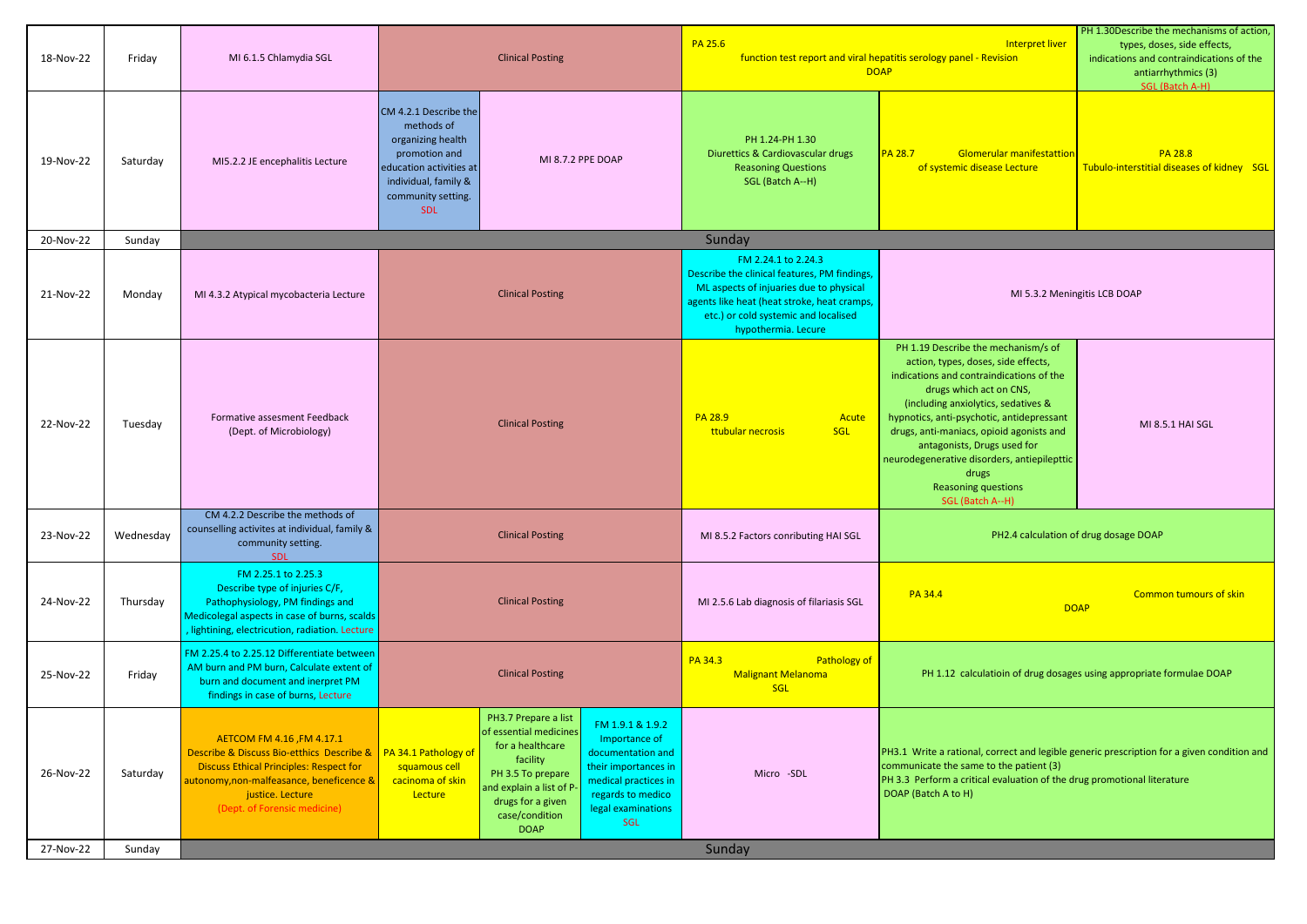| 18-Nov-22 | Friday    | MI 6.1.5 Chlamydia SGL                                                                                                                                                                                                  | <b>Clinical Posting</b>                                                                                                                                                                                                                                                                                                                                                                                                          | PA 25.6<br>Interpret liver<br>function test report and viral hepatitis serology panel - Revision<br><b>DOAP</b>                                                                                                             |                                                                                                                                                                                                                                                                                                                                                                                                                            | PH 1.30Describe the mechanisms of action,<br>types, doses, side effects,<br>indications and contraindications of the<br>antiarrhythmics (3)<br>SGL (Batch A-H) |
|-----------|-----------|-------------------------------------------------------------------------------------------------------------------------------------------------------------------------------------------------------------------------|----------------------------------------------------------------------------------------------------------------------------------------------------------------------------------------------------------------------------------------------------------------------------------------------------------------------------------------------------------------------------------------------------------------------------------|-----------------------------------------------------------------------------------------------------------------------------------------------------------------------------------------------------------------------------|----------------------------------------------------------------------------------------------------------------------------------------------------------------------------------------------------------------------------------------------------------------------------------------------------------------------------------------------------------------------------------------------------------------------------|----------------------------------------------------------------------------------------------------------------------------------------------------------------|
| 19-Nov-22 | Saturday  | MI5.2.2 JE encephalitis Lecture                                                                                                                                                                                         | CM 4.2.1 Describe the<br>methods of<br>organizing health<br>promotion and<br>MI 8.7.2 PPE DOAP<br>education activities at<br>individual, family &<br>community setting.<br><b>SDL</b>                                                                                                                                                                                                                                            | PH 1.24-PH 1.30<br>Diurettics & Cardiovascular drugs<br><b>Reasoning Questions</b><br>SGL (Batch A--H)                                                                                                                      | <b>PA 28.7</b><br><b>Glomerular manifestattion</b><br>of systemic disease Lecture                                                                                                                                                                                                                                                                                                                                          | <b>PA 28.8</b><br>Tubulo-interstitial diseases of kidney SGL                                                                                                   |
| 20-Nov-22 | Sunday    |                                                                                                                                                                                                                         |                                                                                                                                                                                                                                                                                                                                                                                                                                  | Sunday                                                                                                                                                                                                                      |                                                                                                                                                                                                                                                                                                                                                                                                                            |                                                                                                                                                                |
| 21-Nov-22 | Monday    | MI 4.3.2 Atypical mycobacteria Lecture                                                                                                                                                                                  | <b>Clinical Posting</b>                                                                                                                                                                                                                                                                                                                                                                                                          | FM 2.24.1 to 2.24.3<br>Describe the clinical features, PM findings<br>ML aspects of injuaries due to physical<br>agents like heat (heat stroke, heat cramps)<br>etc.) or cold systemic and localised<br>hypothermia. Lecure | MI 5.3.2 Meningitis LCB DOAP                                                                                                                                                                                                                                                                                                                                                                                               |                                                                                                                                                                |
| 22-Nov-22 | Tuesday   | Formative assesment Feedback<br>(Dept. of Microbiology)                                                                                                                                                                 | <b>Clinical Posting</b>                                                                                                                                                                                                                                                                                                                                                                                                          | <b>PA 28.9</b><br>Acute<br><b>SGL</b><br>ttubular necrosis                                                                                                                                                                  | PH 1.19 Describe the mechanism/s of<br>action, types, doses, side effects,<br>indications and contraindications of the<br>drugs which act on CNS,<br>(including anxiolytics, sedatives &<br>hypnotics, anti-psychotic, antidepressant<br>drugs, anti-maniacs, opioid agonists and<br>antagonists, Drugs used for<br>neurodegenerative disorders, antiepilepttic<br>drugs<br><b>Reasoning questions</b><br>SGL (Batch A--H) | MI 8.5.1 HAI SGL                                                                                                                                               |
| 23-Nov-22 | Wednesday | CM 4.2.2 Describe the methods of<br>counselling activites at individual, family &<br>community setting.<br><b>SDL</b>                                                                                                   | <b>Clinical Posting</b>                                                                                                                                                                                                                                                                                                                                                                                                          | MI 8.5.2 Factors conributing HAI SGL                                                                                                                                                                                        | PH2.4 calculation of drug dosage DOAP                                                                                                                                                                                                                                                                                                                                                                                      |                                                                                                                                                                |
| 24-Nov-22 | Thursday  | FM 2.25.1 to 2.25.3<br>Describe type of injuries C/F,<br>Pathophysiology, PM findings and<br>Medicolegal aspects in case of burns, scalds<br>, lightining, electricution, radiation. Lecture                            | <b>Clinical Posting</b>                                                                                                                                                                                                                                                                                                                                                                                                          | MI 2.5.6 Lab diagnosis of filariasis SGL                                                                                                                                                                                    | PA 34.4<br><b>DOAP</b>                                                                                                                                                                                                                                                                                                                                                                                                     | <b>Common tumours of skin</b>                                                                                                                                  |
| 25-Nov-22 | Friday    | FM 2.25.4 to 2.25.12 Differentiate between<br>AM burn and PM burn, Calculate extent of<br>burn and document and inerpret PM<br>findings in case of burns, Lecture                                                       | <b>Clinical Posting</b>                                                                                                                                                                                                                                                                                                                                                                                                          | Pathology of<br>PA 34.3<br><b>Malignant Melanoma</b><br>SGL                                                                                                                                                                 | PH 1.12 calculatioin of drug dosages using appropriate formulae DOAP                                                                                                                                                                                                                                                                                                                                                       |                                                                                                                                                                |
| 26-Nov-22 | Saturday  | AETCOM FM 4.16, FM 4.17.1<br>Describe & Discuss Bio-etthics Describe &<br><b>Discuss Ethical Principles: Respect for</b><br>autonomy,non-malfeasance, beneficence &<br>justice. Lecture<br>(Dept. of Forensic medicine) | PH3.7 Prepare a list<br>FM 1.9.1 & 1.9.2<br>of essential medicines<br>Importance of<br>for a healthcare<br>PA 34.1 Pathology of<br>documentation and<br>facility<br>squamous cell<br>their importances in<br>PH 3.5 To prepare<br>cacinoma of skin<br>medical practices in<br>and explain a list of P-<br>Lecture<br>regards to medico<br>drugs for a given<br>legal examinations<br>case/condition<br><b>SGL</b><br><b>DOAP</b> | Micro -SDL                                                                                                                                                                                                                  | PH3.1 Write a rational, correct and legible generic prescription for a given condition and<br>communicate the same to the patient (3)<br>PH 3.3 Perform a critical evaluation of the drug promotional literature<br>DOAP (Batch A to H)                                                                                                                                                                                    |                                                                                                                                                                |
| 27-Nov-22 | Sunday    |                                                                                                                                                                                                                         |                                                                                                                                                                                                                                                                                                                                                                                                                                  | Sunday                                                                                                                                                                                                                      |                                                                                                                                                                                                                                                                                                                                                                                                                            |                                                                                                                                                                |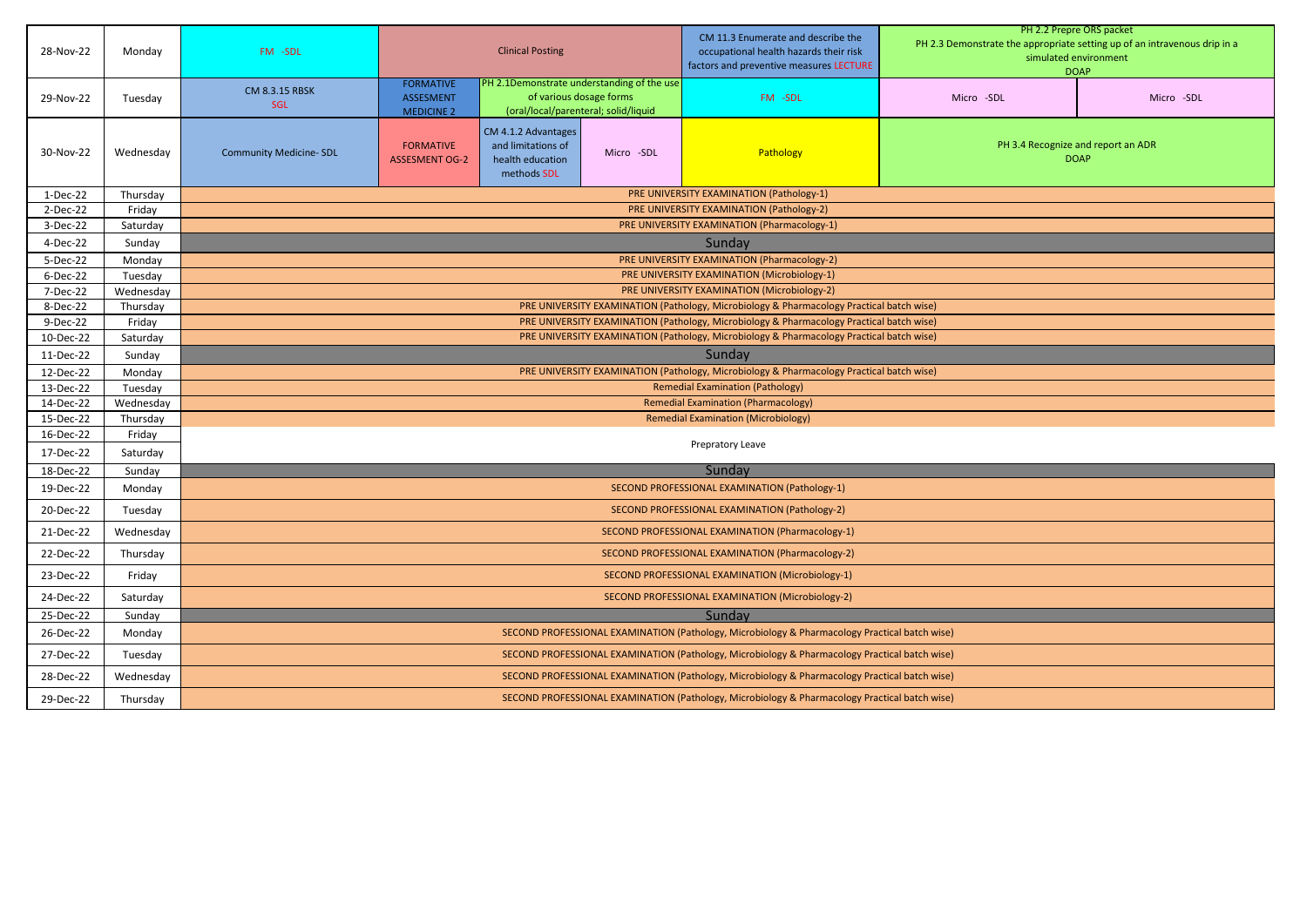| 28-Nov-22  | Monday    | FM -SDL                                                                                       | <b>Clinical Posting</b>                                                                  |                                                                                                               | CM 11.3 Enumerate and describe the<br>occupational health hazards their risk<br>factors and preventive measures LECTURE | PH 2.2 Prepre ORS packet<br>PH 2.3 Demonstrate the appropriate setting up of an intravenous drip in a<br>simulated environment<br><b>DOAP</b> |                                                   |            |  |  |
|------------|-----------|-----------------------------------------------------------------------------------------------|------------------------------------------------------------------------------------------|---------------------------------------------------------------------------------------------------------------|-------------------------------------------------------------------------------------------------------------------------|-----------------------------------------------------------------------------------------------------------------------------------------------|---------------------------------------------------|------------|--|--|
| 29-Nov-22  | Tuesday   | CM 8.3.15 RBSK<br><b>SGL</b>                                                                  | <b>FORMATIVE</b><br><b>ASSESMENT</b><br><b>MEDICINE 2</b>                                | PH 2.1Demonstrate understanding of the use<br>of various dosage forms<br>(oral/local/parenteral; solid/liquid |                                                                                                                         | FM -SDL                                                                                                                                       | Micro -SDL                                        | Micro -SDL |  |  |
| 30-Nov-22  | Wednesday | <b>Community Medicine- SDL</b>                                                                | <b>FORMATIVE</b><br><b>ASSESMENT OG-2</b>                                                | CM 4.1.2 Advantages<br>and limitations of<br>health education<br>methods SDL                                  | Micro -SDL                                                                                                              | Pathology                                                                                                                                     | PH 3.4 Recognize and report an ADR<br><b>DOAP</b> |            |  |  |
| $1-Dec-22$ | Thursday  |                                                                                               |                                                                                          |                                                                                                               |                                                                                                                         | PRE UNIVERSITY EXAMINATION (Pathology-1)                                                                                                      |                                                   |            |  |  |
| 2-Dec-22   | Friday    |                                                                                               |                                                                                          |                                                                                                               |                                                                                                                         | PRE UNIVERSITY EXAMINATION (Pathology-2)                                                                                                      |                                                   |            |  |  |
| 3-Dec-22   | Saturday  |                                                                                               |                                                                                          |                                                                                                               |                                                                                                                         | PRE UNIVERSITY EXAMINATION (Pharmacology-1)                                                                                                   |                                                   |            |  |  |
| 4-Dec-22   | Sunday    |                                                                                               |                                                                                          |                                                                                                               |                                                                                                                         | Sunday                                                                                                                                        |                                                   |            |  |  |
| 5-Dec-22   | Monday    |                                                                                               |                                                                                          |                                                                                                               |                                                                                                                         | PRE UNIVERSITY EXAMINATION (Pharmacology-2)                                                                                                   |                                                   |            |  |  |
| 6-Dec-22   | Tuesday   |                                                                                               |                                                                                          |                                                                                                               |                                                                                                                         | PRE UNIVERSITY EXAMINATION (Microbiology-1)                                                                                                   |                                                   |            |  |  |
| 7-Dec-22   | Wednesday |                                                                                               |                                                                                          |                                                                                                               |                                                                                                                         | PRE UNIVERSITY EXAMINATION (Microbiology-2)                                                                                                   |                                                   |            |  |  |
| 8-Dec-22   | Thursday  |                                                                                               |                                                                                          |                                                                                                               |                                                                                                                         | PRE UNIVERSITY EXAMINATION (Pathology, Microbiology & Pharmacology Practical batch wise)                                                      |                                                   |            |  |  |
| 9-Dec-22   | Friday    |                                                                                               |                                                                                          |                                                                                                               |                                                                                                                         | PRE UNIVERSITY EXAMINATION (Pathology, Microbiology & Pharmacology Practical batch wise)                                                      |                                                   |            |  |  |
| 10-Dec-22  | Saturday  |                                                                                               | PRE UNIVERSITY EXAMINATION (Pathology, Microbiology & Pharmacology Practical batch wise) |                                                                                                               |                                                                                                                         |                                                                                                                                               |                                                   |            |  |  |
| 11-Dec-22  | Sunday    | Sunday                                                                                        |                                                                                          |                                                                                                               |                                                                                                                         |                                                                                                                                               |                                                   |            |  |  |
| 12-Dec-22  | Monday    |                                                                                               | PRE UNIVERSITY EXAMINATION (Pathology, Microbiology & Pharmacology Practical batch wise) |                                                                                                               |                                                                                                                         |                                                                                                                                               |                                                   |            |  |  |
| 13-Dec-22  | Tuesday   |                                                                                               |                                                                                          |                                                                                                               |                                                                                                                         | <b>Remedial Examination (Pathology)</b>                                                                                                       |                                                   |            |  |  |
| 14-Dec-22  | Wednesday |                                                                                               |                                                                                          |                                                                                                               |                                                                                                                         | <b>Remedial Examination (Pharmacology)</b>                                                                                                    |                                                   |            |  |  |
| 15-Dec-22  | Thursday  |                                                                                               |                                                                                          |                                                                                                               |                                                                                                                         | <b>Remedial Examination (Microbiology)</b>                                                                                                    |                                                   |            |  |  |
| 16-Dec-22  | Friday    |                                                                                               |                                                                                          |                                                                                                               |                                                                                                                         | Prepratory Leave                                                                                                                              |                                                   |            |  |  |
| 17-Dec-22  | Saturday  |                                                                                               |                                                                                          |                                                                                                               |                                                                                                                         |                                                                                                                                               |                                                   |            |  |  |
| 18-Dec-22  | Sunday    |                                                                                               |                                                                                          |                                                                                                               |                                                                                                                         | Sunday                                                                                                                                        |                                                   |            |  |  |
| 19-Dec-22  | Monday    |                                                                                               |                                                                                          |                                                                                                               |                                                                                                                         | SECOND PROFESSIONAL EXAMINATION (Pathology-1)                                                                                                 |                                                   |            |  |  |
| 20-Dec-22  | Tuesday   |                                                                                               |                                                                                          |                                                                                                               |                                                                                                                         | SECOND PROFESSIONAL EXAMINATION (Pathology-2)                                                                                                 |                                                   |            |  |  |
| 21-Dec-22  | Wednesday |                                                                                               |                                                                                          |                                                                                                               |                                                                                                                         | SECOND PROFESSIONAL EXAMINATION (Pharmacology-1)                                                                                              |                                                   |            |  |  |
| 22-Dec-22  | Thursday  |                                                                                               |                                                                                          |                                                                                                               |                                                                                                                         | SECOND PROFESSIONAL EXAMINATION (Pharmacology-2)                                                                                              |                                                   |            |  |  |
| 23-Dec-22  | Friday    |                                                                                               |                                                                                          |                                                                                                               |                                                                                                                         | SECOND PROFESSIONAL EXAMINATION (Microbiology-1)                                                                                              |                                                   |            |  |  |
| 24-Dec-22  | Saturday  |                                                                                               |                                                                                          |                                                                                                               |                                                                                                                         | SECOND PROFESSIONAL EXAMINATION (Microbiology-2)                                                                                              |                                                   |            |  |  |
| 25-Dec-22  | Sunday    |                                                                                               |                                                                                          |                                                                                                               |                                                                                                                         | Sunday                                                                                                                                        |                                                   |            |  |  |
| 26-Dec-22  | Monday    |                                                                                               |                                                                                          |                                                                                                               |                                                                                                                         | SECOND PROFESSIONAL EXAMINATION (Pathology, Microbiology & Pharmacology Practical batch wise)                                                 |                                                   |            |  |  |
| 27-Dec-22  | Tuesday   |                                                                                               |                                                                                          |                                                                                                               |                                                                                                                         | SECOND PROFESSIONAL EXAMINATION (Pathology, Microbiology & Pharmacology Practical batch wise)                                                 |                                                   |            |  |  |
| 28-Dec-22  | Wednesday |                                                                                               |                                                                                          |                                                                                                               |                                                                                                                         | SECOND PROFESSIONAL EXAMINATION (Pathology, Microbiology & Pharmacology Practical batch wise)                                                 |                                                   |            |  |  |
| 29-Dec-22  | Thursday  | SECOND PROFESSIONAL EXAMINATION (Pathology, Microbiology & Pharmacology Practical batch wise) |                                                                                          |                                                                                                               |                                                                                                                         |                                                                                                                                               |                                                   |            |  |  |